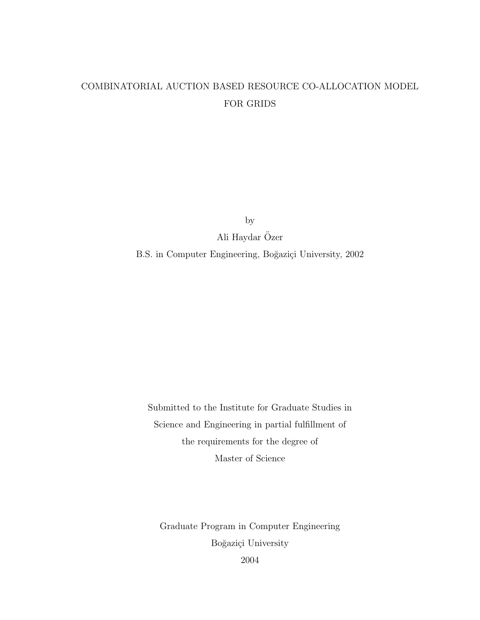# COMBINATORIAL AUCTION BASED RESOURCE CO-ALLOCATION MODEL FOR GRIDS

by

Ali Haydar Özer

B.S. in Computer Engineering, Boğaziçi University, 2002

Submitted to the Institute for Graduate Studies in Science and Engineering in partial fulfillment of the requirements for the degree of Master of Science

Graduate Program in Computer Engineering Boğaziçi University

2004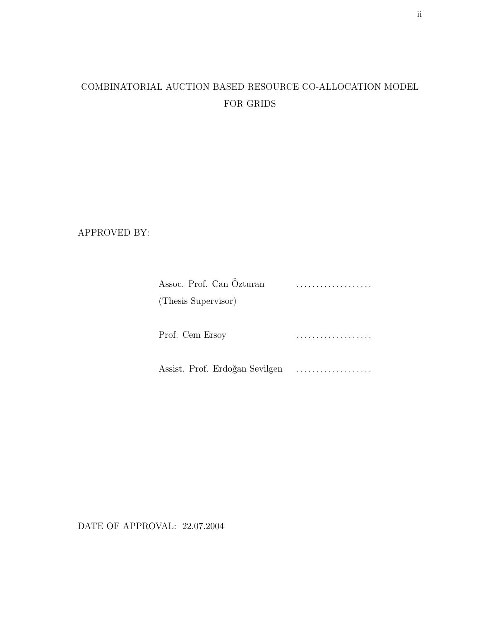# COMBINATORIAL AUCTION BASED RESOURCE CO-ALLOCATION MODEL FOR GRIDS

APPROVED BY:

| Assoc. Prof. Can Özturan       |  |
|--------------------------------|--|
| (Thesis Supervisor)            |  |
|                                |  |
| Prof. Cem Ersoy                |  |
| Assist. Prof. Erdoğan Sevilgen |  |

DATE OF APPROVAL: 22.07.2004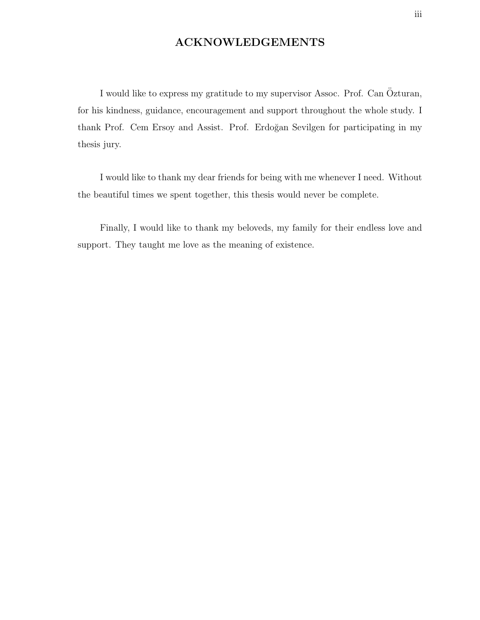### ACKNOWLEDGEMENTS

I would like to express my gratitude to my supervisor Assoc. Prof. Can Özturan, for his kindness, guidance, encouragement and support throughout the whole study. I thank Prof. Cem Ersoy and Assist. Prof. Erdoğan Sevilgen for participating in my thesis jury.

I would like to thank my dear friends for being with me whenever I need. Without the beautiful times we spent together, this thesis would never be complete.

Finally, I would like to thank my beloveds, my family for their endless love and support. They taught me love as the meaning of existence.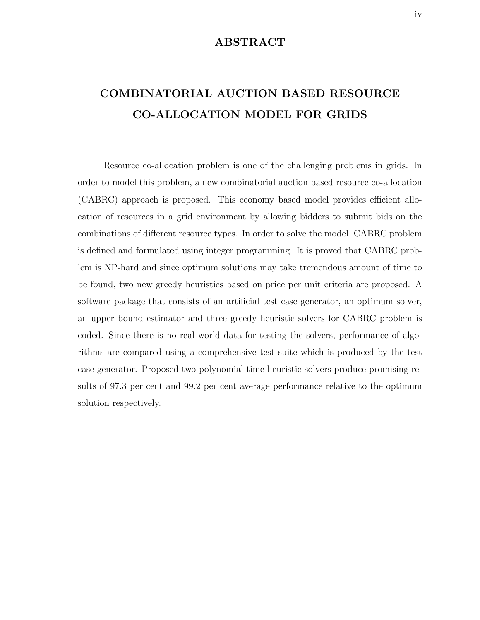### ABSTRACT

# COMBINATORIAL AUCTION BASED RESOURCE CO-ALLOCATION MODEL FOR GRIDS

Resource co-allocation problem is one of the challenging problems in grids. In order to model this problem, a new combinatorial auction based resource co-allocation (CABRC) approach is proposed. This economy based model provides efficient allocation of resources in a grid environment by allowing bidders to submit bids on the combinations of different resource types. In order to solve the model, CABRC problem is defined and formulated using integer programming. It is proved that CABRC problem is NP-hard and since optimum solutions may take tremendous amount of time to be found, two new greedy heuristics based on price per unit criteria are proposed. A software package that consists of an artificial test case generator, an optimum solver, an upper bound estimator and three greedy heuristic solvers for CABRC problem is coded. Since there is no real world data for testing the solvers, performance of algorithms are compared using a comprehensive test suite which is produced by the test case generator. Proposed two polynomial time heuristic solvers produce promising results of 97.3 per cent and 99.2 per cent average performance relative to the optimum solution respectively.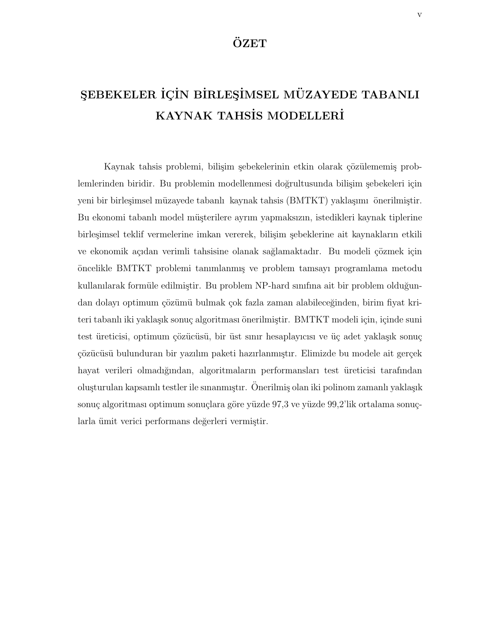## ÖZET

# SEBEKELER İÇİN BİRLEŞİMSEL MÜZAYEDE TABANLI KAYNAK TAHSİS MODELLERİ

Kaynak tahsis problemi, bilişim şebekelerinin etkin olarak çözülememiş problemlerinden biridir. Bu problemin modellenmesi doğrultusunda bilişim şebekeleri için yeni bir birleşimsel müzayede tabanlı kaynak tahsis (BMTKT) yaklaşımı önerilmiştir. Bu ekonomi tabanlı model müşterilere ayrım yapmaksızın, istedikleri kaynak tiplerine birleşimsel teklif vermelerine imkan vererek, bilişim şebeklerine ait kaynakların etkili ve ekonomik açıdan verimli tahsisine olanak sağlamaktadır. Bu modeli çözmek için ¨oncelikle BMTKT problemi tanımlanmı¸s ve problem tamsayı programlama metodu kullanılarak formüle edilmiştir. Bu problem NP-hard sınıfına ait bir problem olduğundan dolayı optimum çözümü bulmak çok fazla zaman alabileceğinden, birim fiyat kriteri tabanlı iki yaklaşık sonuç algoritması önerilmiştir. BMTKT modeli için, içinde suni test üreticisi, optimum çözücüsü, bir üst sınır hesaplayıcısı ve üç adet yaklaşık sonuç çözücüsü bulunduran bir yazılım paketi hazırlanmıştır. Elimizde bu modele ait gerçek hayat verileri olmadığından, algoritmaların performansları test üreticisi tarafından oluşturulan kapsamlı testler ile sınanmıştır. Önerilmiş olan iki polinom zamanlı yaklaşık sonuç algoritması optimum sonuçlara göre yüzde 97,3 ve yüzde 99,2'lik ortalama sonuçlarla ümit verici performans değerleri vermiştir.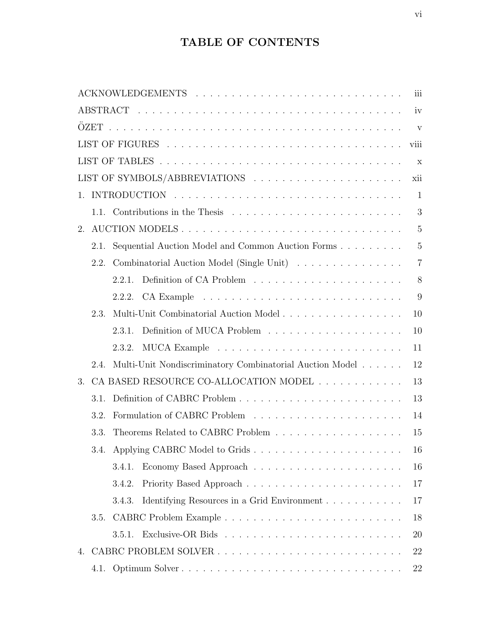# TABLE OF CONTENTS

|                |      | iii                                                            |                |
|----------------|------|----------------------------------------------------------------|----------------|
| iv             |      |                                                                |                |
|                |      |                                                                | V              |
|                |      | viii                                                           |                |
|                |      |                                                                | $\mathbf x$    |
|                |      | LIST OF SYMBOLS/ABBREVIATIONS<br>xii                           |                |
| $\mathbf{1}$ . |      |                                                                | $\mathbf{1}$   |
|                |      |                                                                | 3              |
| 2.             |      | AUCTION MODELS                                                 | $\overline{5}$ |
|                | 2.1. | Sequential Auction Model and Common Auction Forms              | $\overline{5}$ |
|                | 2.2. | Combinatorial Auction Model (Single Unit)                      | $\overline{7}$ |
|                |      | 2.2.1.                                                         | 8              |
|                |      | 2.2.2.                                                         | 9              |
|                | 2.3. | Multi-Unit Combinatorial Auction Model<br>10                   |                |
|                |      | 10<br>2.3.1.                                                   |                |
|                |      | 2.3.2.<br>11                                                   |                |
|                | 2.4. | Multi-Unit Nondiscriminatory Combinatorial Auction Model<br>12 |                |
| 3.             |      | CA BASED RESOURCE CO-ALLOCATION MODEL<br>13                    |                |
|                | 3.1. | 13                                                             |                |
|                | 3.2. | 14                                                             |                |
|                | 3.3. | 15                                                             |                |
|                | 3.4. | 16                                                             |                |
|                |      | 16<br>3.4.1.                                                   |                |
|                |      | 3.4.2.<br>17                                                   |                |
|                |      | 3.4.3.<br>17                                                   |                |
|                | 3.5. | 18                                                             |                |
|                |      | 3.5.1.<br><b>20</b>                                            |                |
| 4.             |      | 22                                                             |                |
|                |      | 4.1. Optimum Solver<br>22                                      |                |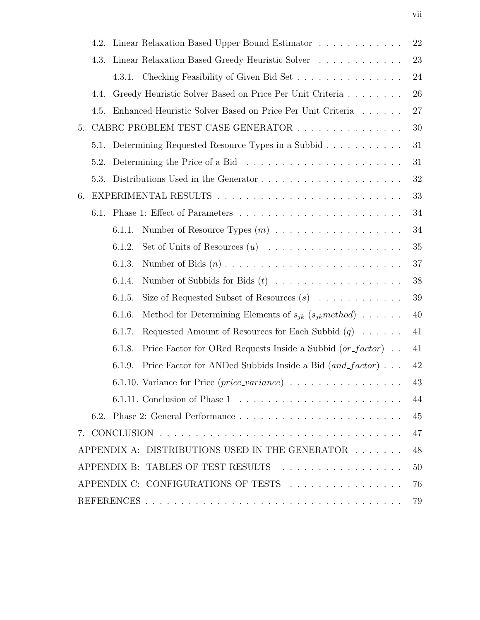|    | 4.2. |        | Linear Relaxation Based Upper Bound Estimator                                             | $22\,$ |
|----|------|--------|-------------------------------------------------------------------------------------------|--------|
|    | 4.3. |        | Linear Relaxation Based Greedy Heuristic Solver                                           | 23     |
|    |      |        | 4.3.1. Checking Feasibility of Given Bid Set                                              | 24     |
|    | 4.4. |        | Greedy Heuristic Solver Based on Price Per Unit Criteria                                  | 26     |
|    | 4.5. |        | Enhanced Heuristic Solver Based on Price Per Unit Criteria                                | 27     |
| 5. |      |        | CABRC PROBLEM TEST CASE GENERATOR                                                         | $30\,$ |
|    | 5.1. |        | Determining Requested Resource Types in a Subbid                                          | 31     |
|    | 5.2. |        | Determining the Price of a Bid $\ldots \ldots \ldots \ldots \ldots \ldots \ldots \ldots$  | 31     |
|    | 5.3. |        |                                                                                           | 32     |
| 6. |      |        |                                                                                           | 33     |
|    | 6.1. |        |                                                                                           | 34     |
|    |      | 6.1.1. |                                                                                           | 34     |
|    |      | 6.1.2. |                                                                                           | 35     |
|    |      | 6.1.3. |                                                                                           | 37     |
|    |      | 6.1.4. | Number of Subbids for Bids $(t)$                                                          | 38     |
|    |      | 6.1.5. | Size of Requested Subset of Resources $(s)$                                               | $39\,$ |
|    |      | 6.1.6. | Method for Determining Elements of $s_{jk}$ $(s_{jk} method)$                             | $40\,$ |
|    |      | 6.1.7. | Requested Amount of Resources for Each Subbid $(q)$                                       | 41     |
|    |      | 6.1.8. | Price Factor for ORed Requests Inside a Subbid $(or_factor)$ .                            | 41     |
|    |      | 6.1.9. | Price Factor for ANDed Subbids Inside a Bid $(and\_factor) \dots$                         | 42     |
|    |      |        | 6.1.10. Variance for Price $(\text{price\_variance}) \dots \dots \dots \dots \dots \dots$ | 43     |
|    |      |        |                                                                                           | 44     |
|    |      |        |                                                                                           | 45     |
|    |      |        |                                                                                           | 47     |
|    |      |        | APPENDIX A: DISTRIBUTIONS USED IN THE GENERATOR                                           | 48     |
|    |      |        | APPENDIX B: TABLES OF TEST RESULTS                                                        | 50     |
|    |      |        | APPENDIX C: CONFIGURATIONS OF TESTS                                                       | 76     |
|    |      |        |                                                                                           | 79     |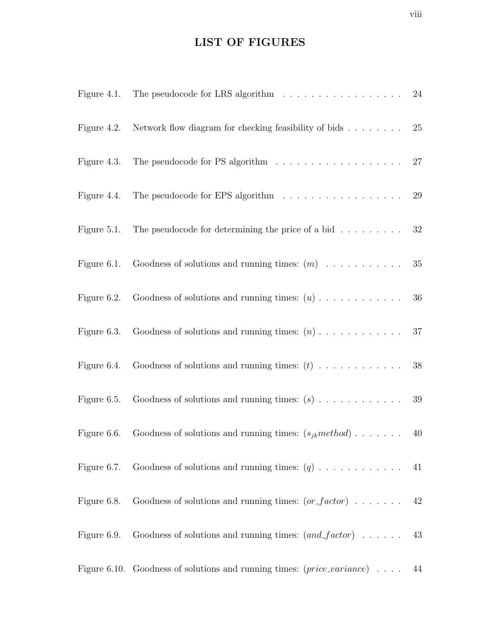# LIST OF FIGURES

|             | Figure 4.1. The pseudocode for LRS algorithm $\ldots \ldots \ldots \ldots \ldots \ldots$ 24       |  |
|-------------|---------------------------------------------------------------------------------------------------|--|
|             | Figure 4.2. Network flow diagram for checking feasibility of bids $\ldots \ldots \ldots$ 25       |  |
|             | Figure 4.3. The pseudocode for PS algorithm $\ldots \ldots \ldots \ldots \ldots \ldots 27$        |  |
|             | Figure 4.4. The pseudocode for EPS algorithm $\ldots \ldots \ldots \ldots \ldots \ldots$ 29       |  |
|             | Figure 5.1. The pseudocode for determining the price of a bid $\dots \dots \dots$ 32              |  |
| Figure 6.1. |                                                                                                   |  |
|             |                                                                                                   |  |
|             |                                                                                                   |  |
|             |                                                                                                   |  |
|             |                                                                                                   |  |
|             | Figure 6.6. Goodness of solutions and running times: $(s_{jk} method) \dots \dots \dots \dots$ 40 |  |
|             | Figure 6.7. Goodness of solutions and running times: $(q)$ 41                                     |  |
|             | Figure 6.8. Goodness of solutions and running times: $(or_factor) \dots \dots \dots$ 42           |  |
| Figure 6.9. | Goodness of solutions and running times: $(and\_factor) \dots \dots \dots$ 43                     |  |
|             | Figure 6.10. Goodness of solutions and running times: $(\text{price\_variance}) \dots$ 44         |  |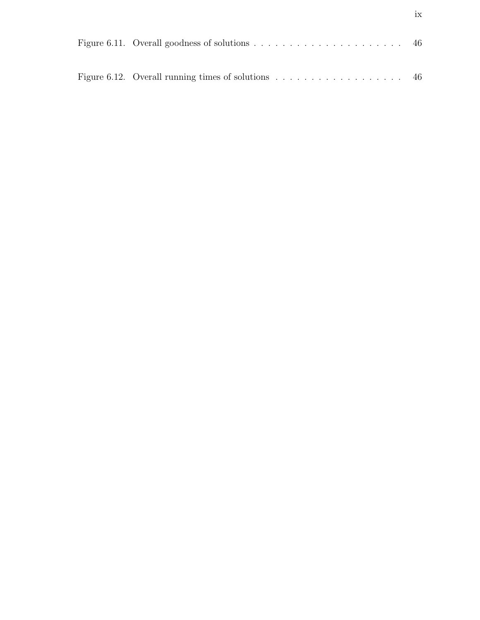| Figure 6.12. Overall running times of solutions $\ldots \ldots \ldots \ldots \ldots$ . |  |
|----------------------------------------------------------------------------------------|--|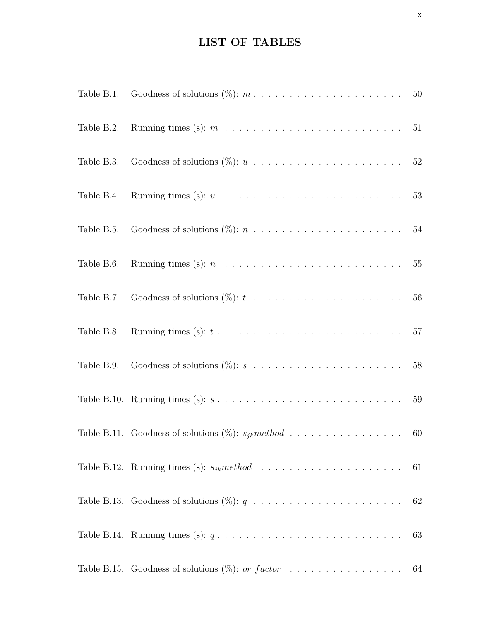## LIST OF TABLES

| Table B.2. Running times (s): $m \ldots \ldots \ldots \ldots \ldots \ldots \ldots \ldots \ldots 51$          |    |
|--------------------------------------------------------------------------------------------------------------|----|
|                                                                                                              |    |
|                                                                                                              |    |
| Table B.5. Goodness of solutions $(\%): n \ldots \ldots \ldots \ldots \ldots \ldots \ldots \ldots \ldots 54$ |    |
| Table B.6. Running times (s): $n \ldots \ldots \ldots \ldots \ldots \ldots \ldots \ldots \ldots \ldots 55$   |    |
|                                                                                                              |    |
| Table B.8. Running times (s): $t \ldots \ldots \ldots \ldots \ldots \ldots \ldots \ldots \ldots \ldots 57$   |    |
|                                                                                                              |    |
| Table B.10. Running times (s): $s \ldots \ldots \ldots \ldots \ldots \ldots \ldots \ldots \ldots \ldots 59$  |    |
| Table B.11. Goodness of solutions (%): $s_{jk}$ method 60                                                    |    |
|                                                                                                              |    |
|                                                                                                              |    |
| Table B.14. Running times (s): $q \ldots \ldots \ldots \ldots \ldots \ldots \ldots \ldots \ldots \ldots$     | 63 |
| Table B.15. Goodness of solutions $(\%)$ : <i>or_factor</i> 64                                               |    |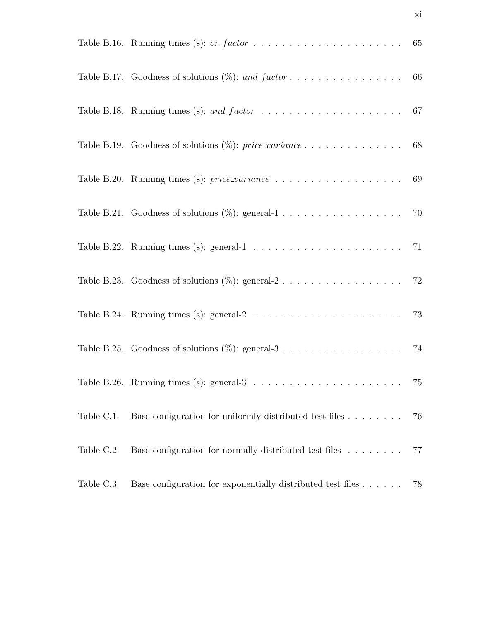|            | Table B.17. Goodness of solutions $(\%)$ : and_factor 66                                              |    |
|------------|-------------------------------------------------------------------------------------------------------|----|
|            |                                                                                                       |    |
|            |                                                                                                       |    |
|            |                                                                                                       |    |
|            | Table B.21. Goodness of solutions $(\%)$ : general-1 70                                               |    |
|            | Table B.22. Running times (s): general-1 $\ldots \ldots \ldots \ldots \ldots \ldots \ldots \ldots$ 71 |    |
|            |                                                                                                       |    |
|            | Table B.24. Running times (s): general-2 $\ldots \ldots \ldots \ldots \ldots \ldots \ldots \ldots$ 73 |    |
|            |                                                                                                       |    |
|            | Table B.26. Running times (s): general-3 $\ldots \ldots \ldots \ldots$                                | 75 |
| Table C.1. | Base configuration for uniformly distributed test files                                               | 76 |
| Table C.2. | Base configuration for normally distributed test files                                                | 77 |
| Table C.3. | Base configuration for exponentially distributed test files $\dots \dots$                             | 78 |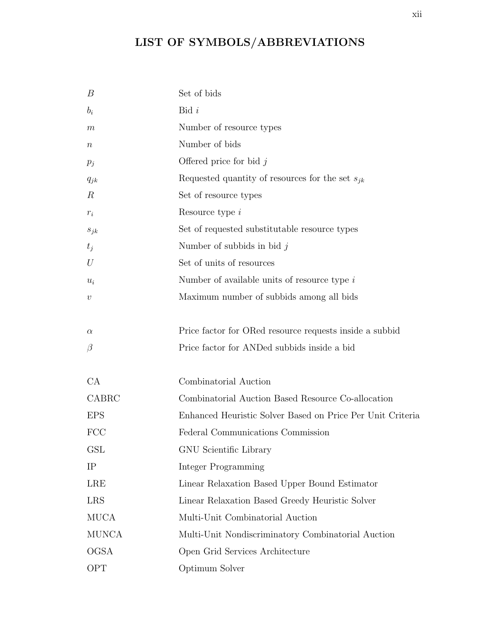# LIST OF SYMBOLS/ABBREVIATIONS

| B                  | Set of bids                                                |
|--------------------|------------------------------------------------------------|
| $b_i$              | Bid i                                                      |
| $\,m$              | Number of resource types                                   |
| $\it n$            | Number of bids                                             |
| $p_j$              | Offered price for bid $j$                                  |
| $q_{jk}$           | Requested quantity of resources for the set $s_{jk}$       |
| $\boldsymbol{R}$   | Set of resource types                                      |
| $\boldsymbol{r}_i$ | Resource type $i$                                          |
| $s_{jk}$           | Set of requested substitutable resource types              |
| $t_j$              | Number of subbids in bid $j$                               |
| U                  | Set of units of resources                                  |
| $u_i$              | Number of available units of resource type $i$             |
| $\boldsymbol{v}$   | Maximum number of subbids among all bids                   |
|                    |                                                            |
| $\alpha$           | Price factor for ORed resource requests inside a subbid    |
| $\beta$            | Price factor for ANDed subbids inside a bid                |
|                    |                                                            |
| CA                 | Combinatorial Auction                                      |
| CABRC              | Combinatorial Auction Based Resource Co-allocation         |
| <b>EPS</b>         | Enhanced Heuristic Solver Based on Price Per Unit Criteria |
| <b>FCC</b>         | Federal Communications Commission                          |
| GSL                | GNU Scientific Library                                     |
| IP                 | Integer Programming                                        |
| <b>LRE</b>         | Linear Relaxation Based Upper Bound Estimator              |
| <b>LRS</b>         | Linear Relaxation Based Greedy Heuristic Solver            |
| <b>MUCA</b>        | Multi-Unit Combinatorial Auction                           |
| <b>MUNCA</b>       | Multi-Unit Nondiscriminatory Combinatorial Auction         |
| <b>OGSA</b>        | Open Grid Services Architecture                            |
| <b>OPT</b>         | Optimum Solver                                             |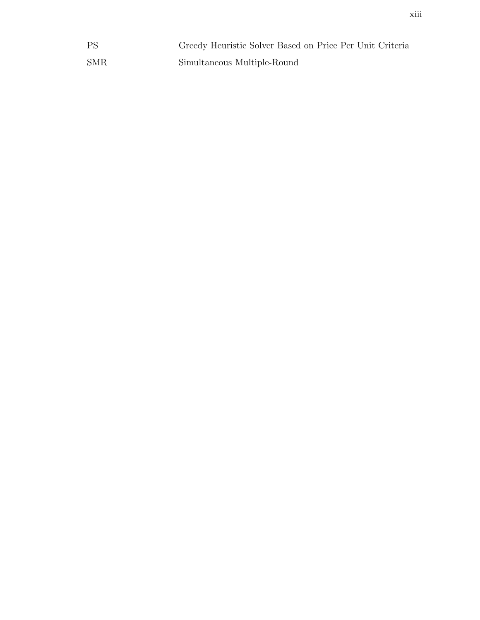| <b>PS</b>  | Greedy Heuristic Solver Based on Price Per Unit Criteria |
|------------|----------------------------------------------------------|
| <b>SMR</b> | Simultaneous Multiple-Round                              |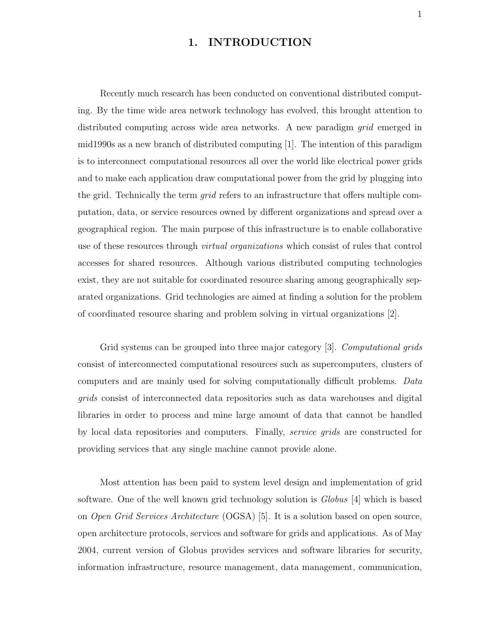### 1. INTRODUCTION

Recently much research has been conducted on conventional distributed computing. By the time wide area network technology has evolved, this brought attention to distributed computing across wide area networks. A new paradigm grid emerged in mid1990s as a new branch of distributed computing [1]. The intention of this paradigm is to interconnect computational resources all over the world like electrical power grids and to make each application draw computational power from the grid by plugging into the grid. Technically the term *qrid* refers to an infrastructure that offers multiple computation, data, or service resources owned by different organizations and spread over a geographical region. The main purpose of this infrastructure is to enable collaborative use of these resources through *virtual organizations* which consist of rules that control accesses for shared resources. Although various distributed computing technologies exist, they are not suitable for coordinated resource sharing among geographically separated organizations. Grid technologies are aimed at finding a solution for the problem of coordinated resource sharing and problem solving in virtual organizations [2].

Grid systems can be grouped into three major category [3]. Computational grids consist of interconnected computational resources such as supercomputers, clusters of computers and are mainly used for solving computationally difficult problems. Data grids consist of interconnected data repositories such as data warehouses and digital libraries in order to process and mine large amount of data that cannot be handled by local data repositories and computers. Finally, service grids are constructed for providing services that any single machine cannot provide alone.

Most attention has been paid to system level design and implementation of grid software. One of the well known grid technology solution is Globus [4] which is based on Open Grid Services Architecture (OGSA) [5]. It is a solution based on open source, open architecture protocols, services and software for grids and applications. As of May 2004, current version of Globus provides services and software libraries for security, information infrastructure, resource management, data management, communication,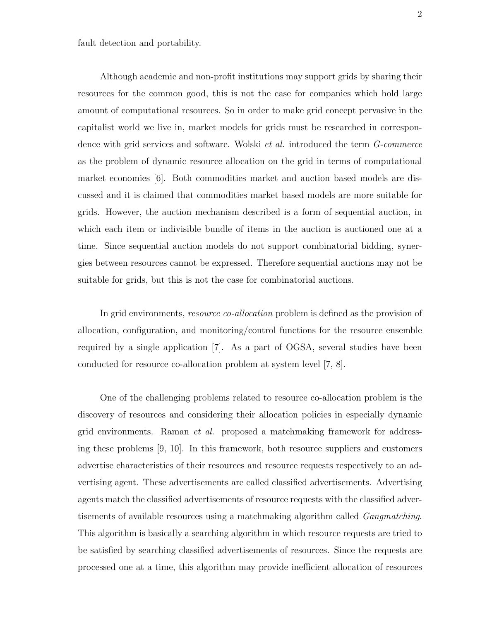fault detection and portability.

Although academic and non-profit institutions may support grids by sharing their resources for the common good, this is not the case for companies which hold large amount of computational resources. So in order to make grid concept pervasive in the capitalist world we live in, market models for grids must be researched in correspondence with grid services and software. Wolski *et al.* introduced the term *G-commerce* as the problem of dynamic resource allocation on the grid in terms of computational market economies [6]. Both commodities market and auction based models are discussed and it is claimed that commodities market based models are more suitable for grids. However, the auction mechanism described is a form of sequential auction, in which each item or indivisible bundle of items in the auction is auctioned one at a time. Since sequential auction models do not support combinatorial bidding, synergies between resources cannot be expressed. Therefore sequential auctions may not be suitable for grids, but this is not the case for combinatorial auctions.

In grid environments, *resource co-allocation* problem is defined as the provision of allocation, configuration, and monitoring/control functions for the resource ensemble required by a single application [7]. As a part of OGSA, several studies have been conducted for resource co-allocation problem at system level [7, 8].

One of the challenging problems related to resource co-allocation problem is the discovery of resources and considering their allocation policies in especially dynamic grid environments. Raman et al. proposed a matchmaking framework for addressing these problems [9, 10]. In this framework, both resource suppliers and customers advertise characteristics of their resources and resource requests respectively to an advertising agent. These advertisements are called classified advertisements. Advertising agents match the classified advertisements of resource requests with the classified advertisements of available resources using a matchmaking algorithm called Gangmatching. This algorithm is basically a searching algorithm in which resource requests are tried to be satisfied by searching classified advertisements of resources. Since the requests are processed one at a time, this algorithm may provide inefficient allocation of resources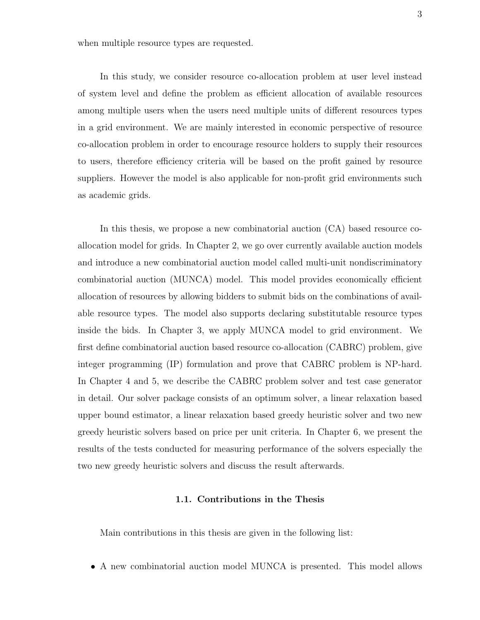when multiple resource types are requested.

In this study, we consider resource co-allocation problem at user level instead of system level and define the problem as efficient allocation of available resources among multiple users when the users need multiple units of different resources types in a grid environment. We are mainly interested in economic perspective of resource co-allocation problem in order to encourage resource holders to supply their resources to users, therefore efficiency criteria will be based on the profit gained by resource suppliers. However the model is also applicable for non-profit grid environments such as academic grids.

In this thesis, we propose a new combinatorial auction (CA) based resource coallocation model for grids. In Chapter 2, we go over currently available auction models and introduce a new combinatorial auction model called multi-unit nondiscriminatory combinatorial auction (MUNCA) model. This model provides economically efficient allocation of resources by allowing bidders to submit bids on the combinations of available resource types. The model also supports declaring substitutable resource types inside the bids. In Chapter 3, we apply MUNCA model to grid environment. We first define combinatorial auction based resource co-allocation (CABRC) problem, give integer programming (IP) formulation and prove that CABRC problem is NP-hard. In Chapter 4 and 5, we describe the CABRC problem solver and test case generator in detail. Our solver package consists of an optimum solver, a linear relaxation based upper bound estimator, a linear relaxation based greedy heuristic solver and two new greedy heuristic solvers based on price per unit criteria. In Chapter 6, we present the results of the tests conducted for measuring performance of the solvers especially the two new greedy heuristic solvers and discuss the result afterwards.

#### 1.1. Contributions in the Thesis

Main contributions in this thesis are given in the following list:

• A new combinatorial auction model MUNCA is presented. This model allows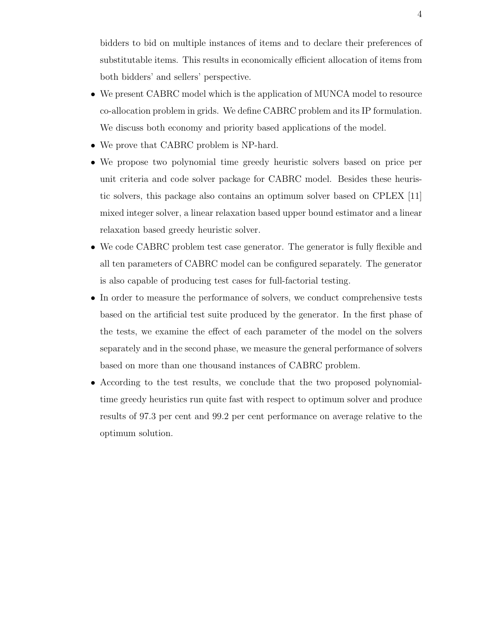bidders to bid on multiple instances of items and to declare their preferences of substitutable items. This results in economically efficient allocation of items from both bidders' and sellers' perspective.

- We present CABRC model which is the application of MUNCA model to resource co-allocation problem in grids. We define CABRC problem and its IP formulation. We discuss both economy and priority based applications of the model.
- We prove that CABRC problem is NP-hard.
- We propose two polynomial time greedy heuristic solvers based on price per unit criteria and code solver package for CABRC model. Besides these heuristic solvers, this package also contains an optimum solver based on CPLEX [11] mixed integer solver, a linear relaxation based upper bound estimator and a linear relaxation based greedy heuristic solver.
- We code CABRC problem test case generator. The generator is fully flexible and all ten parameters of CABRC model can be configured separately. The generator is also capable of producing test cases for full-factorial testing.
- In order to measure the performance of solvers, we conduct comprehensive tests based on the artificial test suite produced by the generator. In the first phase of the tests, we examine the effect of each parameter of the model on the solvers separately and in the second phase, we measure the general performance of solvers based on more than one thousand instances of CABRC problem.
- According to the test results, we conclude that the two proposed polynomialtime greedy heuristics run quite fast with respect to optimum solver and produce results of 97.3 per cent and 99.2 per cent performance on average relative to the optimum solution.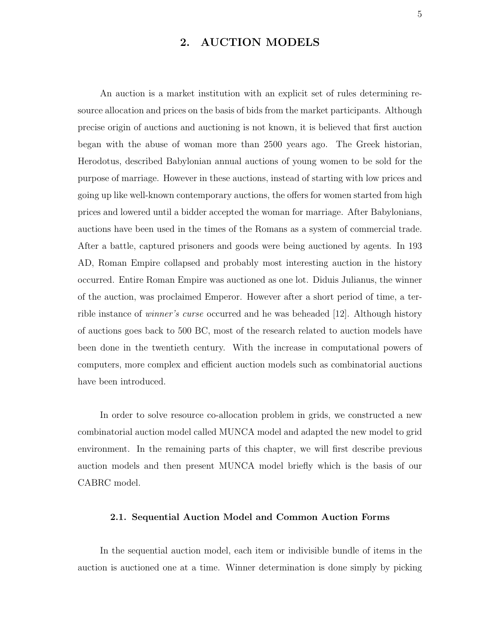### 2. AUCTION MODELS

An auction is a market institution with an explicit set of rules determining resource allocation and prices on the basis of bids from the market participants. Although precise origin of auctions and auctioning is not known, it is believed that first auction began with the abuse of woman more than 2500 years ago. The Greek historian, Herodotus, described Babylonian annual auctions of young women to be sold for the purpose of marriage. However in these auctions, instead of starting with low prices and going up like well-known contemporary auctions, the offers for women started from high prices and lowered until a bidder accepted the woman for marriage. After Babylonians, auctions have been used in the times of the Romans as a system of commercial trade. After a battle, captured prisoners and goods were being auctioned by agents. In 193 AD, Roman Empire collapsed and probably most interesting auction in the history occurred. Entire Roman Empire was auctioned as one lot. Diduis Julianus, the winner of the auction, was proclaimed Emperor. However after a short period of time, a terrible instance of winner's curse occurred and he was beheaded [12]. Although history of auctions goes back to 500 BC, most of the research related to auction models have been done in the twentieth century. With the increase in computational powers of computers, more complex and efficient auction models such as combinatorial auctions have been introduced.

In order to solve resource co-allocation problem in grids, we constructed a new combinatorial auction model called MUNCA model and adapted the new model to grid environment. In the remaining parts of this chapter, we will first describe previous auction models and then present MUNCA model briefly which is the basis of our CABRC model.

#### 2.1. Sequential Auction Model and Common Auction Forms

In the sequential auction model, each item or indivisible bundle of items in the auction is auctioned one at a time. Winner determination is done simply by picking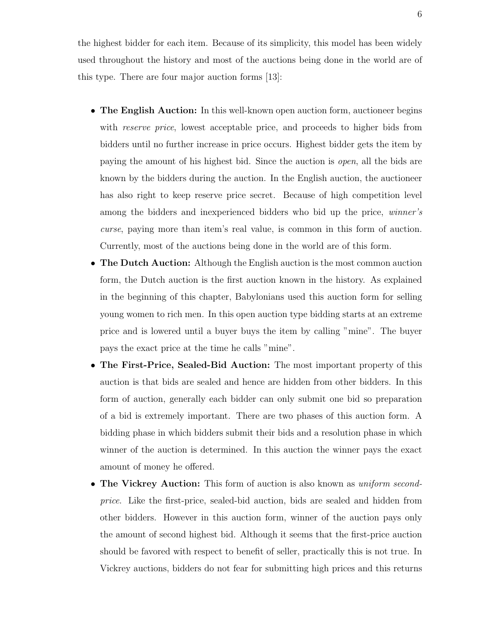the highest bidder for each item. Because of its simplicity, this model has been widely used throughout the history and most of the auctions being done in the world are of this type. There are four major auction forms [13]:

- The English Auction: In this well-known open auction form, auctioneer begins with *reserve price*, lowest acceptable price, and proceeds to higher bids from bidders until no further increase in price occurs. Highest bidder gets the item by paying the amount of his highest bid. Since the auction is open, all the bids are known by the bidders during the auction. In the English auction, the auctioneer has also right to keep reserve price secret. Because of high competition level among the bidders and inexperienced bidders who bid up the price, *winner's* curse, paying more than item's real value, is common in this form of auction. Currently, most of the auctions being done in the world are of this form.
- The Dutch Auction: Although the English auction is the most common auction form, the Dutch auction is the first auction known in the history. As explained in the beginning of this chapter, Babylonians used this auction form for selling young women to rich men. In this open auction type bidding starts at an extreme price and is lowered until a buyer buys the item by calling "mine". The buyer pays the exact price at the time he calls "mine".
- The First-Price, Sealed-Bid Auction: The most important property of this auction is that bids are sealed and hence are hidden from other bidders. In this form of auction, generally each bidder can only submit one bid so preparation of a bid is extremely important. There are two phases of this auction form. A bidding phase in which bidders submit their bids and a resolution phase in which winner of the auction is determined. In this auction the winner pays the exact amount of money he offered.
- The Vickrey Auction: This form of auction is also known as *uniform second*price. Like the first-price, sealed-bid auction, bids are sealed and hidden from other bidders. However in this auction form, winner of the auction pays only the amount of second highest bid. Although it seems that the first-price auction should be favored with respect to benefit of seller, practically this is not true. In Vickrey auctions, bidders do not fear for submitting high prices and this returns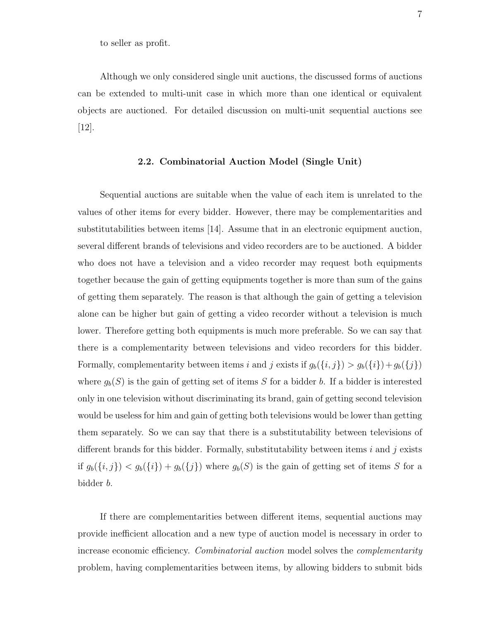to seller as profit.

Although we only considered single unit auctions, the discussed forms of auctions can be extended to multi-unit case in which more than one identical or equivalent objects are auctioned. For detailed discussion on multi-unit sequential auctions see  $|12|$ .

#### 2.2. Combinatorial Auction Model (Single Unit)

Sequential auctions are suitable when the value of each item is unrelated to the values of other items for every bidder. However, there may be complementarities and substitutabilities between items [14]. Assume that in an electronic equipment auction, several different brands of televisions and video recorders are to be auctioned. A bidder who does not have a television and a video recorder may request both equipments together because the gain of getting equipments together is more than sum of the gains of getting them separately. The reason is that although the gain of getting a television alone can be higher but gain of getting a video recorder without a television is much lower. Therefore getting both equipments is much more preferable. So we can say that there is a complementarity between televisions and video recorders for this bidder. Formally, complementarity between items i and j exists if  $g_b({i, j}) > g_b({i}) + g_b({j})$ where  $g_b(S)$  is the gain of getting set of items S for a bidder b. If a bidder is interested only in one television without discriminating its brand, gain of getting second television would be useless for him and gain of getting both televisions would be lower than getting them separately. So we can say that there is a substitutability between televisions of different brands for this bidder. Formally, substitutability between items  $i$  and  $j$  exists if  $g_b({i, j}) < g_b({i}) + g_b({j})$  where  $g_b(S)$  is the gain of getting set of items S for a bidder b.

If there are complementarities between different items, sequential auctions may provide inefficient allocation and a new type of auction model is necessary in order to increase economic efficiency. Combinatorial auction model solves the complementarity problem, having complementarities between items, by allowing bidders to submit bids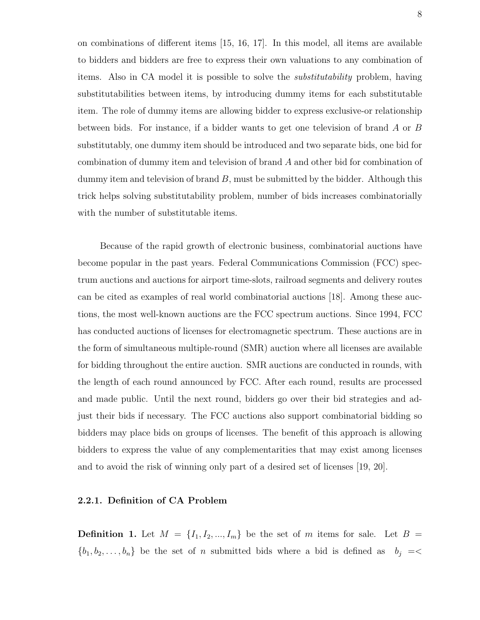on combinations of different items [15, 16, 17]. In this model, all items are available to bidders and bidders are free to express their own valuations to any combination of items. Also in CA model it is possible to solve the substitutability problem, having substitutabilities between items, by introducing dummy items for each substitutable item. The role of dummy items are allowing bidder to express exclusive-or relationship between bids. For instance, if a bidder wants to get one television of brand A or B substitutably, one dummy item should be introduced and two separate bids, one bid for combination of dummy item and television of brand A and other bid for combination of dummy item and television of brand  $B$ , must be submitted by the bidder. Although this trick helps solving substitutability problem, number of bids increases combinatorially with the number of substitutable items.

Because of the rapid growth of electronic business, combinatorial auctions have become popular in the past years. Federal Communications Commission (FCC) spectrum auctions and auctions for airport time-slots, railroad segments and delivery routes can be cited as examples of real world combinatorial auctions [18]. Among these auctions, the most well-known auctions are the FCC spectrum auctions. Since 1994, FCC has conducted auctions of licenses for electromagnetic spectrum. These auctions are in the form of simultaneous multiple-round (SMR) auction where all licenses are available for bidding throughout the entire auction. SMR auctions are conducted in rounds, with the length of each round announced by FCC. After each round, results are processed and made public. Until the next round, bidders go over their bid strategies and adjust their bids if necessary. The FCC auctions also support combinatorial bidding so bidders may place bids on groups of licenses. The benefit of this approach is allowing bidders to express the value of any complementarities that may exist among licenses and to avoid the risk of winning only part of a desired set of licenses [19, 20].

#### 2.2.1. Definition of CA Problem

**Definition 1.** Let  $M = \{I_1, I_2, ..., I_m\}$  be the set of m items for sale. Let  $B =$  $\{b_1, b_2, \ldots, b_n\}$  be the set of n submitted bids where a bid is defined as  $b_j = \langle b_1, b_2, \ldots, b_n \rangle$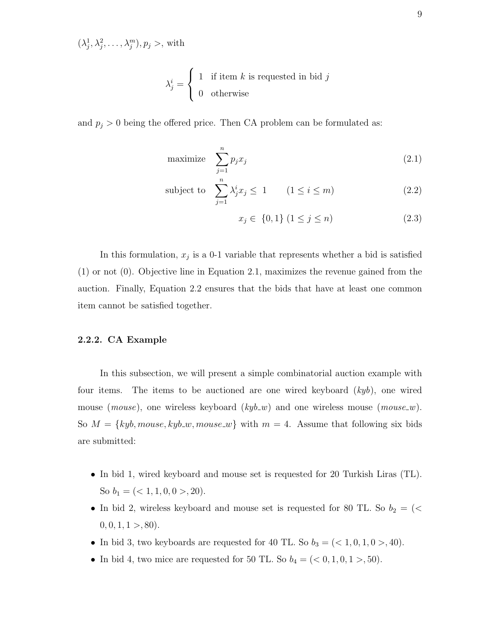$(\lambda_j^1, \lambda_j^2, \ldots, \lambda_j^m), p_j >$ , with

$$
\lambda_j^i = \begin{cases} 1 & \text{if item } k \text{ is requested in bid } j \\ 0 & \text{otherwise} \end{cases}
$$

and  $p_j > 0$  being the offered price. Then CA problem can be formulated as:

$$
\text{maximize} \quad \sum_{j=1}^{n} p_j x_j \tag{2.1}
$$

subject to 
$$
\sum_{j=1}^{n} \lambda_j^i x_j \le 1 \qquad (1 \le i \le m)
$$
 (2.2)

$$
x_j \in \{0, 1\} \ (1 \le j \le n) \tag{2.3}
$$

In this formulation,  $x_j$  is a 0-1 variable that represents whether a bid is satisfied (1) or not (0). Objective line in Equation 2.1, maximizes the revenue gained from the auction. Finally, Equation 2.2 ensures that the bids that have at least one common item cannot be satisfied together.

#### 2.2.2. CA Example

In this subsection, we will present a simple combinatorial auction example with four items. The items to be auctioned are one wired keyboard  $(kyb)$ , one wired mouse (*mouse*), one wireless keyboard ( $kyb_w$ ) and one wireless mouse (*mouse\_w*). So  $M = \{kyb, mouse, kyb_w, mouse_w\}$  with  $m = 4$ . Assume that following six bids are submitted:

- In bid 1, wired keyboard and mouse set is requested for 20 Turkish Liras (TL). So  $b_1 = \left( \langle 1, 1, 0, 0 \rangle, 20 \right)$ .
- In bid 2, wireless keyboard and mouse set is requested for 80 TL. So  $b_2 = \langle \langle$  $0, 0, 1, 1 > 0.80$ .
- In bid 3, two keyboards are requested for 40 TL. So  $b_3 = \left( \langle 1, 0, 1, 0 \rangle, 40 \right)$ .
- In bid 4, two mice are requested for 50 TL. So  $b_4 = (0, 1, 0, 1, 0, 1, 50)$ .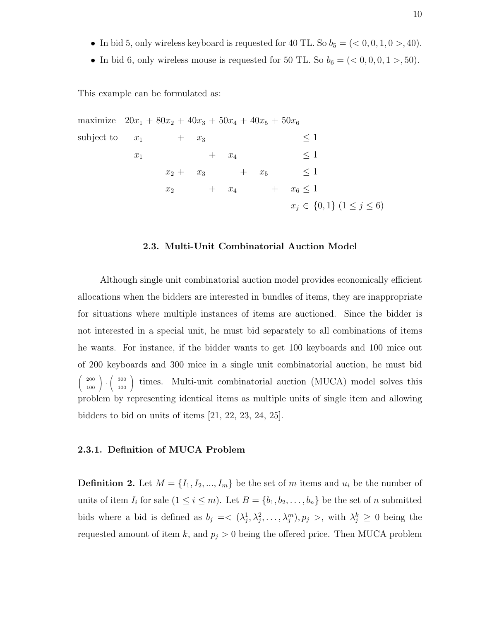- In bid 5, only wireless keyboard is requested for 40 TL. So  $b_5 = \left( < 0, 0, 1, 0, \gt; 40\right)$ .
- In bid 6, only wireless mouse is requested for 50 TL. So  $b_6 = \left( \langle 0, 0, 0, 1 \rangle, 50 \right)$ .

This example can be formulated as:

maximize 
$$
20x_1 + 80x_2 + 40x_3 + 50x_4 + 40x_5 + 50x_6
$$
  
\nsubject to  $x_1 + x_3 \le 1$   
\n $x_1 + x_4 \le 1$   
\n $x_2 + x_3 + x_5 \le 1$   
\n $x_2 + x_4 + x_6 \le 1$   
\n $x_j \in \{0, 1\} \ (1 \le j \le 6)$ 

#### 2.3. Multi-Unit Combinatorial Auction Model

Although single unit combinatorial auction model provides economically efficient allocations when the bidders are interested in bundles of items, they are inappropriate for situations where multiple instances of items are auctioned. Since the bidder is not interested in a special unit, he must bid separately to all combinations of items he wants. For instance, if the bidder wants to get 100 keyboards and 100 mice out of 200 keyboards and 300 mice in a single unit combinatorial auction, he must bid  $\sqrt{2}$  $\mathcal{L}$ 200 100  $\big) \cdot \big($  $\mathcal{L}$ 300 100 times. Multi-unit combinatorial auction (MUCA) model solves this problem by representing identical items as multiple units of single item and allowing bidders to bid on units of items [21, 22, 23, 24, 25].

#### 2.3.1. Definition of MUCA Problem

**Definition 2.** Let  $M = \{I_1, I_2, ..., I_m\}$  be the set of m items and  $u_i$  be the number of units of item  $I_i$  for sale  $(1 \leq i \leq m)$ . Let  $B = \{b_1, b_2, \ldots, b_n\}$  be the set of n submitted bids where a bid is defined as  $b_j = \langle (\lambda_j^1, \lambda_j^2, \dots, \lambda_j^m), p_j \rangle$ , with  $\lambda_j^k \geq 0$  being the requested amount of item k, and  $p_j > 0$  being the offered price. Then MUCA problem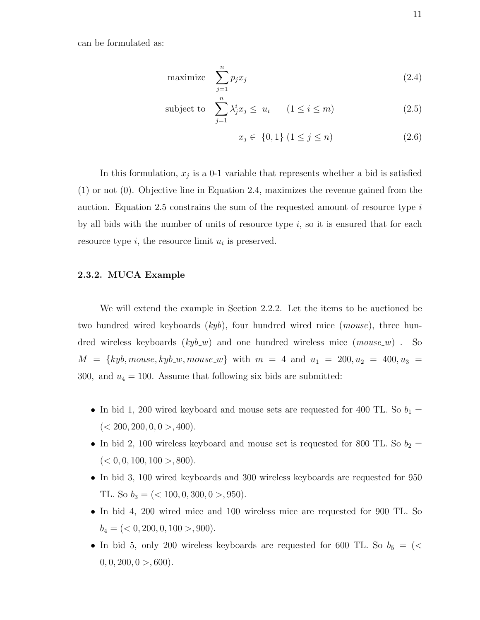can be formulated as:

$$
\text{maximize} \quad \sum_{j=1}^{n} p_j x_j \tag{2.4}
$$

subject to 
$$
\sum_{j=1}^{n} \lambda_j^i x_j \leq u_i \qquad (1 \leq i \leq m)
$$
 (2.5)

$$
x_j \in \{0, 1\} \ (1 \le j \le n) \tag{2.6}
$$

In this formulation,  $x_j$  is a 0-1 variable that represents whether a bid is satisfied (1) or not (0). Objective line in Equation 2.4, maximizes the revenue gained from the auction. Equation 2.5 constrains the sum of the requested amount of resource type  $i$ by all bids with the number of units of resource type  $i$ , so it is ensured that for each resource type  $i$ , the resource limit  $u_i$  is preserved.

#### 2.3.2. MUCA Example

We will extend the example in Section 2.2.2. Let the items to be auctioned be two hundred wired keyboards  $(kyb)$ , four hundred wired mice  $(mouse)$ , three hundred wireless keyboards  $(kyb_w)$  and one hundred wireless mice  $(mouse_w)$ . So  $M = \{kyb, mouse, kyb_w, mouse_w\}$  with  $m = 4$  and  $u_1 = 200, u_2 = 400, u_3 = 100$ 300, and  $u_4 = 100$ . Assume that following six bids are submitted:

- In bid 1, 200 wired keyboard and mouse sets are requested for 400 TL. So  $b_1 =$  $(< 200, 200, 0, 0 > 400).$
- In bid 2, 100 wireless keyboard and mouse set is requested for 800 TL. So  $b_2 =$  $(< 0, 0, 100, 100 > 0.800).$
- In bid 3, 100 wired keyboards and 300 wireless keyboards are requested for 950 TL. So  $b_3 = \left( \langle 100, 0, 300, 0 \rangle, 950 \right)$ .
- In bid 4, 200 wired mice and 100 wireless mice are requested for 900 TL. So  $b_4 = (0, 200, 0, 100 > 0.900).$
- In bid 5, only 200 wireless keyboards are requested for 600 TL. So  $b_5 = \langle \leq$  $0, 0, 200, 0 > 600$ .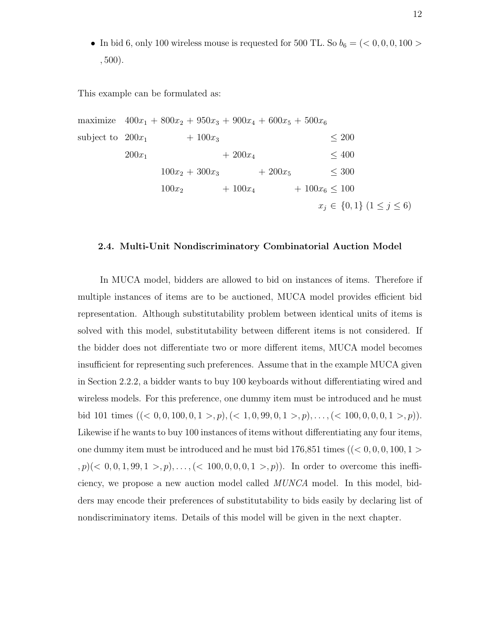• In bid 6, only 100 wireless mouse is requested for 500 TL. So  $b_6 = \left( \langle 0, 0, 0, 100 \rangle \right)$ , 500).

This example can be formulated as:

maximize  $400x_1 + 800x_2 + 950x_3 + 900x_4 + 600x_5 + 500x_6$ subject to  $200x_1 + 100x_3 \le 200$  $200x_1$  +  $200x_4$   $\leq 400$  $100x_2 + 300x_3 + 200x_5 \leq 300$  $100x_2$  +  $100x_4$  +  $100x_6 \le 100$  $x_j \in \{0,1\}$   $(1 \leq j \leq 6)$ 

#### 2.4. Multi-Unit Nondiscriminatory Combinatorial Auction Model

In MUCA model, bidders are allowed to bid on instances of items. Therefore if multiple instances of items are to be auctioned, MUCA model provides efficient bid representation. Although substitutability problem between identical units of items is solved with this model, substitutability between different items is not considered. If the bidder does not differentiate two or more different items, MUCA model becomes insufficient for representing such preferences. Assume that in the example MUCA given in Section 2.2.2, a bidder wants to buy 100 keyboards without differentiating wired and wireless models. For this preference, one dummy item must be introduced and he must bid 101 times  $((< 0, 0, 100, 0, 1 > p), ((< 1, 0, 99, 0, 1 > p), ..., ((< 100, 0, 0, 0, 1 > p)).$ Likewise if he wants to buy 100 instances of items without differentiating any four items, one dummy item must be introduced and he must bid  $176,851$  times ( $( $0, 0, 0, 100, 1>$ )$  $(p, p)$  ( $0, 0, 1, 99, 1, \ldots$ ,  $(< 100, 0, 0, 0, 1, \ldots, p)$ ). In order to overcome this inefficiency, we propose a new auction model called MUNCA model. In this model, bidders may encode their preferences of substitutability to bids easily by declaring list of nondiscriminatory items. Details of this model will be given in the next chapter.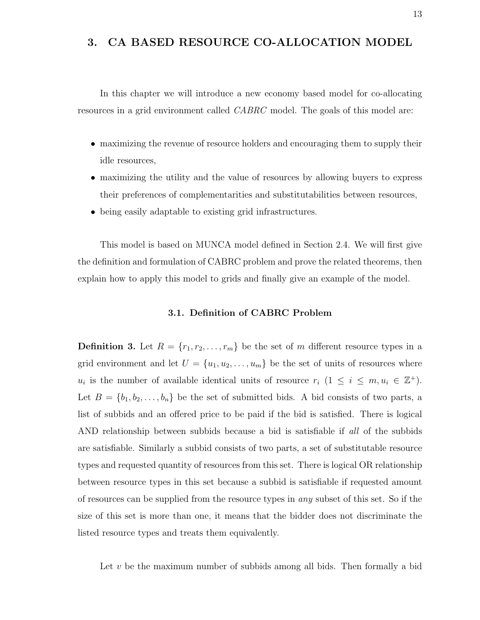### 3. CA BASED RESOURCE CO-ALLOCATION MODEL

In this chapter we will introduce a new economy based model for co-allocating resources in a grid environment called CABRC model. The goals of this model are:

- maximizing the revenue of resource holders and encouraging them to supply their idle resources,
- maximizing the utility and the value of resources by allowing buyers to express their preferences of complementarities and substitutabilities between resources,
- being easily adaptable to existing grid infrastructures.

This model is based on MUNCA model defined in Section 2.4. We will first give the definition and formulation of CABRC problem and prove the related theorems, then explain how to apply this model to grids and finally give an example of the model.

#### 3.1. Definition of CABRC Problem

**Definition 3.** Let  $R = \{r_1, r_2, \ldots, r_m\}$  be the set of m different resource types in a grid environment and let  $U = \{u_1, u_2, \ldots, u_m\}$  be the set of units of resources where  $u_i$  is the number of available identical units of resource  $r_i$   $(1 \leq i \leq m, u_i \in \mathbb{Z}^+).$ Let  $B = \{b_1, b_2, \ldots, b_n\}$  be the set of submitted bids. A bid consists of two parts, a list of subbids and an offered price to be paid if the bid is satisfied. There is logical AND relationship between subbids because a bid is satisfiable if all of the subbids are satisfiable. Similarly a subbid consists of two parts, a set of substitutable resource types and requested quantity of resources from this set. There is logical OR relationship between resource types in this set because a subbid is satisfiable if requested amount of resources can be supplied from the resource types in any subset of this set. So if the size of this set is more than one, it means that the bidder does not discriminate the listed resource types and treats them equivalently.

Let  $v$  be the maximum number of subbids among all bids. Then formally a bid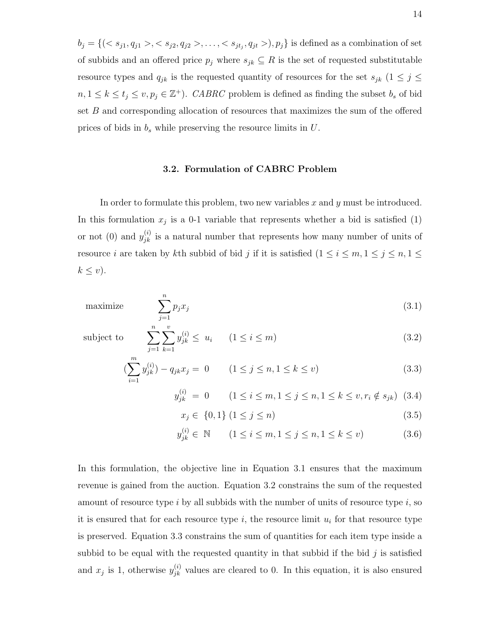$b_j = \{ (s_1, q_{j1} > s_1 < s_{j2}, q_{j2} > s_1, \ldots, s_{jt_j}, q_{jt} > t_j, p_j \}$  is defined as a combination of set of subbids and an offered price  $p_j$  where  $s_{jk} \subseteq R$  is the set of requested substitutable resource types and  $q_{jk}$  is the requested quantity of resources for the set  $s_{jk}$  ( $1 \leq j \leq$  $n, 1 \leq k \leq t_j \leq v, p_j \in \mathbb{Z}^+$ ). CABRC problem is defined as finding the subset  $b_s$  of bid set B and corresponding allocation of resources that maximizes the sum of the offered prices of bids in  $b_s$  while preserving the resource limits in  $U$ .

#### 3.2. Formulation of CABRC Problem

In order to formulate this problem, two new variables  $x$  and  $y$  must be introduced. In this formulation  $x_j$  is a 0-1 variable that represents whether a bid is satisfied (1) or not (0) and  $y_{jk}^{(i)}$  is a natural number that represents how many number of units of resource *i* are taken by kth subbid of bid *j* if it is satisfied  $(1 \le i \le m, 1 \le j \le n, 1 \le m)$  $k \leq v$ ).

maximize 
$$
\sum_{j=1}^{n} p_j x_j \tag{3.1}
$$

subject to

$$
\sum_{j=1}^{n} \sum_{k=1}^{v} y_{jk}^{(i)} \le u_i \qquad (1 \le i \le m)
$$
\n
$$
\sum_{m}^{m} y_{jk}^{(i)} \le u_j \qquad (3.2)
$$

$$
\left(\sum_{i=1}^{m} y_{jk}^{(i)}\right) - q_{jk} x_j = 0 \qquad (1 \le j \le n, 1 \le k \le v)
$$
\n(3.3)

$$
y_{jk}^{(i)} = 0 \qquad (1 \le i \le m, 1 \le j \le n, 1 \le k \le v, r_i \notin s_{jk}) \tag{3.4}
$$

 $x_j \in \{0, 1\} \ (1 \le j \le n)$  (3.5)

$$
y_{jk}^{(i)} \in \mathbb{N} \qquad (1 \le i \le m, 1 \le j \le n, 1 \le k \le v)
$$
 (3.6)

In this formulation, the objective line in Equation 3.1 ensures that the maximum revenue is gained from the auction. Equation 3.2 constrains the sum of the requested amount of resource type i by all subbids with the number of units of resource type i, so it is ensured that for each resource type  $i$ , the resource limit  $u_i$  for that resource type is preserved. Equation 3.3 constrains the sum of quantities for each item type inside a subbid to be equal with the requested quantity in that subbid if the bid  $j$  is satisfied and  $x_j$  is 1, otherwise  $y_{jk}^{(i)}$  values are cleared to 0. In this equation, it is also ensured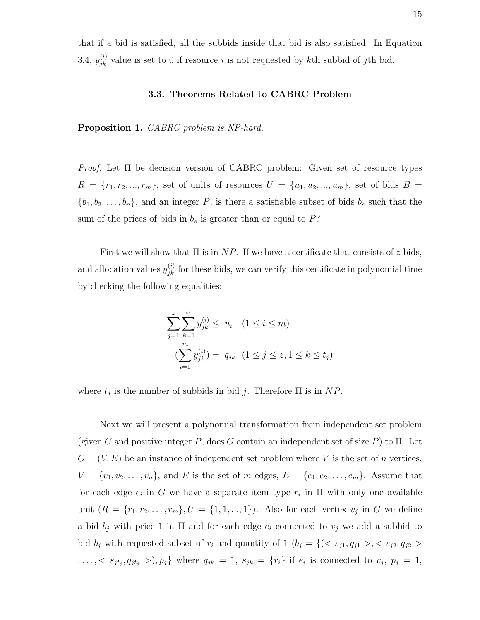that if a bid is satisfied, all the subbids inside that bid is also satisfied. In Equation 3.4,  $y_{jk}^{(i)}$  value is set to 0 if resource i is not requested by kth subbid of jth bid.

#### 3.3. Theorems Related to CABRC Problem

Proposition 1. CABRC problem is NP-hard.

*Proof.* Let  $\Pi$  be decision version of CABRC problem: Given set of resource types  $R = \{r_1, r_2, ..., r_m\}$ , set of units of resources  $U = \{u_1, u_2, ..., u_m\}$ , set of bids  $B =$  $\{b_1, b_2, \ldots, b_n\}$ , and an integer P, is there a satisfiable subset of bids  $b_s$  such that the sum of the prices of bids in  $b_s$  is greater than or equal to  $P$ ?

First we will show that  $\Pi$  is in  $NP$ . If we have a certificate that consists of z bids, and allocation values  $y_{jk}^{(i)}$  for these bids, we can verify this certificate in polynomial time by checking the following equalities:

$$
\sum_{j=1}^{z} \sum_{k=1}^{t_j} y_{jk}^{(i)} \le u_i \quad (1 \le i \le m)
$$

$$
\sum_{i=1}^{m} y_{jk}^{(i)} = q_{jk} \quad (1 \le j \le z, 1 \le k \le t_j)
$$

where  $t_j$  is the number of subbids in bid j. Therefore  $\Pi$  is in  $NP$ .

Next we will present a polynomial transformation from independent set problem (given G and positive integer P, does G contain an independent set of size P) to  $\Pi$ . Let  $G = (V, E)$  be an instance of independent set problem where V is the set of n vertices,  $V = \{v_1, v_2, \ldots, v_n\}$ , and E is the set of m edges,  $E = \{e_1, e_2, \ldots, e_m\}$ . Assume that for each edge  $e_i$  in G we have a separate item type  $r_i$  in  $\Pi$  with only one available unit  $(R = \{r_1, r_2, \dots, r_m\}, U = \{1, 1, ..., 1\})$ . Also for each vertex  $v_j$  in G we define a bid  $b_j$  with price 1 in  $\Pi$  and for each edge  $e_i$  connected to  $v_j$  we add a subbid to bid  $b_j$  with requested subset of  $r_i$  and quantity of 1  $(b_j = \{(, s_{j2}, q_{j2} > \}$  $,...,< s_{jt_j}, q_{jt_j} >), p_j$ } where  $q_{jk} = 1, s_{jk} = \{r_i\}$  if  $e_i$  is connected to  $v_j, p_j = 1,$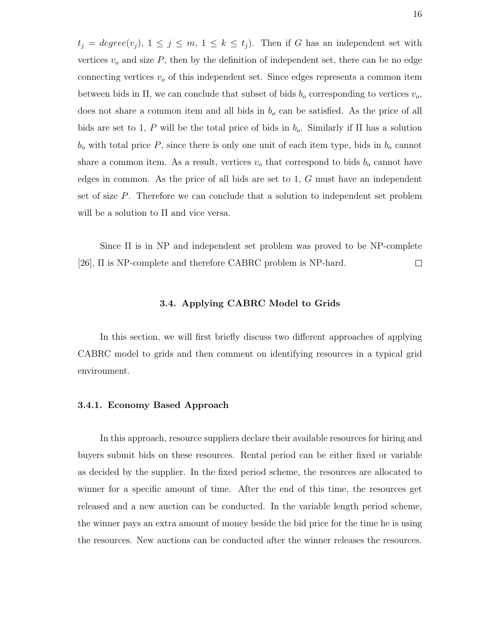$t_j = degree(v_j), 1 \leq j \leq m, 1 \leq k \leq t_j$ . Then if G has an independent set with vertices  $v<sub>o</sub>$  and size  $P$ , then by the definition of independent set, there can be no edge connecting vertices  $v<sub>o</sub>$  of this independent set. Since edges represents a common item between bids in  $\Pi$ , we can conclude that subset of bids  $b<sub>o</sub>$  corresponding to vertices  $v<sub>o</sub>$ , does not share a common item and all bids in  $b<sub>o</sub>$  can be satisfied. As the price of all bids are set to 1, P will be the total price of bids in  $b<sub>o</sub>$ . Similarly if  $\Pi$  has a solution  $b<sub>o</sub>$  with total price P, since there is only one unit of each item type, bids in  $b<sub>o</sub>$  cannot share a common item. As a result, vertices  $v<sub>o</sub>$  that correspond to bids  $b<sub>o</sub>$  cannot have edges in common. As the price of all bids are set to 1, G must have an independent set of size P. Therefore we can conclude that a solution to independent set problem will be a solution to Π and vice versa.

Since Π is in NP and independent set problem was proved to be NP-complete [26], Π is NP-complete and therefore CABRC problem is NP-hard. □

#### 3.4. Applying CABRC Model to Grids

In this section, we will first briefly discuss two different approaches of applying CABRC model to grids and then comment on identifying resources in a typical grid environment.

#### 3.4.1. Economy Based Approach

In this approach, resource suppliers declare their available resources for hiring and buyers submit bids on these resources. Rental period can be either fixed or variable as decided by the supplier. In the fixed period scheme, the resources are allocated to winner for a specific amount of time. After the end of this time, the resources get released and a new auction can be conducted. In the variable length period scheme, the winner pays an extra amount of money beside the bid price for the time he is using the resources. New auctions can be conducted after the winner releases the resources.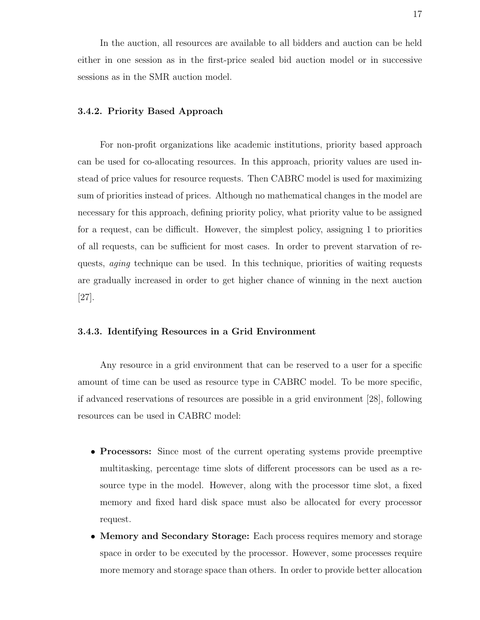In the auction, all resources are available to all bidders and auction can be held either in one session as in the first-price sealed bid auction model or in successive sessions as in the SMR auction model.

#### 3.4.2. Priority Based Approach

For non-profit organizations like academic institutions, priority based approach can be used for co-allocating resources. In this approach, priority values are used instead of price values for resource requests. Then CABRC model is used for maximizing sum of priorities instead of prices. Although no mathematical changes in the model are necessary for this approach, defining priority policy, what priority value to be assigned for a request, can be difficult. However, the simplest policy, assigning 1 to priorities of all requests, can be sufficient for most cases. In order to prevent starvation of requests, aging technique can be used. In this technique, priorities of waiting requests are gradually increased in order to get higher chance of winning in the next auction [27].

#### 3.4.3. Identifying Resources in a Grid Environment

Any resource in a grid environment that can be reserved to a user for a specific amount of time can be used as resource type in CABRC model. To be more specific, if advanced reservations of resources are possible in a grid environment [28], following resources can be used in CABRC model:

- Processors: Since most of the current operating systems provide preemptive multitasking, percentage time slots of different processors can be used as a resource type in the model. However, along with the processor time slot, a fixed memory and fixed hard disk space must also be allocated for every processor request.
- Memory and Secondary Storage: Each process requires memory and storage space in order to be executed by the processor. However, some processes require more memory and storage space than others. In order to provide better allocation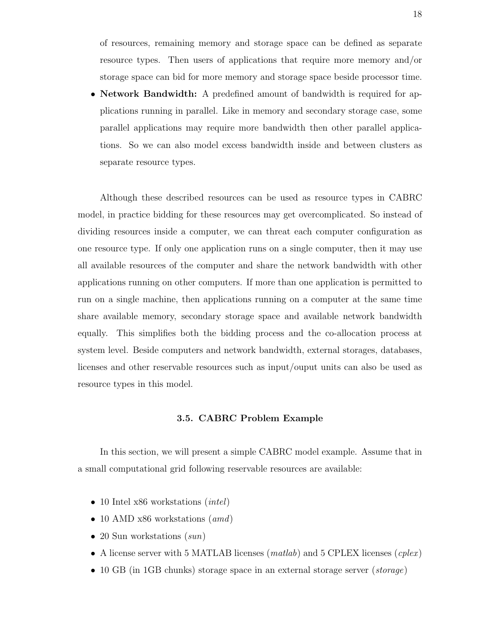of resources, remaining memory and storage space can be defined as separate resource types. Then users of applications that require more memory and/or storage space can bid for more memory and storage space beside processor time.

• Network Bandwidth: A predefined amount of bandwidth is required for applications running in parallel. Like in memory and secondary storage case, some parallel applications may require more bandwidth then other parallel applications. So we can also model excess bandwidth inside and between clusters as separate resource types.

Although these described resources can be used as resource types in CABRC model, in practice bidding for these resources may get overcomplicated. So instead of dividing resources inside a computer, we can threat each computer configuration as one resource type. If only one application runs on a single computer, then it may use all available resources of the computer and share the network bandwidth with other applications running on other computers. If more than one application is permitted to run on a single machine, then applications running on a computer at the same time share available memory, secondary storage space and available network bandwidth equally. This simplifies both the bidding process and the co-allocation process at system level. Beside computers and network bandwidth, external storages, databases, licenses and other reservable resources such as input/ouput units can also be used as resource types in this model.

#### 3.5. CABRC Problem Example

In this section, we will present a simple CABRC model example. Assume that in a small computational grid following reservable resources are available:

- 10 Intel x86 workstations *(intel)*
- 10 AMD x86 workstations (amd)
- 20 Sun workstations  $(sun)$
- A license server with 5 MATLAB licenses  $(matlab)$  and 5 CPLEX licenses  $(cplex)$
- 10 GB (in 1GB chunks) storage space in an external storage server (storage)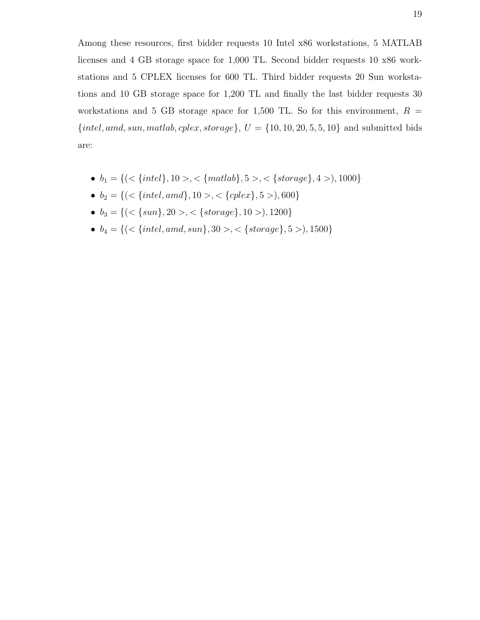Among these resources, first bidder requests 10 Intel x86 workstations, 5 MATLAB licenses and 4 GB storage space for 1,000 TL. Second bidder requests 10 x86 workstations and 5 CPLEX licenses for 600 TL. Third bidder requests 20 Sun workstations and 10 GB storage space for 1,200 TL and finally the last bidder requests 30 workstations and 5 GB storage space for 1,500 TL. So for this environment,  $R =$  ${intel,amd, sun, matlab, cplex, storage}, U = {10, 10, 20, 5, 5, 10}$  and submitted bids are:

- $b_1 = \{(<{intel}, 10>, <{mathmkab}, 5>, <{entropy, 4>} \}$ , 1000 $\}$
- $b_2 = \{ (\langle \{intel, and \}, 10 \rangle, \langle \{cplex\}, 5 \rangle), 600 \}$
- $b_3 = \{(<{sun}\}, 20>, <{ {storage}\}, 10 > ),1200\}$
- $\bullet \ \ b_4 = \{(<\{intel,amd, sun\}, 30>, <\{storage\}, 5>), 1500\}$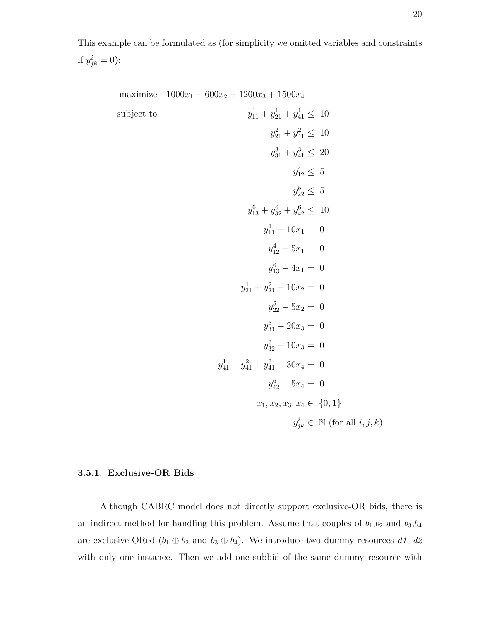This example can be formulated as (for simplicity we omitted variables and constraints if  $y_{jk}^i = 0$ ):

maximize 
$$
1000x_1 + 600x_2 + 1200x_3 + 1500x_4
$$
  
\nsubject to  
\n $y_{11}^1 + y_{21}^1 + y_{41}^1 \le 10$   
\n $y_{21}^2 + y_{41}^2 \le 10$   
\n $y_{31}^3 + y_{41}^3 \le 20$   
\n $y_{12}^4 \le 5$   
\n $y_{22}^6 \le 5$   
\n $y_{11}^6 + y_{32}^6 + y_{42}^6 \le 10$   
\n $y_{11}^1 - 10x_1 = 0$   
\n $y_{12}^4 - 5x_1 = 0$   
\n $y_{13}^6 - 4x_1 = 0$   
\n $y_{22}^5 - 5x_2 = 0$   
\n $y_{23}^5 - 5x_2 = 0$   
\n $y_{31}^3 - 20x_3 = 0$   
\n $y_{32}^6 - 10x_3 = 0$   
\n $y_{41}^4 + y_{41}^2 + y_{41}^3 - 30x_4 = 0$   
\n $y_{42}^6 - 5x_4 = 0$   
\n $x_1, x_2, x_3, x_4 \in \{0, 1\}$   
\n $y_{jk}^i \in \mathbb{N}$  (for all  $i, j, k$ )

#### 3.5.1. Exclusive-OR Bids

Although CABRC model does not directly support exclusive-OR bids, there is an indirect method for handling this problem. Assume that couples of  $b_1, b_2$  and  $b_3, b_4$ are exclusive-ORed  $(b_1 \oplus b_2 \text{ and } b_3 \oplus b_4)$ . We introduce two dummy resources d1, d2 with only one instance. Then we add one subbid of the same dummy resource with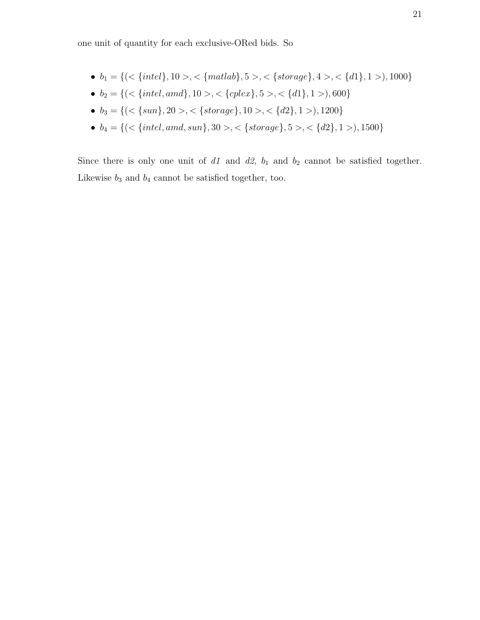one unit of quantity for each exclusive-ORed bids. So

- $b_1 = \{ ( \langle \{intel \}, 10 \rangle, \langle \{mathlab \}, 5 \rangle, \langle \{storage \}, 4 \rangle, \langle \{d1 \}, 1 \rangle), 1000 \}$
- $b_2 = \{ (\langle \{intel, and \}, 10 \rangle, \langle \{cplex\}, 5 \rangle, \langle \{d1\}, 1 \rangle), 600 \}$
- $b_3 = \{ (\langle \{sun \}, 20 \rangle, \langle \{ storage \}, 10 \rangle, \langle \{ d2 \}, 1 \rangle), 1200 \}$
- $b_4 = \{(<{intel,amd, sun}\}, 30>, <{left{stronge}\}, 5>, <{d2}\}, 1>, 1500\}$

Since there is only one unit of  $d1$  and  $d2$ ,  $b_1$  and  $b_2$  cannot be satisfied together. Likewise  $b_3$  and  $b_4$  cannot be satisfied together, too.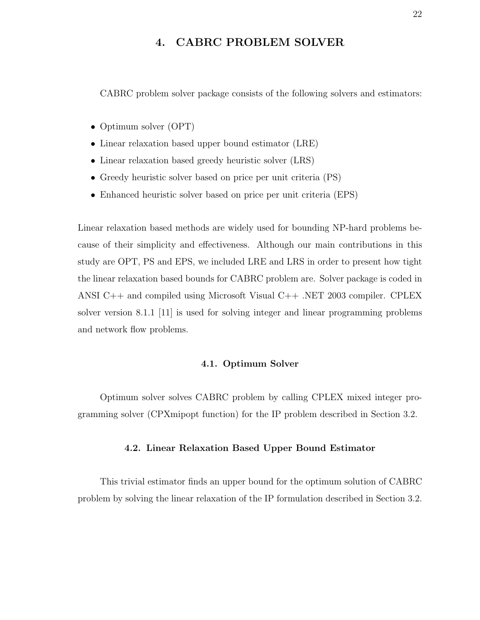### 4. CABRC PROBLEM SOLVER

CABRC problem solver package consists of the following solvers and estimators:

- Optimum solver (OPT)
- Linear relaxation based upper bound estimator (LRE)
- Linear relaxation based greedy heuristic solver (LRS)
- Greedy heuristic solver based on price per unit criteria (PS)
- Enhanced heuristic solver based on price per unit criteria (EPS)

Linear relaxation based methods are widely used for bounding NP-hard problems because of their simplicity and effectiveness. Although our main contributions in this study are OPT, PS and EPS, we included LRE and LRS in order to present how tight the linear relaxation based bounds for CABRC problem are. Solver package is coded in ANSI C++ and compiled using Microsoft Visual C++ .NET 2003 compiler. CPLEX solver version 8.1.1 [11] is used for solving integer and linear programming problems and network flow problems.

#### 4.1. Optimum Solver

Optimum solver solves CABRC problem by calling CPLEX mixed integer programming solver (CPXmipopt function) for the IP problem described in Section 3.2.

#### 4.2. Linear Relaxation Based Upper Bound Estimator

This trivial estimator finds an upper bound for the optimum solution of CABRC problem by solving the linear relaxation of the IP formulation described in Section 3.2.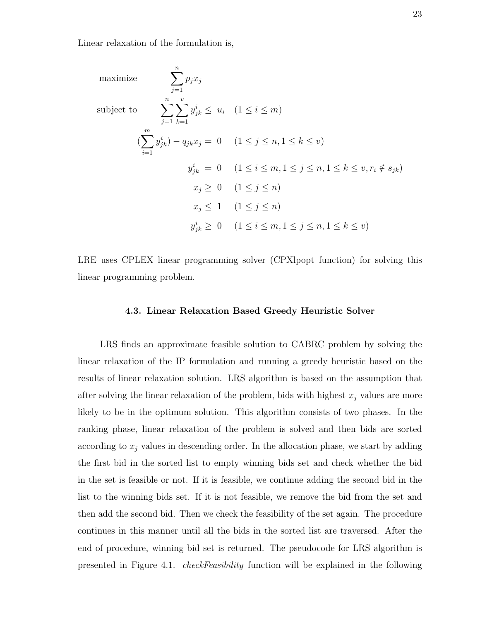Linear relaxation of the formulation is,

maximize  
\n
$$
\sum_{j=1}^{n} p_j x_j
$$
\nsubject to  
\n
$$
\sum_{j=1}^{n} \sum_{k=1}^{v} y_{jk}^i \leq u_i \quad (1 \leq i \leq m)
$$
\n
$$
(\sum_{i=1}^{m} y_{jk}^i) - q_{jk} x_j = 0 \quad (1 \leq j \leq n, 1 \leq k \leq v)
$$
\n
$$
y_{jk}^i = 0 \quad (1 \leq i \leq m, 1 \leq j \leq n, 1 \leq k \leq v, r_i \notin s_{jk})
$$
\n
$$
x_j \geq 0 \quad (1 \leq j \leq n)
$$
\n
$$
x_j \leq 1 \quad (1 \leq j \leq n)
$$
\n
$$
y_{jk}^i \geq 0 \quad (1 \leq i \leq m, 1 \leq j \leq n, 1 \leq k \leq v)
$$

LRE uses CPLEX linear programming solver (CPXlpopt function) for solving this linear programming problem.

#### 4.3. Linear Relaxation Based Greedy Heuristic Solver

LRS finds an approximate feasible solution to CABRC problem by solving the linear relaxation of the IP formulation and running a greedy heuristic based on the results of linear relaxation solution. LRS algorithm is based on the assumption that after solving the linear relaxation of the problem, bids with highest  $x_j$  values are more likely to be in the optimum solution. This algorithm consists of two phases. In the ranking phase, linear relaxation of the problem is solved and then bids are sorted according to  $x_j$  values in descending order. In the allocation phase, we start by adding the first bid in the sorted list to empty winning bids set and check whether the bid in the set is feasible or not. If it is feasible, we continue adding the second bid in the list to the winning bids set. If it is not feasible, we remove the bid from the set and then add the second bid. Then we check the feasibility of the set again. The procedure continues in this manner until all the bids in the sorted list are traversed. After the end of procedure, winning bid set is returned. The pseudocode for LRS algorithm is presented in Figure 4.1. checkFeasibility function will be explained in the following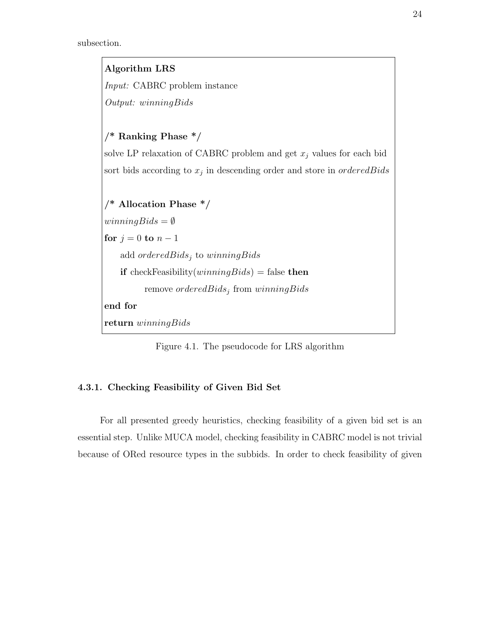

Figure 4.1. The pseudocode for LRS algorithm

# 4.3.1. Checking Feasibility of Given Bid Set

For all presented greedy heuristics, checking feasibility of a given bid set is an essential step. Unlike MUCA model, checking feasibility in CABRC model is not trivial because of ORed resource types in the subbids. In order to check feasibility of given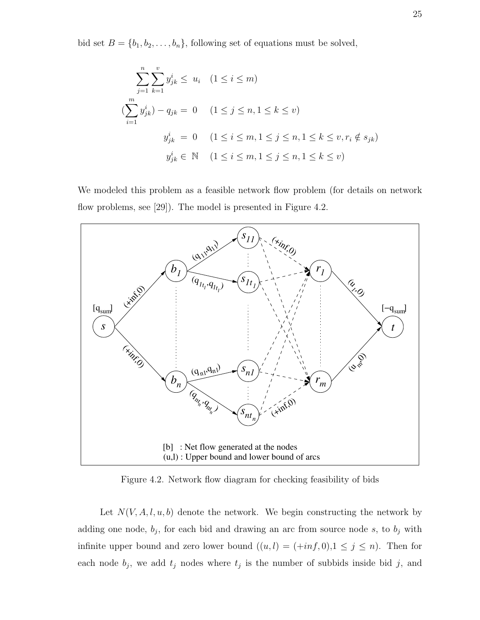bid set  $B = \{b_1, b_2, \ldots, b_n\}$ , following set of equations must be solved,

$$
\sum_{j=1}^{n} \sum_{k=1}^{v} y_{jk}^{i} \leq u_{i} \quad (1 \leq i \leq m)
$$
  

$$
(\sum_{i=1}^{m} y_{jk}^{i}) - q_{jk} = 0 \quad (1 \leq j \leq n, 1 \leq k \leq v)
$$
  

$$
y_{jk}^{i} = 0 \quad (1 \leq i \leq m, 1 \leq j \leq n, 1 \leq k \leq v, r_{i} \notin s_{jk})
$$
  

$$
y_{jk}^{i} \in \mathbb{N} \quad (1 \leq i \leq m, 1 \leq j \leq n, 1 \leq k \leq v)
$$

We modeled this problem as a feasible network flow problem (for details on network flow problems, see [29]). The model is presented in Figure 4.2.



Figure 4.2. Network flow diagram for checking feasibility of bids

Let  $N(V, A, l, u, b)$  denote the network. We begin constructing the network by adding one node,  $b_j$ , for each bid and drawing an arc from source node s, to  $b_j$  with infinite upper bound and zero lower bound  $((u, l) = (+inf, 0), 1 \le j \le n)$ . Then for each node  $b_j$ , we add  $t_j$  nodes where  $t_j$  is the number of subbids inside bid j, and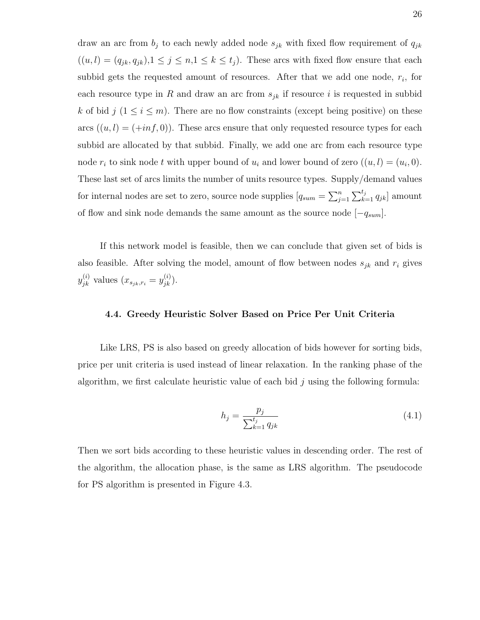draw an arc from  $b_j$  to each newly added node  $s_{jk}$  with fixed flow requirement of  $q_{jk}$  $((u, l) = (q_{jk}, q_{jk}), 1 \le j \le n, 1 \le k \le t_j)$ . These arcs with fixed flow ensure that each subbid gets the requested amount of resources. After that we add one node,  $r_i$ , for each resource type in R and draw an arc from  $s_{jk}$  if resource i is requested in subbid k of bid  $j$  ( $1 \le i \le m$ ). There are no flow constraints (except being positive) on these arcs  $((u, l) = (+inf, 0))$ . These arcs ensure that only requested resource types for each subbid are allocated by that subbid. Finally, we add one arc from each resource type node  $r_i$  to sink node t with upper bound of  $u_i$  and lower bound of zero  $((u, l) = (u_i, 0)$ . These last set of arcs limits the number of units resource types. Supply/demand values for internal nodes are set to zero, source node supplies  $[q_{sum} = \sum_{j=1}^{n} \sum_{k=1}^{t_j} q_{jk}]$  amount of flow and sink node demands the same amount as the source node  $[-q_{sum}]$ .

If this network model is feasible, then we can conclude that given set of bids is also feasible. After solving the model, amount of flow between nodes  $s_{jk}$  and  $r_i$  gives  $y_{jk}^{(i)}$  values  $(x_{s_{jk},r_i} = y_{jk}^{(i)}).$ 

## 4.4. Greedy Heuristic Solver Based on Price Per Unit Criteria

Like LRS, PS is also based on greedy allocation of bids however for sorting bids, price per unit criteria is used instead of linear relaxation. In the ranking phase of the algorithm, we first calculate heuristic value of each bid  $j$  using the following formula:

$$
h_j = \frac{p_j}{\sum_{k=1}^{t_j} q_{jk}}\tag{4.1}
$$

Then we sort bids according to these heuristic values in descending order. The rest of the algorithm, the allocation phase, is the same as LRS algorithm. The pseudocode for PS algorithm is presented in Figure 4.3.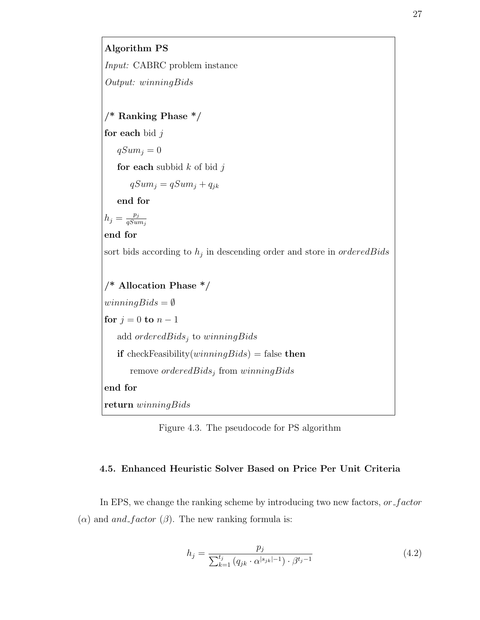

Figure 4.3. The pseudocode for PS algorithm

# 4.5. Enhanced Heuristic Solver Based on Price Per Unit Criteria

In EPS, we change the ranking scheme by introducing two new factors, or factor ( $α$ ) and and factor ( $β$ ). The new ranking formula is:

$$
h_j = \frac{p_j}{\sum_{k=1}^{t_j} (q_{jk} \cdot \alpha^{|s_{jk}|-1}) \cdot \beta^{t_j - 1}}
$$
(4.2)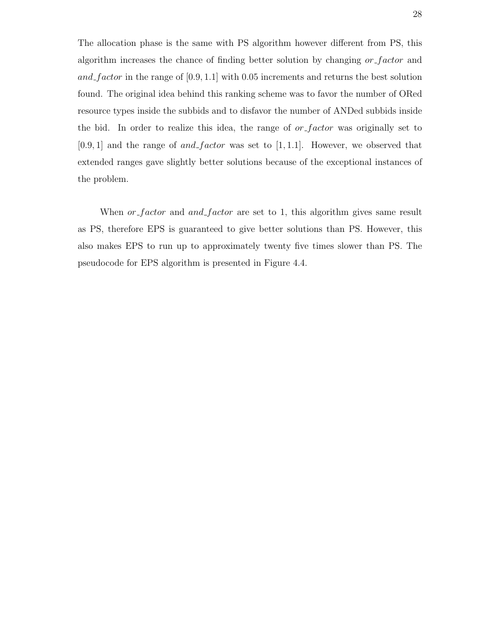The allocation phase is the same with PS algorithm however different from PS, this algorithm increases the chance of finding better solution by changing or factor and and factor in the range of  $[0.9, 1.1]$  with 0.05 increments and returns the best solution found. The original idea behind this ranking scheme was to favor the number of ORed resource types inside the subbids and to disfavor the number of ANDed subbids inside the bid. In order to realize this idea, the range of  $or$  factor was originally set to  $[0.9, 1]$  and the range of and factor was set to  $[1, 1.1]$ . However, we observed that extended ranges gave slightly better solutions because of the exceptional instances of the problem.

When  $or$  factor and and factor are set to 1, this algorithm gives same result as PS, therefore EPS is guaranteed to give better solutions than PS. However, this also makes EPS to run up to approximately twenty five times slower than PS. The pseudocode for EPS algorithm is presented in Figure 4.4.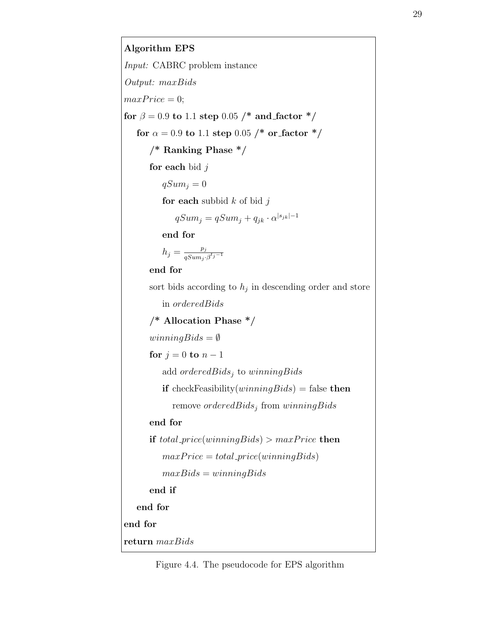Algorithm EPS Input: CABRC problem instance Output: maxBids  $maxPrice = 0;$ for  $\beta = 0.9$  to 1.1 step 0.05 /\* and factor \*/ for  $\alpha = 0.9$  to 1.1 step 0.05 /\* or factor \*/ /\* Ranking Phase \*/ for each bid  $j$  $qSum<sub>j</sub> = 0$ for each subbid  $k$  of bid  $j$  $qSum_j = qSum_j + q_{jk} \cdot \alpha^{|s_{jk}|-1}$ end for  $h_j = \frac{p_j}{e^{S_{sum}}}$  $qSum_j \cdot \beta^{t_j-1}$ end for sort bids according to  $h_j$  in descending order and store in orderedBids /\* Allocation Phase \*/  $winningBids = \emptyset$ for  $j = 0$  to  $n - 1$ add  $orderedBids_j$  to winningBids if checkFeasibility(*winningBids*) = false then remove  $orderedBids_j$  from  $winningBids$ end for if total price(winningBids) > maxPrice then  $maxPrice = total\_price(winningBids)$  $maxBids = winningBids$ end if end for end for return maxBids

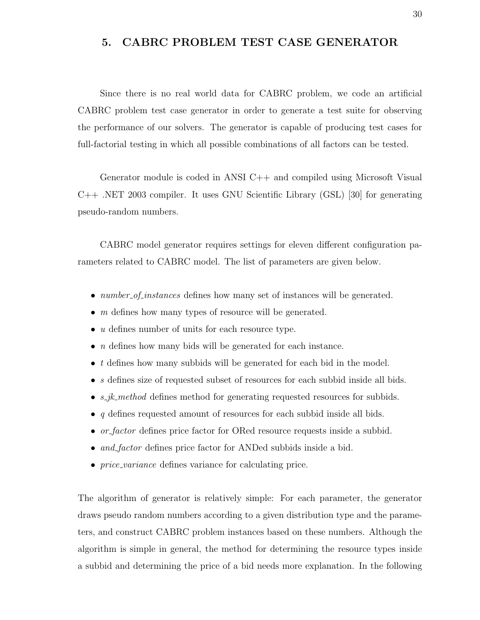# 5. CABRC PROBLEM TEST CASE GENERATOR

Since there is no real world data for CABRC problem, we code an artificial CABRC problem test case generator in order to generate a test suite for observing the performance of our solvers. The generator is capable of producing test cases for full-factorial testing in which all possible combinations of all factors can be tested.

Generator module is coded in ANSI C++ and compiled using Microsoft Visual C++ .NET 2003 compiler. It uses GNU Scientific Library (GSL) [30] for generating pseudo-random numbers.

CABRC model generator requires settings for eleven different configuration parameters related to CABRC model. The list of parameters are given below.

- *number\_of\_instances* defines how many set of instances will be generated.
- $m$  defines how many types of resource will be generated.
- $\bullet$  *u* defines number of units for each resource type.
- *n* defines how many bids will be generated for each instance.
- t defines how many subbids will be generated for each bid in the model.
- s defines size of requested subset of resources for each subbid inside all bids.
- $s$ *jk\_method* defines method for generating requested resources for subbids.
- $q$  defines requested amount of resources for each subbid inside all bids.
- or factor defines price factor for ORed resource requests inside a subbid.
- and factor defines price factor for ANDed subbids inside a bid.
- *price\_variance* defines variance for calculating price.

The algorithm of generator is relatively simple: For each parameter, the generator draws pseudo random numbers according to a given distribution type and the parameters, and construct CABRC problem instances based on these numbers. Although the algorithm is simple in general, the method for determining the resource types inside a subbid and determining the price of a bid needs more explanation. In the following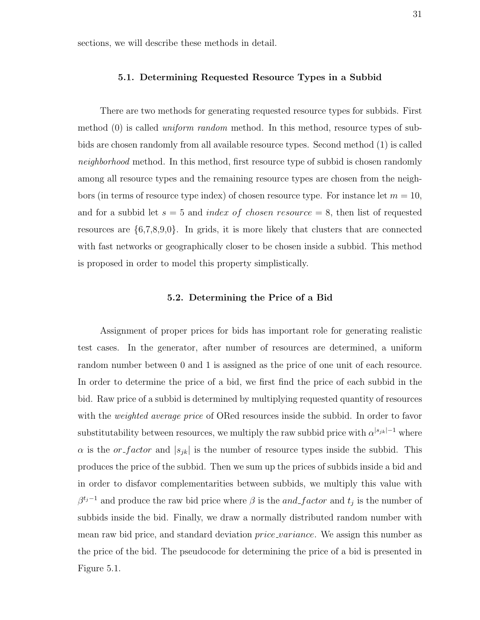sections, we will describe these methods in detail.

## 5.1. Determining Requested Resource Types in a Subbid

There are two methods for generating requested resource types for subbids. First method (0) is called uniform random method. In this method, resource types of subbids are chosen randomly from all available resource types. Second method (1) is called neighborhood method. In this method, first resource type of subbid is chosen randomly among all resource types and the remaining resource types are chosen from the neighbors (in terms of resource type index) of chosen resource type. For instance let  $m = 10$ , and for a subbid let  $s = 5$  and *index of chosen resource*  $= 8$ , then list of requested resources are  $\{6,7,8,9,0\}$ . In grids, it is more likely that clusters that are connected with fast networks or geographically closer to be chosen inside a subbid. This method is proposed in order to model this property simplistically.

#### 5.2. Determining the Price of a Bid

Assignment of proper prices for bids has important role for generating realistic test cases. In the generator, after number of resources are determined, a uniform random number between 0 and 1 is assigned as the price of one unit of each resource. In order to determine the price of a bid, we first find the price of each subbid in the bid. Raw price of a subbid is determined by multiplying requested quantity of resources with the *weighted average price* of ORed resources inside the subbid. In order to favor substitutability between resources, we multiply the raw subbid price with  $\alpha^{|s_{jk}|-1}$  where  $\alpha$  is the *or-factor* and  $|s_{jk}|$  is the number of resource types inside the subbid. This produces the price of the subbid. Then we sum up the prices of subbids inside a bid and in order to disfavor complementarities between subbids, we multiply this value with  $\beta^{t_j-1}$  and produce the raw bid price where  $\beta$  is the and factor and  $t_j$  is the number of subbids inside the bid. Finally, we draw a normally distributed random number with mean raw bid price, and standard deviation price variance. We assign this number as the price of the bid. The pseudocode for determining the price of a bid is presented in Figure 5.1.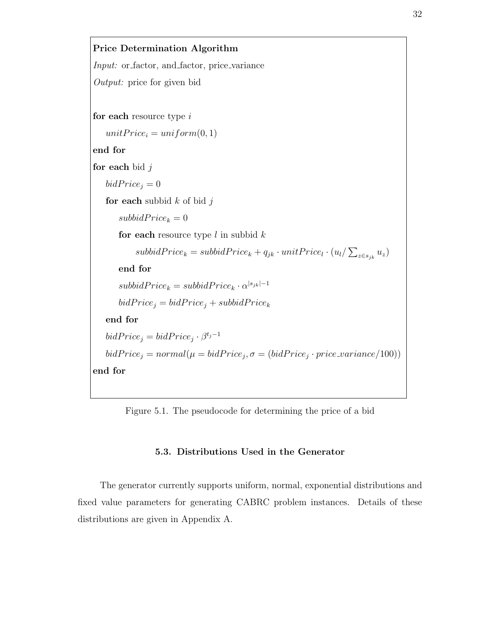```
Price Determination Algorithm
Input: or factor, and factor, price variance
Output: price for given bid
for each resource type iunitPrice_i = uniform(0, 1)end for
for each bid jbidPrice_j = 0for each subbid k of bid jsubbidPrice_k = 0for each resource type l in subbid ksubbidPrice_k = subbidPrice_k + q_{jk} \cdot unitPrice_l \cdot (u_l / \sum_{z \in s_{jk}} u_z)end for
       subbidPrice_k = subbidPrice_k \cdot \alpha^{|s_{jk}|-1}bidPrice<sub>j</sub> = bidPrice<sub>j</sub> + subbidPrice<sub>k</sub>end for
    bidPrice_j = bidPrice_j \cdot \beta^{t_j-1}bidPrice_j = normal(\mu = bidPrice_j, \sigma = (bidPrice_j \cdot price\_variance/100))end for
```
Figure 5.1. The pseudocode for determining the price of a bid

# 5.3. Distributions Used in the Generator

The generator currently supports uniform, normal, exponential distributions and fixed value parameters for generating CABRC problem instances. Details of these distributions are given in Appendix A.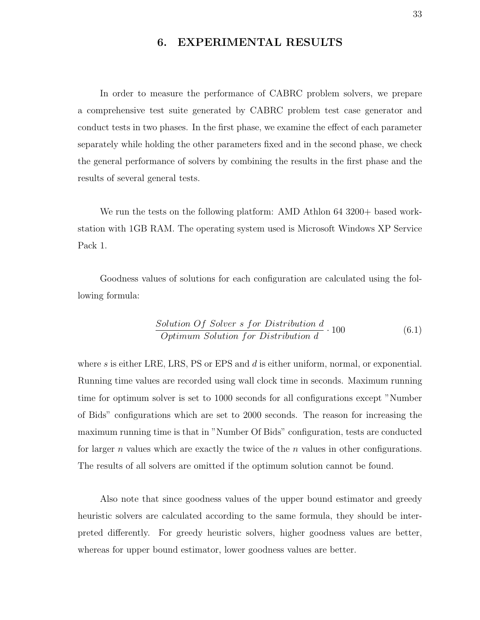# 6. EXPERIMENTAL RESULTS

In order to measure the performance of CABRC problem solvers, we prepare a comprehensive test suite generated by CABRC problem test case generator and conduct tests in two phases. In the first phase, we examine the effect of each parameter separately while holding the other parameters fixed and in the second phase, we check the general performance of solvers by combining the results in the first phase and the results of several general tests.

We run the tests on the following platform: AMD Athlon 64 3200+ based workstation with 1GB RAM. The operating system used is Microsoft Windows XP Service Pack 1.

Goodness values of solutions for each configuration are calculated using the following formula:

Solution Of Solver s for Distribution d Optimum Solution for Distribution d · 100 (6.1)

where s is either LRE, LRS, PS or EPS and  $d$  is either uniform, normal, or exponential. Running time values are recorded using wall clock time in seconds. Maximum running time for optimum solver is set to 1000 seconds for all configurations except "Number of Bids" configurations which are set to 2000 seconds. The reason for increasing the maximum running time is that in "Number Of Bids" configuration, tests are conducted for larger n values which are exactly the twice of the  $n$  values in other configurations. The results of all solvers are omitted if the optimum solution cannot be found.

Also note that since goodness values of the upper bound estimator and greedy heuristic solvers are calculated according to the same formula, they should be interpreted differently. For greedy heuristic solvers, higher goodness values are better, whereas for upper bound estimator, lower goodness values are better.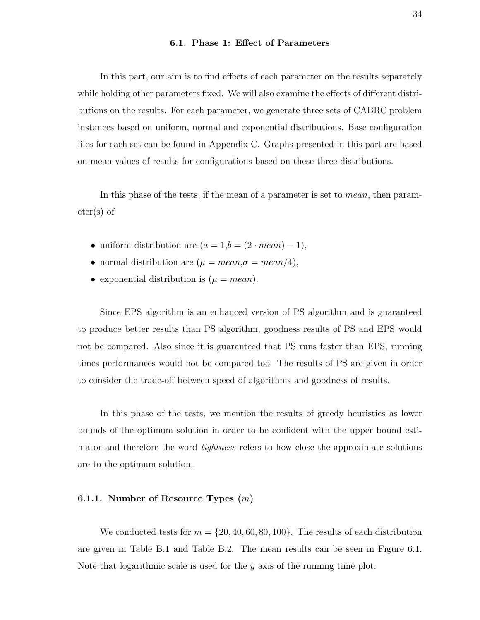## 6.1. Phase 1: Effect of Parameters

In this part, our aim is to find effects of each parameter on the results separately while holding other parameters fixed. We will also examine the effects of different distributions on the results. For each parameter, we generate three sets of CABRC problem instances based on uniform, normal and exponential distributions. Base configuration files for each set can be found in Appendix C. Graphs presented in this part are based on mean values of results for configurations based on these three distributions.

In this phase of the tests, if the mean of a parameter is set to mean, then parameter(s) of

- uniform distribution are  $(a = 1,b = (2 \cdot mean) 1)$ ,
- normal distribution are  $(\mu = mean, \sigma = mean/4),$
- exponential distribution is  $(\mu = mean)$ .

Since EPS algorithm is an enhanced version of PS algorithm and is guaranteed to produce better results than PS algorithm, goodness results of PS and EPS would not be compared. Also since it is guaranteed that PS runs faster than EPS, running times performances would not be compared too. The results of PS are given in order to consider the trade-off between speed of algorithms and goodness of results.

In this phase of the tests, we mention the results of greedy heuristics as lower bounds of the optimum solution in order to be confident with the upper bound estimator and therefore the word *tightness* refers to how close the approximate solutions are to the optimum solution.

## 6.1.1. Number of Resource Types  $(m)$

We conducted tests for  $m = \{20, 40, 60, 80, 100\}$ . The results of each distribution are given in Table B.1 and Table B.2. The mean results can be seen in Figure 6.1. Note that logarithmic scale is used for the  $\gamma$  axis of the running time plot.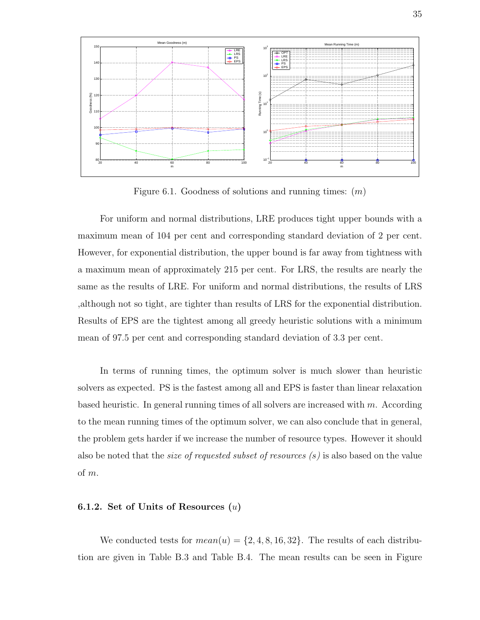

Figure 6.1. Goodness of solutions and running times:  $(m)$ 

For uniform and normal distributions, LRE produces tight upper bounds with a maximum mean of 104 per cent and corresponding standard deviation of 2 per cent. However, for exponential distribution, the upper bound is far away from tightness with a maximum mean of approximately 215 per cent. For LRS, the results are nearly the same as the results of LRE. For uniform and normal distributions, the results of LRS ,although not so tight, are tighter than results of LRS for the exponential distribution. Results of EPS are the tightest among all greedy heuristic solutions with a minimum mean of 97.5 per cent and corresponding standard deviation of 3.3 per cent.

In terms of running times, the optimum solver is much slower than heuristic solvers as expected. PS is the fastest among all and EPS is faster than linear relaxation based heuristic. In general running times of all solvers are increased with  $m$ . According to the mean running times of the optimum solver, we can also conclude that in general, the problem gets harder if we increase the number of resource types. However it should also be noted that the size of requested subset of resources (s) is also based on the value of m.

# 6.1.2. Set of Units of Resources  $(u)$

We conducted tests for  $mean(u) = \{2, 4, 8, 16, 32\}$ . The results of each distribution are given in Table B.3 and Table B.4. The mean results can be seen in Figure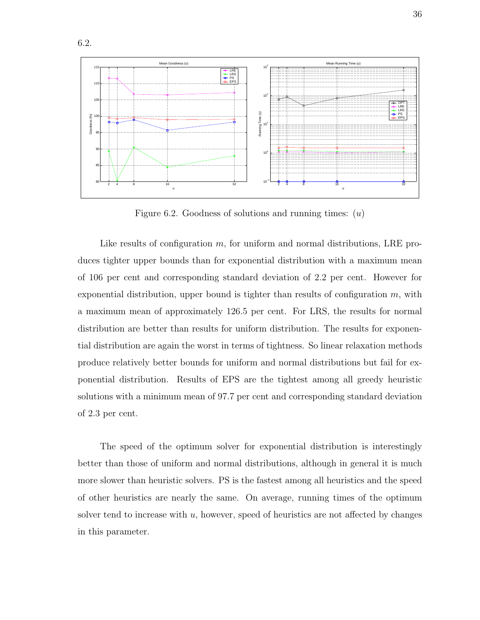

Figure 6.2. Goodness of solutions and running times:  $(u)$ 

Like results of configuration m, for uniform and normal distributions, LRE produces tighter upper bounds than for exponential distribution with a maximum mean of 106 per cent and corresponding standard deviation of 2.2 per cent. However for exponential distribution, upper bound is tighter than results of configuration  $m$ , with a maximum mean of approximately 126.5 per cent. For LRS, the results for normal distribution are better than results for uniform distribution. The results for exponential distribution are again the worst in terms of tightness. So linear relaxation methods produce relatively better bounds for uniform and normal distributions but fail for exponential distribution. Results of EPS are the tightest among all greedy heuristic solutions with a minimum mean of 97.7 per cent and corresponding standard deviation of 2.3 per cent.

The speed of the optimum solver for exponential distribution is interestingly better than those of uniform and normal distributions, although in general it is much more slower than heuristic solvers. PS is the fastest among all heuristics and the speed of other heuristics are nearly the same. On average, running times of the optimum solver tend to increase with  $u$ , however, speed of heuristics are not affected by changes in this parameter.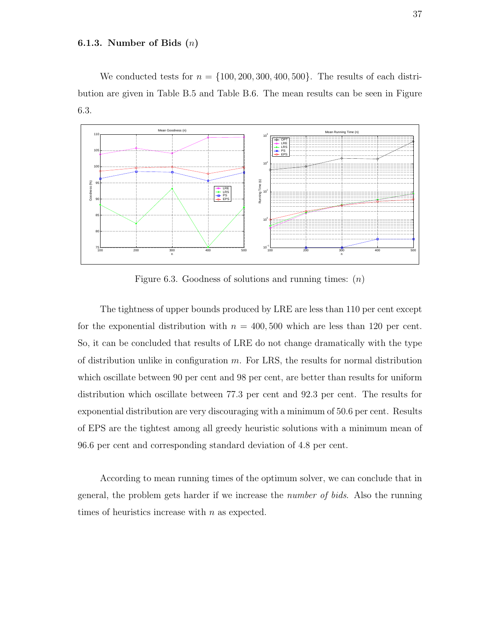## 6.1.3. Number of Bids  $(n)$

We conducted tests for  $n = \{100, 200, 300, 400, 500\}$ . The results of each distribution are given in Table B.5 and Table B.6. The mean results can be seen in Figure 6.3.



Figure 6.3. Goodness of solutions and running times:  $(n)$ 

The tightness of upper bounds produced by LRE are less than 110 per cent except for the exponential distribution with  $n = 400,500$  which are less than 120 per cent. So, it can be concluded that results of LRE do not change dramatically with the type of distribution unlike in configuration  $m$ . For LRS, the results for normal distribution which oscillate between 90 per cent and 98 per cent, are better than results for uniform distribution which oscillate between 77.3 per cent and 92.3 per cent. The results for exponential distribution are very discouraging with a minimum of 50.6 per cent. Results of EPS are the tightest among all greedy heuristic solutions with a minimum mean of 96.6 per cent and corresponding standard deviation of 4.8 per cent.

According to mean running times of the optimum solver, we can conclude that in general, the problem gets harder if we increase the number of bids. Also the running times of heuristics increase with *n* as expected.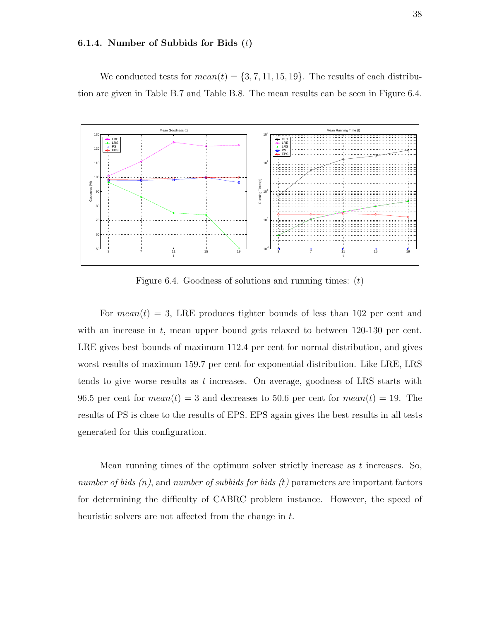## 6.1.4. Number of Subbids for Bids  $(t)$

We conducted tests for  $mean(t) = \{3, 7, 11, 15, 19\}$ . The results of each distribution are given in Table B.7 and Table B.8. The mean results can be seen in Figure 6.4.



Figure 6.4. Goodness of solutions and running times:  $(t)$ 

For  $mean(t) = 3$ , LRE produces tighter bounds of less than 102 per cent and with an increase in  $t$ , mean upper bound gets relaxed to between  $120-130$  per cent. LRE gives best bounds of maximum 112.4 per cent for normal distribution, and gives worst results of maximum 159.7 per cent for exponential distribution. Like LRE, LRS tends to give worse results as t increases. On average, goodness of LRS starts with 96.5 per cent for  $mean(t) = 3$  and decreases to 50.6 per cent for  $mean(t) = 19$ . The results of PS is close to the results of EPS. EPS again gives the best results in all tests generated for this configuration.

Mean running times of the optimum solver strictly increase as  $t$  increases. So, number of bids  $(n)$ , and number of subbids for bids  $(t)$  parameters are important factors for determining the difficulty of CABRC problem instance. However, the speed of heuristic solvers are not affected from the change in t.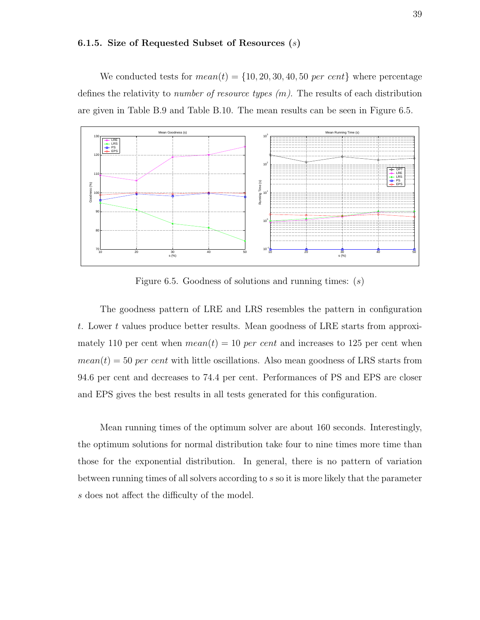#### 6.1.5. Size of Requested Subset of Resources (s)

We conducted tests for  $mean(t) = \{10, 20, 30, 40, 50 \text{ per cent}\}\$  where percentage defines the relativity to *number of resource types*  $(m)$ . The results of each distribution are given in Table B.9 and Table B.10. The mean results can be seen in Figure 6.5.



Figure 6.5. Goodness of solutions and running times:  $(s)$ 

The goodness pattern of LRE and LRS resembles the pattern in configuration t. Lower t values produce better results. Mean goodness of LRE starts from approximately 110 per cent when  $mean(t) = 10$  per cent and increases to 125 per cent when  $mean(t) = 50$  per cent with little oscillations. Also mean goodness of LRS starts from 94.6 per cent and decreases to 74.4 per cent. Performances of PS and EPS are closer and EPS gives the best results in all tests generated for this configuration.

Mean running times of the optimum solver are about 160 seconds. Interestingly, the optimum solutions for normal distribution take four to nine times more time than those for the exponential distribution. In general, there is no pattern of variation between running times of all solvers according to s so it is more likely that the parameter s does not affect the difficulty of the model.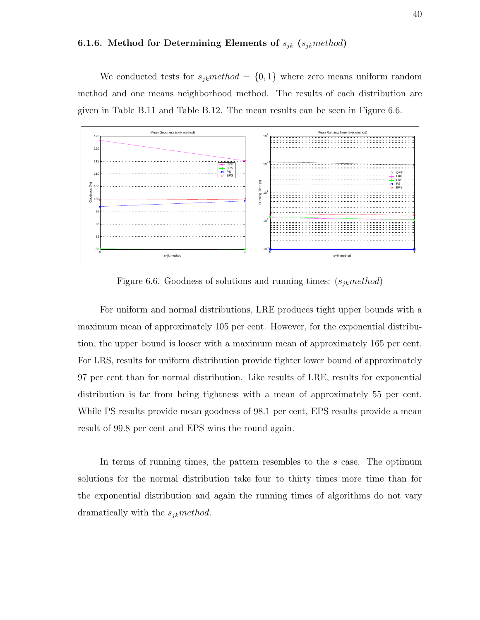# 6.1.6. Method for Determining Elements of  $s_{jk}$  ( $s_{jk}$  method)

We conducted tests for  $s_{jk}$  method =  $\{0, 1\}$  where zero means uniform random method and one means neighborhood method. The results of each distribution are given in Table B.11 and Table B.12. The mean results can be seen in Figure 6.6.



Figure 6.6. Goodness of solutions and running times:  $(s_{jk} method)$ 

For uniform and normal distributions, LRE produces tight upper bounds with a maximum mean of approximately 105 per cent. However, for the exponential distribution, the upper bound is looser with a maximum mean of approximately 165 per cent. For LRS, results for uniform distribution provide tighter lower bound of approximately 97 per cent than for normal distribution. Like results of LRE, results for exponential distribution is far from being tightness with a mean of approximately 55 per cent. While PS results provide mean goodness of 98.1 per cent, EPS results provide a mean result of 99.8 per cent and EPS wins the round again.

In terms of running times, the pattern resembles to the s case. The optimum solutions for the normal distribution take four to thirty times more time than for the exponential distribution and again the running times of algorithms do not vary dramatically with the  $s_{jk}$  method.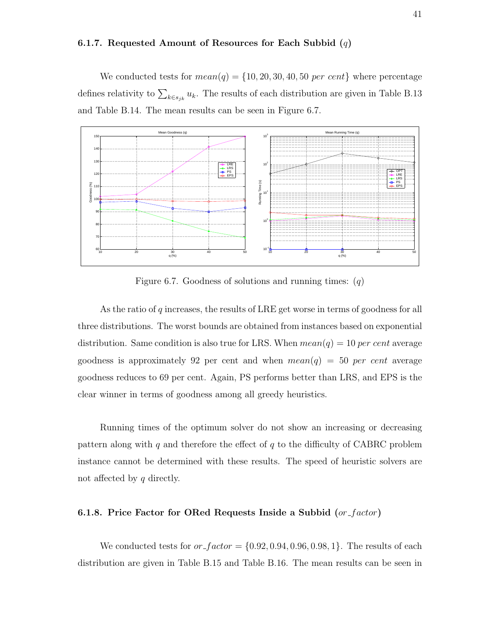#### 6.1.7. Requested Amount of Resources for Each Subbid  $(q)$

We conducted tests for  $mean(q) = \{10, 20, 30, 40, 50 \text{ per cent}\}\$  where percentage defines relativity to  $\sum_{k \in s_{jk}} u_k$ . The results of each distribution are given in Table B.13 and Table B.14. The mean results can be seen in Figure 6.7.



Figure 6.7. Goodness of solutions and running times:  $(q)$ 

As the ratio of q increases, the results of LRE get worse in terms of goodness for all three distributions. The worst bounds are obtained from instances based on exponential distribution. Same condition is also true for LRS. When  $mean(q) = 10$  per cent average goodness is approximately 92 per cent and when  $mean(q) = 50$  per cent average goodness reduces to 69 per cent. Again, PS performs better than LRS, and EPS is the clear winner in terms of goodness among all greedy heuristics.

Running times of the optimum solver do not show an increasing or decreasing pattern along with q and therefore the effect of  $q$  to the difficulty of CABRC problem instance cannot be determined with these results. The speed of heuristic solvers are not affected by q directly.

# 6.1.8. Price Factor for ORed Requests Inside a Subbid  $(or_factor)$

We conducted tests for  $or\_factor = \{0.92, 0.94, 0.96, 0.98, 1\}$ . The results of each distribution are given in Table B.15 and Table B.16. The mean results can be seen in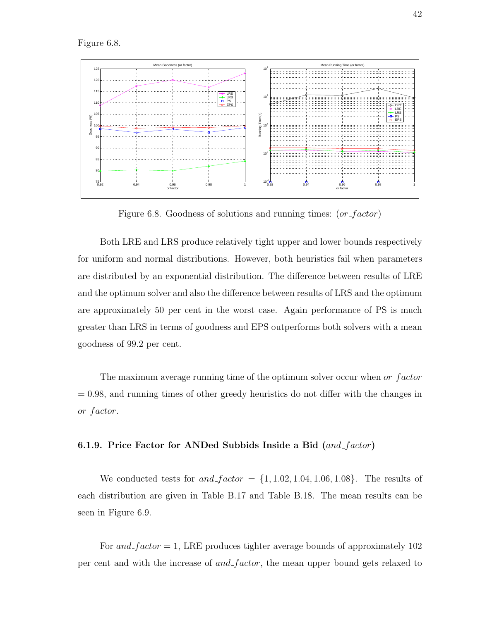Figure 6.8.



Figure 6.8. Goodness of solutions and running times: (or factor)

Both LRE and LRS produce relatively tight upper and lower bounds respectively for uniform and normal distributions. However, both heuristics fail when parameters are distributed by an exponential distribution. The difference between results of LRE and the optimum solver and also the difference between results of LRS and the optimum are approximately 50 per cent in the worst case. Again performance of PS is much greater than LRS in terms of goodness and EPS outperforms both solvers with a mean goodness of 99.2 per cent.

The maximum average running time of the optimum solver occur when  $or$ -factor  $= 0.98$ , and running times of other greedy heuristics do not differ with the changes in or\_factor.

#### 6.1.9. Price Factor for ANDed Subbids Inside a Bid  $(and_factor)$

We conducted tests for and  $factor = \{1, 1.02, 1.04, 1.06, 1.08\}$ . The results of each distribution are given in Table B.17 and Table B.18. The mean results can be seen in Figure 6.9.

For and  $factor = 1$ , LRE produces tighter average bounds of approximately 102 per cent and with the increase of and factor, the mean upper bound gets relaxed to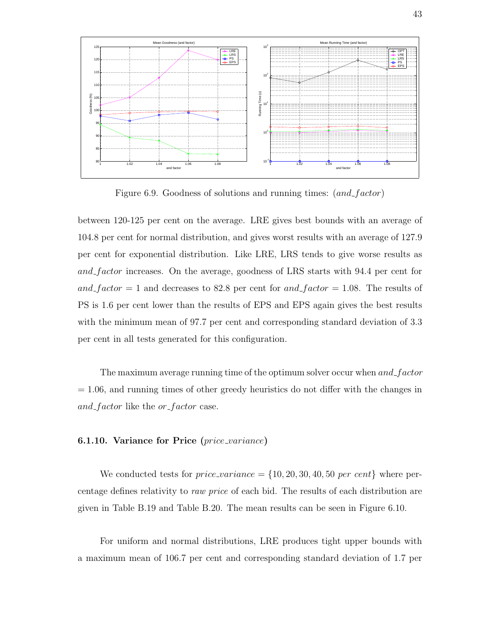

Figure 6.9. Goodness of solutions and running times: (and factor)

between 120-125 per cent on the average. LRE gives best bounds with an average of 104.8 per cent for normal distribution, and gives worst results with an average of 127.9 per cent for exponential distribution. Like LRE, LRS tends to give worse results as and factor increases. On the average, goodness of LRS starts with 94.4 per cent for and factor  $= 1$  and decreases to 82.8 per cent for and factor  $= 1.08$ . The results of PS is 1.6 per cent lower than the results of EPS and EPS again gives the best results with the minimum mean of 97.7 per cent and corresponding standard deviation of 3.3 per cent in all tests generated for this configuration.

The maximum average running time of the optimum solver occur when  $and\_factor$  $= 1.06$ , and running times of other greedy heuristics do not differ with the changes in and factor like the or-factor case.

## 6.1.10. Variance for Price  $(\text{price\_variance})$

We conducted tests for  $price\_variance = \{10, 20, 30, 40, 50 \text{ per cent}\}\$  where percentage defines relativity to raw price of each bid. The results of each distribution are given in Table B.19 and Table B.20. The mean results can be seen in Figure 6.10.

For uniform and normal distributions, LRE produces tight upper bounds with a maximum mean of 106.7 per cent and corresponding standard deviation of 1.7 per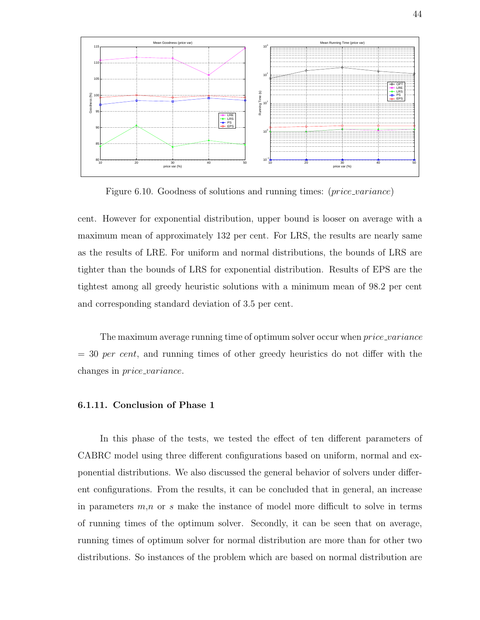

Figure 6.10. Goodness of solutions and running times: (*price\_variance*)

cent. However for exponential distribution, upper bound is looser on average with a maximum mean of approximately 132 per cent. For LRS, the results are nearly same as the results of LRE. For uniform and normal distributions, the bounds of LRS are tighter than the bounds of LRS for exponential distribution. Results of EPS are the tightest among all greedy heuristic solutions with a minimum mean of 98.2 per cent and corresponding standard deviation of 3.5 per cent.

The maximum average running time of optimum solver occur when *price\_variance*  $= 30$  per cent, and running times of other greedy heuristics do not differ with the changes in price variance.

# 6.1.11. Conclusion of Phase 1

In this phase of the tests, we tested the effect of ten different parameters of CABRC model using three different configurations based on uniform, normal and exponential distributions. We also discussed the general behavior of solvers under different configurations. From the results, it can be concluded that in general, an increase in parameters  $m,n$  or s make the instance of model more difficult to solve in terms of running times of the optimum solver. Secondly, it can be seen that on average, running times of optimum solver for normal distribution are more than for other two distributions. So instances of the problem which are based on normal distribution are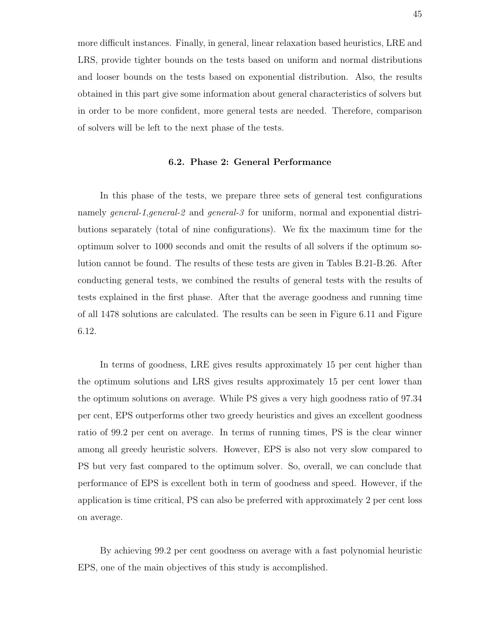more difficult instances. Finally, in general, linear relaxation based heuristics, LRE and LRS, provide tighter bounds on the tests based on uniform and normal distributions and looser bounds on the tests based on exponential distribution. Also, the results obtained in this part give some information about general characteristics of solvers but in order to be more confident, more general tests are needed. Therefore, comparison of solvers will be left to the next phase of the tests.

#### 6.2. Phase 2: General Performance

In this phase of the tests, we prepare three sets of general test configurations namely general-1, general-2 and general-3 for uniform, normal and exponential distributions separately (total of nine configurations). We fix the maximum time for the optimum solver to 1000 seconds and omit the results of all solvers if the optimum solution cannot be found. The results of these tests are given in Tables B.21-B.26. After conducting general tests, we combined the results of general tests with the results of tests explained in the first phase. After that the average goodness and running time of all 1478 solutions are calculated. The results can be seen in Figure 6.11 and Figure 6.12.

In terms of goodness, LRE gives results approximately 15 per cent higher than the optimum solutions and LRS gives results approximately 15 per cent lower than the optimum solutions on average. While PS gives a very high goodness ratio of 97.34 per cent, EPS outperforms other two greedy heuristics and gives an excellent goodness ratio of 99.2 per cent on average. In terms of running times, PS is the clear winner among all greedy heuristic solvers. However, EPS is also not very slow compared to PS but very fast compared to the optimum solver. So, overall, we can conclude that performance of EPS is excellent both in term of goodness and speed. However, if the application is time critical, PS can also be preferred with approximately 2 per cent loss on average.

By achieving 99.2 per cent goodness on average with a fast polynomial heuristic EPS, one of the main objectives of this study is accomplished.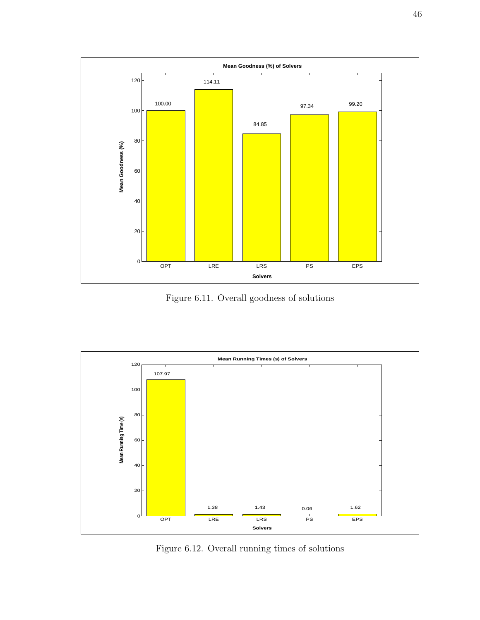

Figure 6.11. Overall goodness of solutions



Figure 6.12. Overall running times of solutions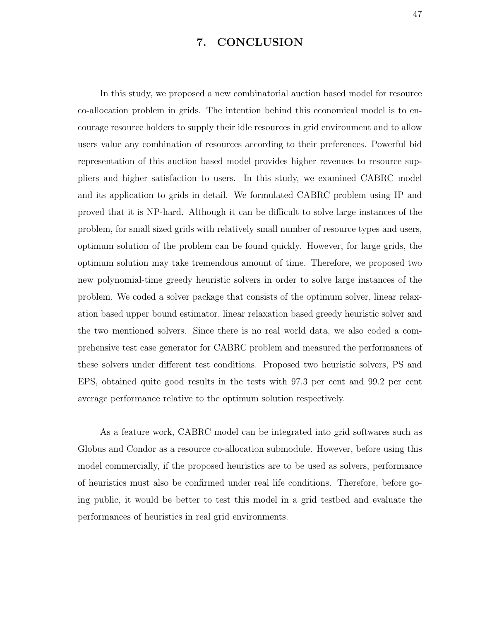# 7. CONCLUSION

In this study, we proposed a new combinatorial auction based model for resource co-allocation problem in grids. The intention behind this economical model is to encourage resource holders to supply their idle resources in grid environment and to allow users value any combination of resources according to their preferences. Powerful bid representation of this auction based model provides higher revenues to resource suppliers and higher satisfaction to users. In this study, we examined CABRC model and its application to grids in detail. We formulated CABRC problem using IP and proved that it is NP-hard. Although it can be difficult to solve large instances of the problem, for small sized grids with relatively small number of resource types and users, optimum solution of the problem can be found quickly. However, for large grids, the optimum solution may take tremendous amount of time. Therefore, we proposed two new polynomial-time greedy heuristic solvers in order to solve large instances of the problem. We coded a solver package that consists of the optimum solver, linear relaxation based upper bound estimator, linear relaxation based greedy heuristic solver and the two mentioned solvers. Since there is no real world data, we also coded a comprehensive test case generator for CABRC problem and measured the performances of these solvers under different test conditions. Proposed two heuristic solvers, PS and EPS, obtained quite good results in the tests with 97.3 per cent and 99.2 per cent average performance relative to the optimum solution respectively.

As a feature work, CABRC model can be integrated into grid softwares such as Globus and Condor as a resource co-allocation submodule. However, before using this model commercially, if the proposed heuristics are to be used as solvers, performance of heuristics must also be confirmed under real life conditions. Therefore, before going public, it would be better to test this model in a grid testbed and evaluate the performances of heuristics in real grid environments.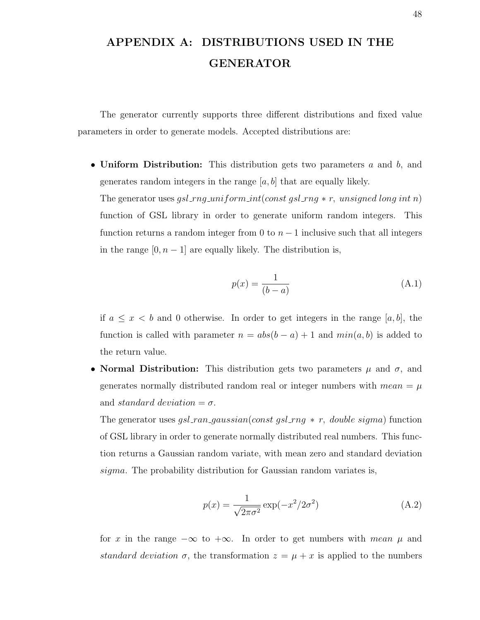# APPENDIX A: DISTRIBUTIONS USED IN THE GENERATOR

The generator currently supports three different distributions and fixed value parameters in order to generate models. Accepted distributions are:

• Uniform Distribution: This distribution gets two parameters  $a$  and  $b$ , and generates random integers in the range  $[a, b]$  that are equally likely.

The generator uses gsl\_rng\_uniform\_int(const gsl\_rng  $\ast$  r, unsigned long int n) function of GSL library in order to generate uniform random integers. This function returns a random integer from 0 to  $n-1$  inclusive such that all integers in the range  $[0, n-1]$  are equally likely. The distribution is,

$$
p(x) = \frac{1}{(b-a)}\tag{A.1}
$$

if  $a \leq x < b$  and 0 otherwise. In order to get integers in the range [a, b], the function is called with parameter  $n = abs(b - a) + 1$  and  $min(a, b)$  is added to the return value.

• Normal Distribution: This distribution gets two parameters  $\mu$  and  $\sigma$ , and generates normally distributed random real or integer numbers with  $mean = \mu$ and standard deviation  $=\sigma$ .

The generator uses gsl\_ran\_gaussian(const gsl\_rng  $*$  r, double sigma) function of GSL library in order to generate normally distributed real numbers. This function returns a Gaussian random variate, with mean zero and standard deviation sigma. The probability distribution for Gaussian random variates is,

$$
p(x) = \frac{1}{\sqrt{2\pi\sigma^2}} \exp(-x^2/2\sigma^2)
$$
\n(A.2)

for x in the range  $-\infty$  to  $+\infty$ . In order to get numbers with mean  $\mu$  and standard deviation  $\sigma$ , the transformation  $z = \mu + x$  is applied to the numbers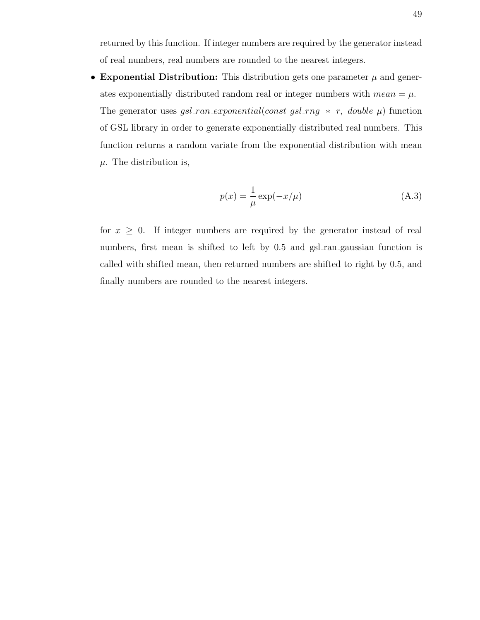returned by this function. If integer numbers are required by the generator instead of real numbers, real numbers are rounded to the nearest integers.

• Exponential Distribution: This distribution gets one parameter  $\mu$  and generates exponentially distributed random real or integer numbers with  $mean = \mu$ . The generator uses  $gsl\_ran\_exponential(const~gsl\_rng~*~r,~double~\mu)$  function of GSL library in order to generate exponentially distributed real numbers. This function returns a random variate from the exponential distribution with mean  $\mu$ . The distribution is,

$$
p(x) = \frac{1}{\mu} \exp(-x/\mu)
$$
 (A.3)

for  $x \geq 0$ . If integer numbers are required by the generator instead of real numbers, first mean is shifted to left by 0.5 and gsl\_ran\_gaussian function is called with shifted mean, then returned numbers are shifted to right by 0.5, and finally numbers are rounded to the nearest integers.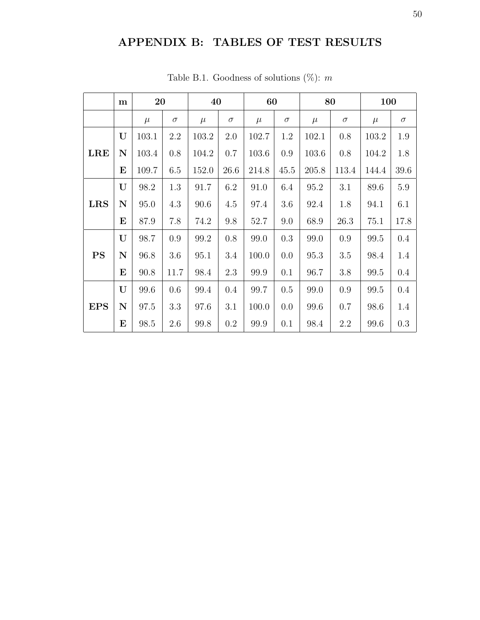# APPENDIX B: TABLES OF TEST RESULTS

|            | m        | 20    |          | 40    |          | 60    |          |       | 80       | 100   |          |
|------------|----------|-------|----------|-------|----------|-------|----------|-------|----------|-------|----------|
|            |          | $\mu$ | $\sigma$ | $\mu$ | $\sigma$ | $\mu$ | $\sigma$ | $\mu$ | $\sigma$ | $\mu$ | $\sigma$ |
|            | U        | 103.1 | 2.2      | 103.2 | 2.0      | 102.7 | 1.2      | 102.1 | 0.8      | 103.2 | 1.9      |
| <b>LRE</b> | N        | 103.4 | 0.8      | 104.2 | 0.7      | 103.6 | 0.9      | 103.6 | 0.8      | 104.2 | 1.8      |
|            | E        | 109.7 | 6.5      | 152.0 | 26.6     | 214.8 | 45.5     | 205.8 | 113.4    | 144.4 | 39.6     |
|            | U        | 98.2  | 1.3      | 91.7  | 6.2      | 91.0  | 6.4      | 95.2  | 3.1      | 89.6  | $5.9\,$  |
| <b>LRS</b> | N        | 95.0  | 4.3      | 90.6  | 4.5      | 97.4  | 3.6      | 92.4  | 1.8      | 94.1  | 6.1      |
|            | $\bf{E}$ | 87.9  | 7.8      | 74.2  | 9.8      | 52.7  | 9.0      | 68.9  | 26.3     | 75.1  | 17.8     |
|            | U        | 98.7  | 0.9      | 99.2  | 0.8      | 99.0  | 0.3      | 99.0  | 0.9      | 99.5  | 0.4      |
| PS         | N        | 96.8  | 3.6      | 95.1  | 3.4      | 100.0 | 0.0      | 95.3  | $3.5\,$  | 98.4  | 1.4      |
|            | E        | 90.8  | 11.7     | 98.4  | 2.3      | 99.9  | 0.1      | 96.7  | 3.8      | 99.5  | 0.4      |
|            | U        | 99.6  | 0.6      | 99.4  | 0.4      | 99.7  | 0.5      | 99.0  | 0.9      | 99.5  | $0.4\,$  |
| <b>EPS</b> | N        | 97.5  | 3.3      | 97.6  | 3.1      | 100.0 | 0.0      | 99.6  | 0.7      | 98.6  | 1.4      |
|            | $\bf E$  | 98.5  | 2.6      | 99.8  | $0.2\,$  | 99.9  | 0.1      | 98.4  | 2.2      | 99.6  | 0.3      |

Table B.1. Goodness of solutions  $(\%)$ : m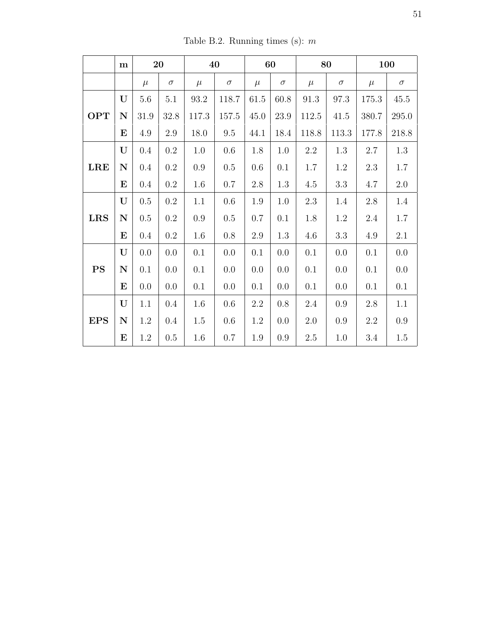Table B.2. Running times (s):  $m$ 

|            | m           |         | 20        |          | 40       |          | 60       |         | 80       |         | 100      |
|------------|-------------|---------|-----------|----------|----------|----------|----------|---------|----------|---------|----------|
|            |             | $\mu$   | $\sigma$  | $\mu$    | $\sigma$ | $\mu$    | $\sigma$ | $\mu$   | $\sigma$ | $\mu$   | $\sigma$ |
|            | U           | 5.6     | 5.1       | $93.2\,$ | 118.7    | $61.5\,$ | 60.8     | 91.3    | $97.3\,$ | 175.3   | 45.5     |
| <b>OPT</b> | ${\bf N}$   | 31.9    | 32.8      | 117.3    | 157.5    | $45.0\,$ | 23.9     | 112.5   | 41.5     | 380.7   | 295.0    |
|            | $\bf E$     | 4.9     | 2.9       | 18.0     | $\,9.5$  | 44.1     | 18.4     | 118.8   | 113.3    | 177.8   | 218.8    |
|            | $\mathbf U$ | $0.4\,$ | $\rm 0.2$ | $1.0\,$  | 0.6      | 1.8      | 1.0      | $2.2\,$ | $1.3\,$  | $2.7\,$ | $1.3\,$  |
| <b>LRE</b> | $\mathbf N$ | $0.4\,$ | $0.2\,$   | $0.9\,$  | $0.5\,$  | 0.6      | 0.1      | 1.7     | 1.2      | 2.3     | 1.7      |
|            | $\bf E$     | $0.4\,$ | $0.2\,$   | 1.6      | 0.7      | $2.8\,$  | 1.3      | 4.5     | $3.3\,$  | 4.7     | $2.0\,$  |
|            | $\mathbf U$ | $0.5\,$ | $\rm 0.2$ | 1.1      | 0.6      | $1.9\,$  | 1.0      | $2.3\,$ | 1.4      | $2.8\,$ | 1.4      |
| <b>LRS</b> | ${\bf N}$   | $0.5\,$ | $\rm 0.2$ | $0.9\,$  | $0.5\,$  | 0.7      | 0.1      | 1.8     | 1.2      | 2.4     | $1.7\,$  |
|            | $\bf E$     | $0.4\,$ | $0.2\,$   | 1.6      | $0.8\,$  | $2.9\,$  | 1.3      | $4.6\,$ | $3.3\,$  | 4.9     | 2.1      |
|            | U           | 0.0     | 0.0       | 0.1      | 0.0      | 0.1      | 0.0      | 0.1     | 0.0      | 0.1     | $0.0\,$  |
| <b>PS</b>  | $\mathbf N$ | 0.1     | 0.0       | 0.1      | 0.0      | 0.0      | 0.0      | 0.1     | 0.0      | 0.1     | $0.0\,$  |
|            | $\bf E$     | 0.0     | 0.0       | 0.1      | 0.0      | 0.1      | 0.0      | 0.1     | 0.0      | 0.1     | 0.1      |
|            | $\mathbf U$ | 1.1     | $0.4\,$   | $1.6\,$  | 0.6      | $2.2\,$  | 0.8      | $2.4\,$ | 0.9      | $2.8\,$ | $1.1\,$  |
| <b>EPS</b> | ${\bf N}$   | 1.2     | $0.4\,$   | 1.5      | 0.6      | 1.2      | 0.0      | 2.0     | 0.9      | 2.2     | $0.9\,$  |
|            | ${\bf E}$   | 1.2     | 0.5       | 1.6      | 0.7      | 1.9      | 0.9      | $2.5\,$ | 1.0      | 3.4     | 1.5      |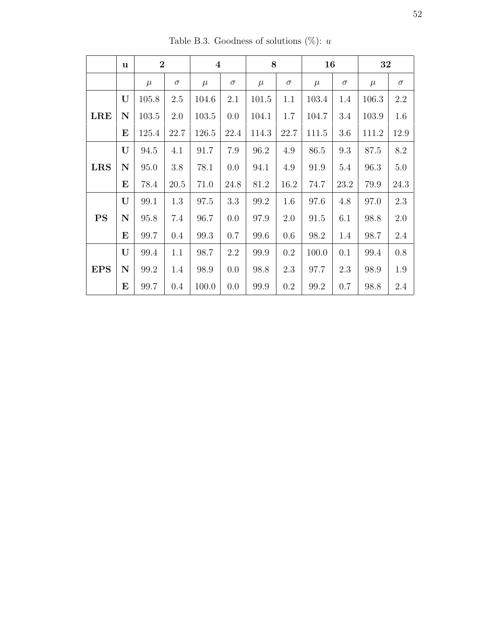|            | u           | $\overline{2}$ |          | $\overline{\mathbf{4}}$ |          | 8     |          | 16    |          | 32    |          |
|------------|-------------|----------------|----------|-------------------------|----------|-------|----------|-------|----------|-------|----------|
|            |             | $\mu$          | $\sigma$ | $\mu$                   | $\sigma$ | $\mu$ | $\sigma$ | $\mu$ | $\sigma$ | $\mu$ | $\sigma$ |
|            | U           | 105.8          | 2.5      | 104.6                   | 2.1      | 101.5 | 1.1      | 103.4 | 1.4      | 106.3 | 2.2      |
| <b>LRE</b> | ${\bf N}$   | 103.5          | 2.0      | 103.5                   | 0.0      | 104.1 | 1.7      | 104.7 | 3.4      | 103.9 | 1.6      |
|            | E           | 125.4          | 22.7     | 126.5                   | 22.4     | 114.3 | 22.7     | 111.5 | 3.6      | 111.2 | 12.9     |
|            | U           | 94.5           | 4.1      | 91.7                    | 7.9      | 96.2  | 4.9      | 86.5  | 9.3      | 87.5  | 8.2      |
| <b>LRS</b> | $\mathbf N$ | 95.0           | 3.8      | 78.1                    | 0.0      | 94.1  | 4.9      | 91.9  | 5.4      | 96.3  | $5.0\,$  |
|            | E           | 78.4           | 20.5     | 71.0                    | 24.8     | 81.2  | 16.2     | 74.7  | 23.2     | 79.9  | 24.3     |
|            | U           | 99.1           | 1.3      | 97.5                    | 3.3      | 99.2  | 1.6      | 97.6  | 4.8      | 97.0  | $2.3\,$  |
| <b>PS</b>  | $\mathbf N$ | 95.8           | 7.4      | 96.7                    | 0.0      | 97.9  | 2.0      | 91.5  | 6.1      | 98.8  | 2.0      |
|            | E           | 99.7           | 0.4      | 99.3                    | 0.7      | 99.6  | 0.6      | 98.2  | 1.4      | 98.7  | 2.4      |
|            | U           | 99.4           | 1.1      | 98.7                    | 2.2      | 99.9  | 0.2      | 100.0 | 0.1      | 99.4  | $0.8\,$  |
| <b>EPS</b> | $\mathbf N$ | 99.2           | 1.4      | 98.9                    | 0.0      | 98.8  | 2.3      | 97.7  | 2.3      | 98.9  | 1.9      |
|            | $\bf E$     | 99.7           | 0.4      | 100.0                   | 0.0      | 99.9  | 0.2      | 99.2  | 0.7      | 98.8  | 2.4      |

Table B.3. Goodness of solutions (%):  $u$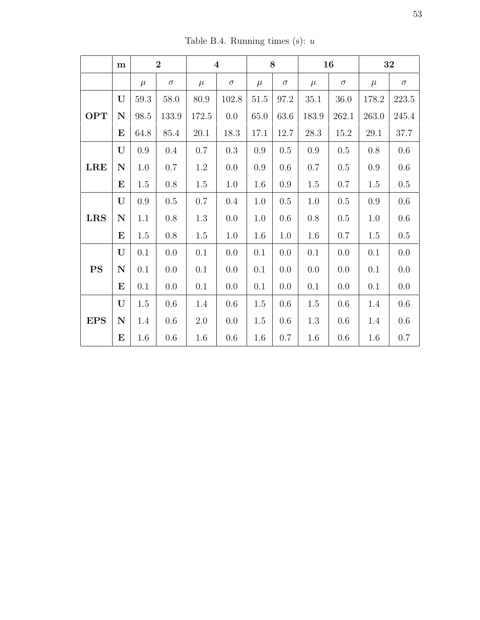Table B.4. Running times (s):  $\boldsymbol{u}$ 

|            | m           |          | $\overline{2}$ |       | $\overline{\mathbf{4}}$ |          | 8        |          | 16       |          | 32       |
|------------|-------------|----------|----------------|-------|-------------------------|----------|----------|----------|----------|----------|----------|
|            |             | $\mu$    | $\sigma$       | $\mu$ | $\sigma$                | $\mu$    | $\sigma$ | $\mu$    | $\sigma$ | $\mu$    | $\sigma$ |
|            | U           | $59.3\,$ | $58.0\,$       | 80.9  | 102.8                   | $51.5\,$ | 97.2     | $35.1\,$ | $36.0\,$ | 178.2    | 223.5    |
| <b>OPT</b> | $\mathbf N$ | 98.5     | 133.9          | 172.5 | 0.0                     | 65.0     | 63.6     | 183.9    | 262.1    | 263.0    | 245.4    |
|            | $\bf{E}$    | 64.8     | 85.4           | 20.1  | 18.3                    | 17.1     | 12.7     | 28.3     | 15.2     | $29.1\,$ | 37.7     |
|            | U           | 0.9      | 0.4            | 0.7   | $0.3\,$                 | 0.9      | 0.5      | 0.9      | $0.5\,$  | 0.8      | 0.6      |
| <b>LRE</b> | ${\bf N}$   | 1.0      | 0.7            | 1.2   | 0.0                     | 0.9      | 0.6      | 0.7      | 0.5      | 0.9      | 0.6      |
|            | $\bf E$     | 1.5      | $0.8\,$        | 1.5   | 1.0                     | 1.6      | 0.9      | 1.5      | 0.7      | 1.5      | 0.5      |
|            | U           | $0.9\,$  | $0.5\,$        | 0.7   | 0.4                     | 1.0      | $0.5\,$  | $1.0\,$  | $0.5\,$  | 0.9      | 0.6      |
| <b>LRS</b> | ${\bf N}$   | 1.1      | 0.8            | 1.3   | 0.0                     | 1.0      | 0.6      | $0.8\,$  | 0.5      | 1.0      | 0.6      |
|            | $\bf{E}$    | 1.5      | 0.8            | 1.5   | 1.0                     | 1.6      | 1.0      | 1.6      | 0.7      | 1.5      | 0.5      |
|            | U           | 0.1      | 0.0            | 0.1   | 0.0                     | 0.1      | 0.0      | 0.1      | 0.0      | 0.1      | 0.0      |
| <b>PS</b>  | ${\bf N}$   | 0.1      | 0.0            | 0.1   | 0.0                     | 0.1      | 0.0      | 0.0      | 0.0      | 0.1      | 0.0      |
|            | ${\bf E}$   | 0.1      | $0.0\,$        | 0.1   | 0.0                     | 0.1      | 0.0      | 0.1      | $0.0\,$  | 0.1      | 0.0      |
|            | U           | $1.5\,$  | 0.6            | 1.4   | 0.6                     | 1.5      | 0.6      | $1.5\,$  | 0.6      | 1.4      | 0.6      |
| <b>EPS</b> | ${\bf N}$   | 1.4      | $0.6\,$        | 2.0   | 0.0                     | 1.5      | $0.6\,$  | $1.3\,$  | $0.6\,$  | 1.4      | $0.6\,$  |
|            | $\bf E$     | 1.6      | 0.6            | 1.6   | 0.6                     | 1.6      | 0.7      | 1.6      | 0.6      | 1.6      | 0.7      |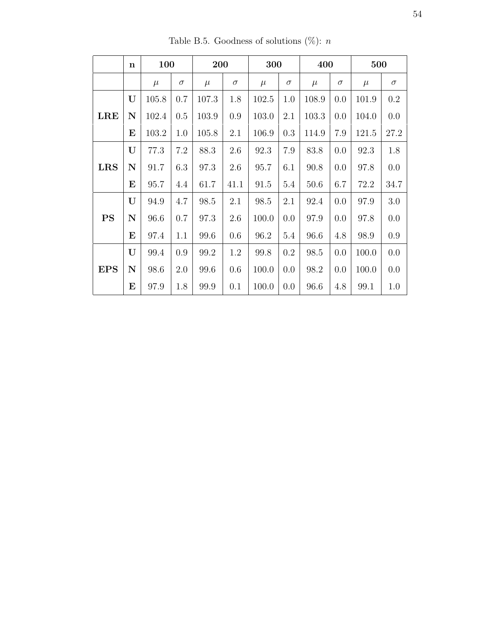|            | $\mathbf n$ | 100   |          | 200   |          | 300   |          | 400   |          | 500   |          |
|------------|-------------|-------|----------|-------|----------|-------|----------|-------|----------|-------|----------|
|            |             | $\mu$ | $\sigma$ | $\mu$ | $\sigma$ | $\mu$ | $\sigma$ | $\mu$ | $\sigma$ | $\mu$ | $\sigma$ |
|            | U           | 105.8 | 0.7      | 107.3 | 1.8      | 102.5 | 1.0      | 108.9 | 0.0      | 101.9 | 0.2      |
| <b>LRE</b> | $\mathbf N$ | 102.4 | 0.5      | 103.9 | 0.9      | 103.0 | 2.1      | 103.3 | 0.0      | 104.0 | 0.0      |
|            | E           | 103.2 | 1.0      | 105.8 | 2.1      | 106.9 | 0.3      | 114.9 | 7.9      | 121.5 | 27.2     |
|            | U           | 77.3  | 7.2      | 88.3  | 2.6      | 92.3  | 7.9      | 83.8  | 0.0      | 92.3  | 1.8      |
| <b>LRS</b> | $\mathbf N$ | 91.7  | 6.3      | 97.3  | 2.6      | 95.7  | 6.1      | 90.8  | 0.0      | 97.8  | 0.0      |
|            | E           | 95.7  | 4.4      | 61.7  | 41.1     | 91.5  | 5.4      | 50.6  | 6.7      | 72.2  | 34.7     |
|            | U           | 94.9  | 4.7      | 98.5  | 2.1      | 98.5  | 2.1      | 92.4  | 0.0      | 97.9  | 3.0      |
| <b>PS</b>  | $\mathbf N$ | 96.6  | 0.7      | 97.3  | 2.6      | 100.0 | 0.0      | 97.9  | 0.0      | 97.8  | 0.0      |
|            | E           | 97.4  | 1.1      | 99.6  | 0.6      | 96.2  | 5.4      | 96.6  | 4.8      | 98.9  | 0.9      |
|            | U           | 99.4  | 0.9      | 99.2  | 1.2      | 99.8  | 0.2      | 98.5  | 0.0      | 100.0 | 0.0      |
| <b>EPS</b> | $\mathbf N$ | 98.6  | 2.0      | 99.6  | 0.6      | 100.0 | 0.0      | 98.2  | 0.0      | 100.0 | 0.0      |
|            | E           | 97.9  | 1.8      | 99.9  | 0.1      | 100.0 | 0.0      | 96.6  | 4.8      | 99.1  | 1.0      |

Table B.5. Goodness of solutions (%):  $n$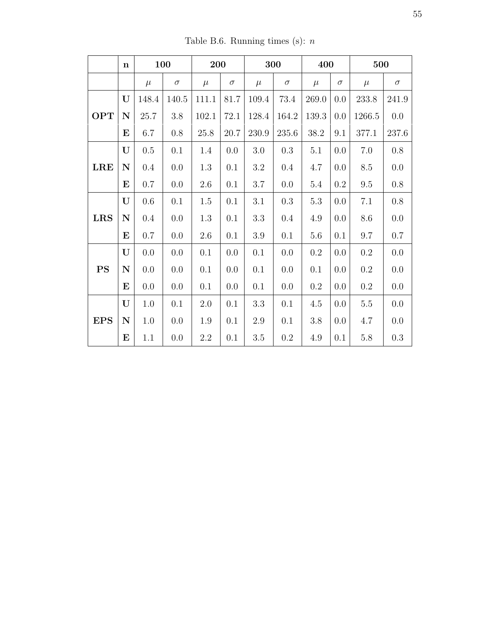Table B.6. Running times (s):  $\boldsymbol{n}$ 

|            | $\mathbf n$ |         | 100      | 200      |          |         | 300       | 400      |          | 500       |          |
|------------|-------------|---------|----------|----------|----------|---------|-----------|----------|----------|-----------|----------|
|            |             | $\mu$   | $\sigma$ | $\mu$    | $\sigma$ | $\mu$   | $\sigma$  | $\mu$    | $\sigma$ | $\mu$     | $\sigma$ |
|            | U           | 148.4   | 140.5    | 111.1    | 81.7     | 109.4   | 73.4      | 269.0    | 0.0      | 233.8     | 241.9    |
| <b>OPT</b> | ${\bf N}$   | 25.7    | $3.8\,$  | 102.1    | 72.1     | 128.4   | 164.2     | 139.3    | 0.0      | 1266.5    | $0.0\,$  |
|            | $\bf E$     | 6.7     | $0.8\,$  | $25.8\,$ | 20.7     | 230.9   | 235.6     | $38.2\,$ | 9.1      | 377.1     | 237.6    |
|            | U           | $0.5\,$ | 0.1      | 1.4      | 0.0      | $3.0\,$ | $\rm 0.3$ | 5.1      | 0.0      | $7.0\,$   | $0.8\,$  |
| <b>LRE</b> | $\mathbf N$ | 0.4     | 0.0      | 1.3      | 0.1      | $3.2\,$ | 0.4       | 4.7      | 0.0      | $8.5\,$   | $0.0\,$  |
|            | ${\bf E}$   | 0.7     | 0.0      | $2.6\,$  | 0.1      | $3.7\,$ | 0.0       | $5.4\,$  | $0.2\,$  | $\,9.5$   | $0.8\,$  |
|            | U           | $0.6\,$ | 0.1      | $1.5\,$  | 0.1      | 3.1     | $\rm 0.3$ | $5.3\,$  | 0.0      | $7.1\,$   | $0.8\,$  |
| <b>LRS</b> | ${\bf N}$   | $0.4\,$ | $0.0\,$  | $1.3\,$  | 0.1      | $3.3\,$ | 0.4       | 4.9      | 0.0      | 8.6       | $0.0\,$  |
|            | $\bf E$     | 0.7     | 0.0      | $2.6\,$  | 0.1      | $3.9\,$ | 0.1       | $5.6\,$  | 0.1      | 9.7       | 0.7      |
|            | U           | 0.0     | 0.0      | 0.1      | 0.0      | 0.1     | 0.0       | 0.2      | 0.0      | $\rm 0.2$ | $0.0\,$  |
| <b>PS</b>  | $\mathbf N$ | 0.0     | 0.0      | 0.1      | 0.0      | 0.1     | 0.0       | 0.1      | 0.0      | $\rm 0.2$ | $0.0\,$  |
|            | ${\bf E}$   | 0.0     | 0.0      | 0.1      | 0.0      | 0.1     | 0.0       | $0.2\,$  | 0.0      | $\rm 0.2$ | $0.0\,$  |
|            | U           | $1.0\,$ | 0.1      | $2.0\,$  | 0.1      | 3.3     | 0.1       | 4.5      | 0.0      | $5.5\,$   | $0.0\,$  |
| <b>EPS</b> | ${\bf N}$   | 1.0     | 0.0      | $1.9\,$  | 0.1      | $2.9\,$ | 0.1       | 3.8      | 0.0      | 4.7       | $0.0\,$  |
|            | ${\bf E}$   | 1.1     | 0.0      | $2.2\,$  | 0.1      | $3.5\,$ | $\rm 0.2$ | 4.9      | 0.1      | $5.8\,$   | $0.3\,$  |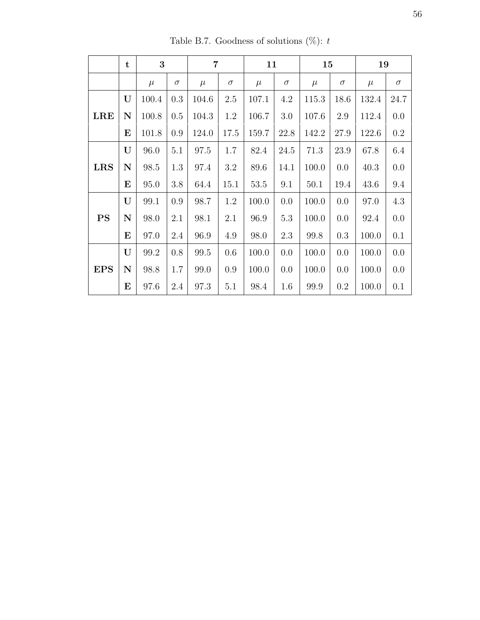|            | $\mathbf t$ | 3     |          | $\overline{7}$ |          | 11       |          | 15    |          | 19        |          |
|------------|-------------|-------|----------|----------------|----------|----------|----------|-------|----------|-----------|----------|
|            |             | $\mu$ | $\sigma$ | $\mu$          | $\sigma$ | $\mu$    | $\sigma$ | $\mu$ | $\sigma$ | $\mu$     | $\sigma$ |
|            | U           | 100.4 | 0.3      | 104.6          | 2.5      | 107.1    | 4.2      | 115.3 | 18.6     | $132.4\,$ | 24.7     |
| <b>LRE</b> | N           | 100.8 | 0.5      | 104.3          | 1.2      | 106.7    | $3.0\,$  | 107.6 | 2.9      | 112.4     | $0.0\,$  |
|            | $\bf E$     | 101.8 | 0.9      | 124.0          | 17.5     | 159.7    | 22.8     | 142.2 | 27.9     | 122.6     | 0.2      |
|            | U           | 96.0  | 5.1      | 97.5           | 1.7      | $82.4\,$ | 24.5     | 71.3  | 23.9     | 67.8      | 6.4      |
| <b>LRS</b> | N           | 98.5  | 1.3      | 97.4           | 3.2      | 89.6     | 14.1     | 100.0 | 0.0      | 40.3      | 0.0      |
|            | $\bf E$     | 95.0  | 3.8      | 64.4           | 15.1     | 53.5     | 9.1      | 50.1  | 19.4     | 43.6      | 9.4      |
|            | U           | 99.1  | 0.9      | 98.7           | 1.2      | 100.0    | 0.0      | 100.0 | 0.0      | $97.0\,$  | $4.3\,$  |
| <b>PS</b>  | N           | 98.0  | 2.1      | 98.1           | 2.1      | 96.9     | 5.3      | 100.0 | 0.0      | 92.4      | 0.0      |
|            | E           | 97.0  | 2.4      | 96.9           | 4.9      | 98.0     | 2.3      | 99.8  | 0.3      | 100.0     | 0.1      |
|            | U           | 99.2  | 0.8      | 99.5           | 0.6      | 100.0    | 0.0      | 100.0 | 0.0      | 100.0     | 0.0      |
| <b>EPS</b> | N           | 98.8  | 1.7      | 99.0           | 0.9      | 100.0    | 0.0      | 100.0 | 0.0      | 100.0     | 0.0      |
|            | $\bf E$     | 97.6  | 2.4      | 97.3           | 5.1      | 98.4     | 1.6      | 99.9  | 0.2      | 100.0     | 0.1      |

Table B.7. Goodness of solutions (%):  $t$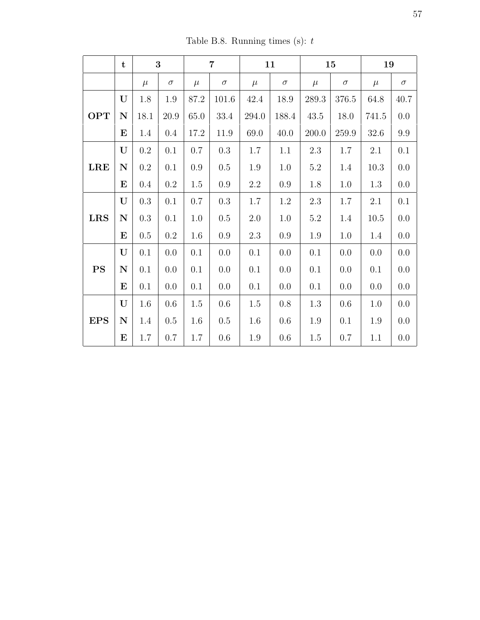Table B.8. Running times (s):  $t$ 

|            | $\mathbf t$ |           | 3         |         | $\overline{7}$ |         | 11       |         | 15       | 19      |          |
|------------|-------------|-----------|-----------|---------|----------------|---------|----------|---------|----------|---------|----------|
|            |             | $\mu$     | $\sigma$  | $\mu$   | $\sigma$       | $\mu$   | $\sigma$ | $\mu$   | $\sigma$ | $\mu$   | $\sigma$ |
|            | U           | 1.8       | $1.9\,$   | 87.2    | 101.6          | 42.4    | 18.9     | 289.3   | 376.5    | 64.8    | 40.7     |
| <b>OPT</b> | $\mathbf N$ | 18.1      | 20.9      | 65.0    | 33.4           | 294.0   | 188.4    | 43.5    | 18.0     | 741.5   | 0.0      |
|            | E           | 1.4       | $0.4\,$   | 17.2    | 11.9           | 69.0    | 40.0     | 200.0   | 259.9    | 32.6    | 9.9      |
|            | U           | $\rm 0.2$ | 0.1       | 0.7     | $\rm 0.3$      | $1.7\,$ | 1.1      | $2.3\,$ | 1.7      | $2.1\,$ | 0.1      |
| <b>LRE</b> | $\mathbf N$ | $\rm 0.2$ | 0.1       | $0.9\,$ | $0.5\,$        | 1.9     | 1.0      | 5.2     | 1.4      | 10.3    | $0.0\,$  |
|            | $\bf{E}$    | $0.4\,$   | $\rm 0.2$ | 1.5     | $0.9\,$        | $2.2\,$ | 0.9      | 1.8     | 1.0      | 1.3     | 0.0      |
|            | U           | $0.3\,$   | 0.1       | 0.7     | $\rm 0.3$      | $1.7\,$ | $1.2\,$  | 2.3     | 1.7      | 2.1     | 0.1      |
| <b>LRS</b> | ${\bf N}$   | $0.3\,$   | 0.1       | 1.0     | $0.5\,$        | 2.0     | 1.0      | $5.2\,$ | 1.4      | 10.5    | 0.0      |
|            | $\bf E$     | 0.5       | $0.2\,$   | 1.6     | $0.9\,$        | 2.3     | 0.9      | 1.9     | 1.0      | 1.4     | 0.0      |
|            | U           | 0.1       | 0.0       | 0.1     | 0.0            | 0.1     | 0.0      | 0.1     | 0.0      | 0.0     | $0.0\,$  |
| <b>PS</b>  | $\mathbf N$ | 0.1       | 0.0       | 0.1     | 0.0            | 0.1     | 0.0      | 0.1     | 0.0      | 0.1     | 0.0      |
|            | $\bf{E}$    | 0.1       | 0.0       | 0.1     | 0.0            | 0.1     | 0.0      | 0.1     | 0.0      | 0.0     | 0.0      |
|            | U           | 1.6       | 0.6       | 1.5     | 0.6            | 1.5     | 0.8      | 1.3     | 0.6      | 1.0     | 0.0      |
| <b>EPS</b> | ${\bf N}$   | 1.4       | 0.5       | 1.6     | 0.5            | 1.6     | $0.6\,$  | 1.9     | 0.1      | 1.9     | 0.0      |
|            | $\bf E$     | 1.7       | 0.7       | 1.7     | 0.6            | 1.9     | 0.6      | $1.5\,$ | 0.7      | $1.1\,$ | 0.0      |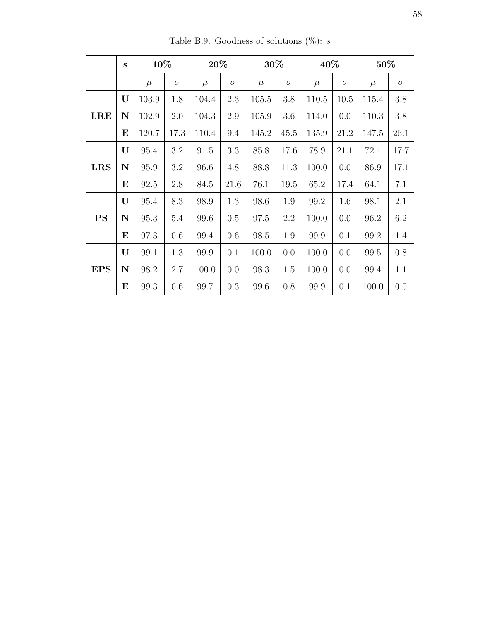|            | S           | 10%   |          | 20%   |          | 30%   |          | 40%   |          | 50%   |          |
|------------|-------------|-------|----------|-------|----------|-------|----------|-------|----------|-------|----------|
|            |             | $\mu$ | $\sigma$ | $\mu$ | $\sigma$ | $\mu$ | $\sigma$ | $\mu$ | $\sigma$ | $\mu$ | $\sigma$ |
|            | U           | 103.9 | 1.8      | 104.4 | 2.3      | 105.5 | 3.8      | 110.5 | 10.5     | 115.4 | 3.8      |
| <b>LRE</b> | $\mathbf N$ | 102.9 | 2.0      | 104.3 | 2.9      | 105.9 | 3.6      | 114.0 | 0.0      | 110.3 | $3.8\,$  |
|            | $\bf E$     | 120.7 | 17.3     | 110.4 | 9.4      | 145.2 | 45.5     | 135.9 | 21.2     | 147.5 | 26.1     |
|            | U           | 95.4  | 3.2      | 91.5  | 3.3      | 85.8  | 17.6     | 78.9  | 21.1     | 72.1  | 17.7     |
| <b>LRS</b> | $\mathbf N$ | 95.9  | 3.2      | 96.6  | 4.8      | 88.8  | 11.3     | 100.0 | 0.0      | 86.9  | 17.1     |
|            | $\bf E$     | 92.5  | 2.8      | 84.5  | 21.6     | 76.1  | 19.5     | 65.2  | 17.4     | 64.1  | 7.1      |
|            | U           | 95.4  | 8.3      | 98.9  | 1.3      | 98.6  | 1.9      | 99.2  | 1.6      | 98.1  | 2.1      |
| <b>PS</b>  | $\mathbf N$ | 95.3  | 5.4      | 99.6  | 0.5      | 97.5  | 2.2      | 100.0 | 0.0      | 96.2  | 6.2      |
|            | E           | 97.3  | 0.6      | 99.4  | 0.6      | 98.5  | 1.9      | 99.9  | 0.1      | 99.2  | 1.4      |
|            | U           | 99.1  | 1.3      | 99.9  | 0.1      | 100.0 | 0.0      | 100.0 | 0.0      | 99.5  | 0.8      |
| <b>EPS</b> | $\mathbf N$ | 98.2  | 2.7      | 100.0 | 0.0      | 98.3  | 1.5      | 100.0 | 0.0      | 99.4  | 1.1      |
|            | $\bf{E}$    | 99.3  | 0.6      | 99.7  | 0.3      | 99.6  | 0.8      | 99.9  | 0.1      | 100.0 | 0.0      |

Table B.9. Goodness of solutions (%):  $s$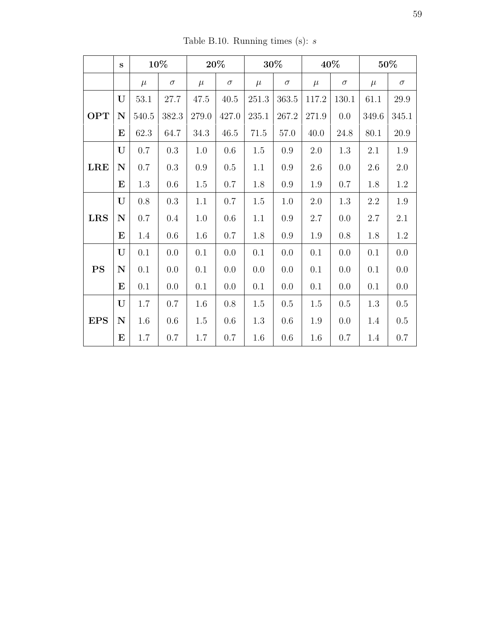|            | $\mathbf{s}$ |          | 10%       |         | $20\%$   |           | $30\%$   |         | 40%      |           | 50%      |
|------------|--------------|----------|-----------|---------|----------|-----------|----------|---------|----------|-----------|----------|
|            |              | $\mu$    | $\sigma$  | $\mu$   | $\sigma$ | $\mu$     | $\sigma$ | $\mu$   | $\sigma$ | $\mu$     | $\sigma$ |
|            | U            | $53.1\,$ | $27.7\,$  | 47.5    | 40.5     | 251.3     | 363.5    | 117.2   | 130.1    | 61.1      | 29.9     |
| <b>OPT</b> | ${\bf N}$    | 540.5    | 382.3     | 279.0   | 427.0    | $235.1\,$ | 267.2    | 271.9   | 0.0      | $349.6\,$ | 345.1    |
|            | $\bf E$      | 62.3     | 64.7      | 34.3    | 46.5     | $71.5\,$  | 57.0     | 40.0    | 24.8     | 80.1      | $20.9\,$ |
|            | U            | 0.7      | $0.3\,$   | 1.0     | 0.6      | $1.5\,$   | $0.9\,$  | $2.0\,$ | $1.3\,$  | $2.1\,$   | 1.9      |
| <b>LRE</b> | ${\bf N}$    | $0.7\,$  | $\rm 0.3$ | $0.9\,$ | $0.5\,$  | 1.1       | $0.9\,$  | 2.6     | 0.0      | 2.6       | 2.0      |
|            | $\bf E$      | $1.3\,$  | $0.6\,$   | $1.5\,$ | $0.7\,$  | 1.8       | 0.9      | 1.9     | 0.7      | 1.8       | $1.2\,$  |
|            | U            | $0.8\,$  | $\rm 0.3$ | 1.1     | 0.7      | $1.5\,$   | 1.0      | $2.0\,$ | 1.3      | $2.2\,$   | $1.9\,$  |
| <b>LRS</b> | ${\bf N}$    | 0.7      | 0.4       | 1.0     | 0.6      | 1.1       | 0.9      | 2.7     | 0.0      | $2.7\,$   | 2.1      |
|            | $\bf E$      | 1.4      | 0.6       | 1.6     | $0.7\,$  | 1.8       | 0.9      | 1.9     | 0.8      | 1.8       | $1.2\,$  |
|            | $\mathbf{U}$ | 0.1      | 0.0       | 0.1     | 0.0      | 0.1       | 0.0      | 0.1     | 0.0      | 0.1       | 0.0      |
| <b>PS</b>  | ${\bf N}$    | 0.1      | 0.0       | 0.1     | 0.0      | 0.0       | 0.0      | 0.1     | 0.0      | 0.1       | $0.0\,$  |
|            | $\bf E$      | 0.1      | 0.0       | 0.1     | 0.0      | 0.1       | 0.0      | $0.1\,$ | 0.0      | 0.1       | 0.0      |
|            | U            | 1.7      | 0.7       | 1.6     | 0.8      | 1.5       | 0.5      | 1.5     | 0.5      | 1.3       | 0.5      |
| <b>EPS</b> | ${\bf N}$    | 1.6      | 0.6       | 1.5     | 0.6      | 1.3       | 0.6      | 1.9     | 0.0      | 1.4       | 0.5      |
|            | ${\bf E}$    | 1.7      | 0.7       | 1.7     | 0.7      | 1.6       | 0.6      | 1.6     | 0.7      | 1.4       | 0.7      |

Table B.10. Running times (s):  $s$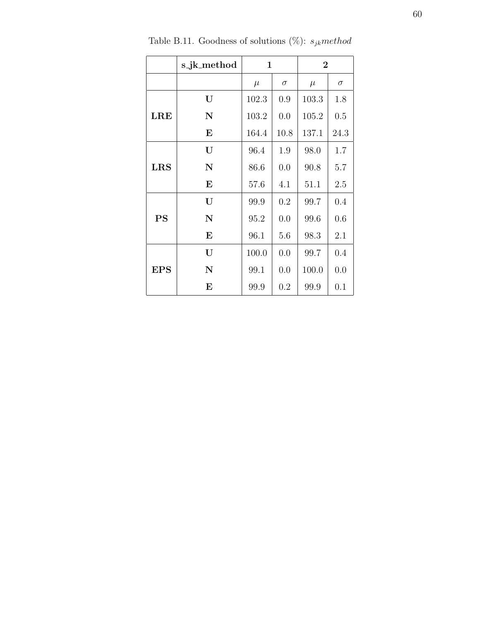|            | s_jk_method | $\mathbf 1$ |          | $\overline{2}$ |          |
|------------|-------------|-------------|----------|----------------|----------|
|            |             | $\mu$       | $\sigma$ | $\mu$          | $\sigma$ |
|            | U           | 102.3       | 0.9      | 103.3          | 1.8      |
| <b>LRE</b> | $\mathbf N$ | 103.2       | 0.0      | 105.2          | 0.5      |
|            | $\bf{E}$    | 164.4       | 10.8     | 137.1          | 24.3     |
|            | U           | 96.4        | 1.9      | 98.0           | 1.7      |
| <b>LRS</b> | $\mathbf N$ | 86.6        | 0.0      | 90.8           | 5.7      |
|            | E           | 57.6        | 4.1      | 51.1           | 2.5      |
|            | U           | 99.9        | 0.2      | 99.7           | 0.4      |
| <b>PS</b>  | $\mathbf N$ | 95.2        | 0.0      | 99.6           | 0.6      |
|            | $\bf{E}$    | 96.1        | 5.6      | 98.3           | 2.1      |
|            | U           | 100.0       | 0.0      | 99.7           | 0.4      |
| <b>EPS</b> | $\mathbf N$ | 99.1        | 0.0      | 100.0          | 0.0      |
|            | $\bf{E}$    | 99.9        | 0.2      | 99.9           | 0.1      |

Table B.11. Goodness of solutions (%):  $s_{jk} method$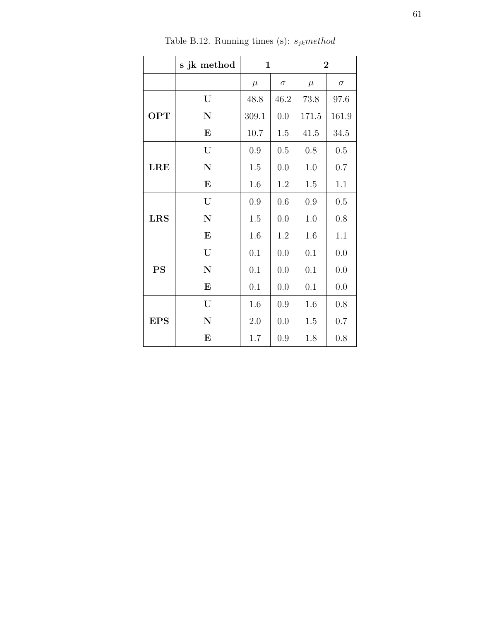|            | s_jk_method | $\mathbf{1}$ |          |       | $\overline{2}$ |
|------------|-------------|--------------|----------|-------|----------------|
|            |             | $\mu$        | $\sigma$ | $\mu$ | $\sigma$       |
|            | U           | 48.8         | 46.2     | 73.8  | 97.6           |
| <b>OPT</b> | $\mathbf N$ | 309.1        | 0.0      | 171.5 | 161.9          |
|            | ${\bf E}$   | 10.7         | 1.5      | 41.5  | 34.5           |
|            | U           | 0.9          | 0.5      | 0.8   | 0.5            |
| <b>LRE</b> | $\mathbf N$ | 1.5          | 0.0      | 1.0   | 0.7            |
|            | ${\bf E}$   | 1.6          | 1.2      | 1.5   | 1.1            |
|            | U           | 0.9          | 0.6      | 0.9   | 0.5            |
| <b>LRS</b> | $\mathbf N$ | $1.5\,$      | 0.0      | 1.0   | 0.8            |
|            | ${\bf E}$   | 1.6          | $1.2\,$  | 1.6   | $1.1\,$        |
|            | U           | 0.1          | 0.0      | 0.1   | 0.0            |
| <b>PS</b>  | ${\bf N}$   | 0.1          | 0.0      | 0.1   | 0.0            |
|            | $\bf{E}$    | 0.1          | 0.0      | 0.1   | 0.0            |
|            | U           | 1.6          | 0.9      | 1.6   | 0.8            |
| <b>EPS</b> | $\mathbf N$ | 2.0          | 0.0      | 1.5   | 0.7            |
|            | $\bf{E}$    | 1.7          | 0.9      | 1.8   | 0.8            |

Table B.12. Running times (s):  $s_{jk} \mathit{method}$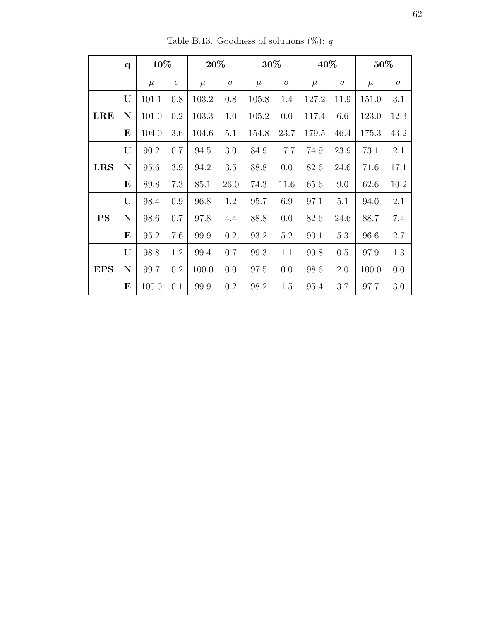|            | $\mathbf{q}$ | 10%   |          | 20%   |          | 30%   |          | 40%   |          | 50%   |          |
|------------|--------------|-------|----------|-------|----------|-------|----------|-------|----------|-------|----------|
|            |              | $\mu$ | $\sigma$ | $\mu$ | $\sigma$ | $\mu$ | $\sigma$ | $\mu$ | $\sigma$ | $\mu$ | $\sigma$ |
|            | U            | 101.1 | 0.8      | 103.2 | 0.8      | 105.8 | 1.4      | 127.2 | 11.9     | 151.0 | 3.1      |
| <b>LRE</b> | N            | 101.0 | 0.2      | 103.3 | 1.0      | 105.2 | 0.0      | 117.4 | 6.6      | 123.0 | 12.3     |
|            | E            | 104.0 | 3.6      | 104.6 | 5.1      | 154.8 | 23.7     | 179.5 | 46.4     | 175.3 | 43.2     |
|            | U            | 90.2  | 0.7      | 94.5  | 3.0      | 84.9  | 17.7     | 74.9  | 23.9     | 73.1  | 2.1      |
| <b>LRS</b> | $\mathbf N$  | 95.6  | 3.9      | 94.2  | 3.5      | 88.8  | 0.0      | 82.6  | 24.6     | 71.6  | 17.1     |
|            | E            | 89.8  | 7.3      | 85.1  | 26.0     | 74.3  | 11.6     | 65.6  | 9.0      | 62.6  | 10.2     |
|            | U            | 98.4  | 0.9      | 96.8  | 1.2      | 95.7  | 6.9      | 97.1  | 5.1      | 94.0  | 2.1      |
| <b>PS</b>  | $\mathbf N$  | 98.6  | 0.7      | 97.8  | 4.4      | 88.8  | 0.0      | 82.6  | 24.6     | 88.7  | 7.4      |
|            | E            | 95.2  | 7.6      | 99.9  | 0.2      | 93.2  | 5.2      | 90.1  | 5.3      | 96.6  | 2.7      |
|            | U            | 98.8  | 1.2      | 99.4  | 0.7      | 99.3  | 1.1      | 99.8  | 0.5      | 97.9  | 1.3      |
| <b>EPS</b> | $\mathbf N$  | 99.7  | 0.2      | 100.0 | 0.0      | 97.5  | 0.0      | 98.6  | 2.0      | 100.0 | 0.0      |
|            | $\bf E$      | 100.0 | 0.1      | 99.9  | 0.2      | 98.2  | 1.5      | 95.4  | 3.7      | 97.7  | 3.0      |

Table B.13. Goodness of solutions (%):  $q$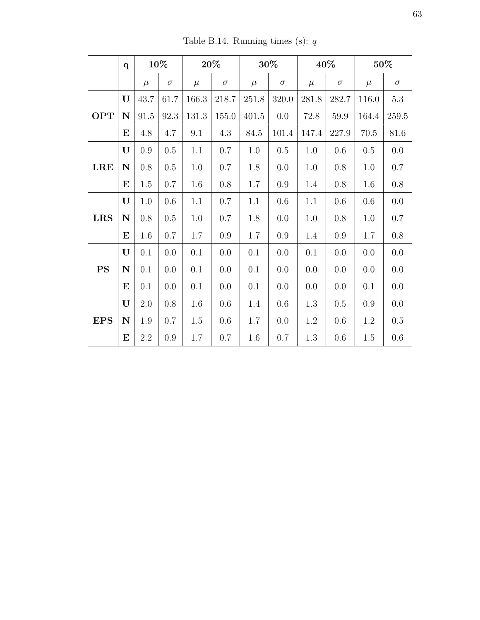|            | $\mathbf{q}$ |         | 10%      |         | 20%      |       | 30%      |         | 40%      |       | 50%      |
|------------|--------------|---------|----------|---------|----------|-------|----------|---------|----------|-------|----------|
|            |              | $\mu$   | $\sigma$ | $\mu$   | $\sigma$ | $\mu$ | $\sigma$ | $\mu$   | $\sigma$ | $\mu$ | $\sigma$ |
|            | U            | 43.7    | 61.7     | 166.3   | 218.7    | 251.8 | 320.0    | 281.8   | 282.7    | 116.0 | $5.3\,$  |
| <b>OPT</b> | $\mathbf N$  | 91.5    | 92.3     | 131.3   | 155.0    | 401.5 | 0.0      | 72.8    | 59.9     | 164.4 | 259.5    |
|            | $\bf{E}$     | 4.8     | 4.7      | 9.1     | 4.3      | 84.5  | 101.4    | 147.4   | 227.9    | 70.5  | 81.6     |
|            | U            | $0.9\,$ | 0.5      | 1.1     | 0.7      | 1.0   | 0.5      | 1.0     | 0.6      | 0.5   | 0.0      |
| LRE        | $\mathbf N$  | 0.8     | 0.5      | $1.0\,$ | 0.7      | 1.8   | 0.0      | 1.0     | $0.8\,$  | 1.0   | 0.7      |
|            | $\bf{E}$     | 1.5     | 0.7      | $1.6\,$ | 0.8      | 1.7   | $0.9\,$  | 1.4     | $0.8\,$  | 1.6   | $0.8\,$  |
|            | U            | $1.0\,$ | 0.6      | 1.1     | 0.7      | 1.1   | 0.6      | 1.1     | $0.6\,$  | 0.6   | $0.0\,$  |
| <b>LRS</b> | $\mathbf N$  | 0.8     | $0.5\,$  | 1.0     | 0.7      | 1.8   | 0.0      | 1.0     | 0.8      | 1.0   | 0.7      |
|            | E            | 1.6     | 0.7      | 1.7     | 0.9      | 1.7   | 0.9      | 1.4     | 0.9      | 1.7   | $0.8\,$  |
|            | U            | 0.1     | 0.0      | 0.1     | 0.0      | 0.1   | 0.0      | 0.1     | 0.0      | 0.0   | 0.0      |
| <b>PS</b>  | $\mathbf N$  | 0.1     | 0.0      | 0.1     | 0.0      | 0.1   | 0.0      | 0.0     | 0.0      | 0.0   | 0.0      |
|            | E            | 0.1     | 0.0      | 0.1     | 0.0      | 0.1   | 0.0      | 0.0     | $0.0\,$  | 0.1   | 0.0      |
|            | U            | 2.0     | $0.8\,$  | 1.6     | 0.6      | 1.4   | 0.6      | $1.3\,$ | 0.5      | 0.9   | $0.0\,$  |
| <b>EPS</b> | ${\bf N}$    | 1.9     | 0.7      | 1.5     | 0.6      | 1.7   | 0.0      | 1.2     | 0.6      | 1.2   | $0.5\,$  |
|            | $\bf E$      | $2.2\,$ | 0.9      | $1.7\,$ | 0.7      | 1.6   | 0.7      | $1.3\,$ | 0.6      | 1.5   | 0.6      |

Table B.14. Running times (s):  $\boldsymbol{q}$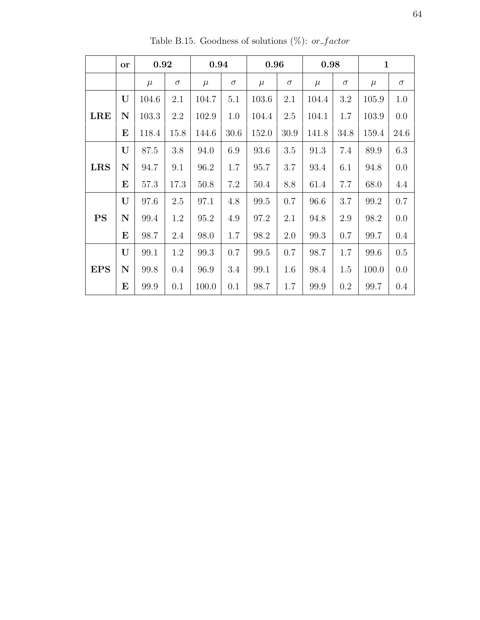|            | <b>or</b>   | 0.92  |          | 0.94  |          | 0.96  |          | 0.98  |          | $\mathbf{1}$ |          |
|------------|-------------|-------|----------|-------|----------|-------|----------|-------|----------|--------------|----------|
|            |             | $\mu$ | $\sigma$ | $\mu$ | $\sigma$ | $\mu$ | $\sigma$ | $\mu$ | $\sigma$ | $\mu$        | $\sigma$ |
|            | U           | 104.6 | 2.1      | 104.7 | 5.1      | 103.6 | 2.1      | 104.4 | 3.2      | 105.9        | 1.0      |
| <b>LRE</b> | $\mathbf N$ | 103.3 | 2.2      | 102.9 | 1.0      | 104.4 | 2.5      | 104.1 | 1.7      | 103.9        | 0.0      |
|            | $\bf E$     | 118.4 | 15.8     | 144.6 | 30.6     | 152.0 | 30.9     | 141.8 | 34.8     | 159.4        | 24.6     |
|            | U           | 87.5  | 3.8      | 94.0  | 6.9      | 93.6  | 3.5      | 91.3  | 7.4      | 89.9         | 6.3      |
| <b>LRS</b> | $\mathbf N$ | 94.7  | 9.1      | 96.2  | 1.7      | 95.7  | 3.7      | 93.4  | 6.1      | 94.8         | 0.0      |
|            | $\bf E$     | 57.3  | 17.3     | 50.8  | 7.2      | 50.4  | 8.8      | 61.4  | 7.7      | 68.0         | 4.4      |
|            | U           | 97.6  | 2.5      | 97.1  | 4.8      | 99.5  | 0.7      | 96.6  | 3.7      | 99.2         | 0.7      |
| <b>PS</b>  | N           | 99.4  | 1.2      | 95.2  | 4.9      | 97.2  | 2.1      | 94.8  | 2.9      | 98.2         | 0.0      |
|            | $\bf E$     | 98.7  | 2.4      | 98.0  | 1.7      | 98.2  | 2.0      | 99.3  | 0.7      | 99.7         | 0.4      |
|            | U           | 99.1  | 1.2      | 99.3  | 0.7      | 99.5  | 0.7      | 98.7  | 1.7      | 99.6         | 0.5      |
| <b>EPS</b> | $\mathbf N$ | 99.8  | 0.4      | 96.9  | 3.4      | 99.1  | 1.6      | 98.4  | 1.5      | 100.0        | 0.0      |
|            | $\bf E$     | 99.9  | 0.1      | 100.0 | 0.1      | 98.7  | 1.7      | 99.9  | 0.2      | 99.7         | 0.4      |

Table B.15. Goodness of solutions (%):  $or\_factor$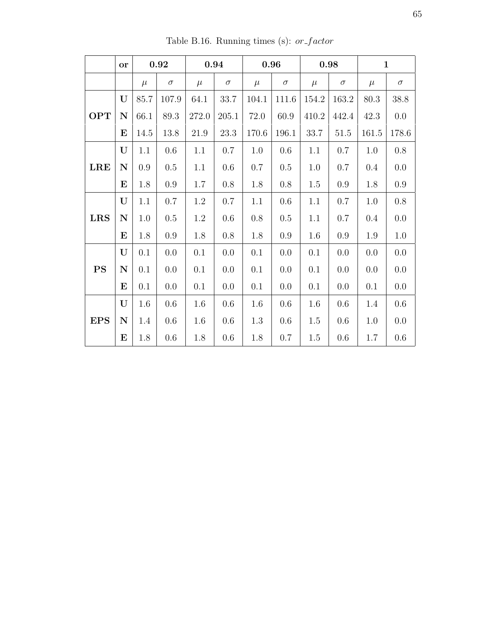|            | <b>or</b>   |       | 0.92     |       | 0.94     |         | 0.96     |         | 0.98     |       | $\mathbf{1}$ |
|------------|-------------|-------|----------|-------|----------|---------|----------|---------|----------|-------|--------------|
|            |             | $\mu$ | $\sigma$ | $\mu$ | $\sigma$ | $\mu$   | $\sigma$ | $\mu$   | $\sigma$ | $\mu$ | $\sigma$     |
|            | U           | 85.7  | 107.9    | 64.1  | 33.7     | 104.1   | 111.6    | 154.2   | 163.2    | 80.3  | 38.8         |
| <b>OPT</b> | $\mathbf N$ | 66.1  | 89.3     | 272.0 | 205.1    | 72.0    | 60.9     | 410.2   | 442.4    | 42.3  | $0.0\,$      |
|            | $\bf{E}$    | 14.5  | 13.8     | 21.9  | 23.3     | 170.6   | 196.1    | 33.7    | 51.5     | 161.5 | 178.6        |
|            | U           | 1.1   | 0.6      | 1.1   | 0.7      | 1.0     | 0.6      | 1.1     | 0.7      | 1.0   | $0.8\,$      |
| <b>LRE</b> | $\mathbf N$ | 0.9   | 0.5      | 1.1   | 0.6      | 0.7     | 0.5      | 1.0     | 0.7      | 0.4   | 0.0          |
|            | $\bf{E}$    | 1.8   | 0.9      | 1.7   | 0.8      | 1.8     | 0.8      | 1.5     | 0.9      | 1.8   | 0.9          |
|            | U           | 1.1   | 0.7      | 1.2   | 0.7      | 1.1     | 0.6      | 1.1     | 0.7      | 1.0   | $0.8\,$      |
| <b>LRS</b> | $\mathbf N$ | 1.0   | 0.5      | 1.2   | 0.6      | 0.8     | 0.5      | 1.1     | 0.7      | 0.4   | 0.0          |
|            | $\bf{E}$    | 1.8   | 0.9      | 1.8   | 0.8      | 1.8     | 0.9      | 1.6     | 0.9      | 1.9   | 1.0          |
|            | U           | 0.1   | 0.0      | 0.1   | 0.0      | 0.1     | 0.0      | 0.1     | 0.0      | 0.0   | 0.0          |
| <b>PS</b>  | $\mathbf N$ | 0.1   | 0.0      | 0.1   | 0.0      | 0.1     | 0.0      | 0.1     | 0.0      | 0.0   | 0.0          |
|            | $\bf E$     | 0.1   | 0.0      | 0.1   | 0.0      | 0.1     | 0.0      | 0.1     | 0.0      | 0.1   | 0.0          |
|            | $\mathbf U$ | 1.6   | 0.6      | 1.6   | 0.6      | 1.6     | 0.6      | 1.6     | 0.6      | 1.4   | 0.6          |
| <b>EPS</b> | $\mathbf N$ | 1.4   | 0.6      | 1.6   | 0.6      | $1.3\,$ | 0.6      | 1.5     | 0.6      | 1.0   | 0.0          |
|            | E           | 1.8   | 0.6      | 1.8   | 0.6      | 1.8     | 0.7      | $1.5\,$ | 0.6      | 1.7   | $0.6\,$      |

Table B.16. Running times (s):  $or\_factor$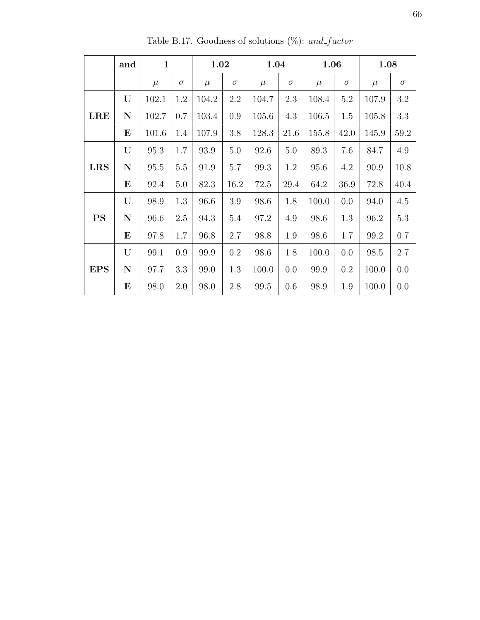|            | and         | $\mathbf{1}$ |          | 1.02  |          | 1.04  |          | 1.06  |          | 1.08  |          |
|------------|-------------|--------------|----------|-------|----------|-------|----------|-------|----------|-------|----------|
|            |             | $\mu$        | $\sigma$ | $\mu$ | $\sigma$ | $\mu$ | $\sigma$ | $\mu$ | $\sigma$ | $\mu$ | $\sigma$ |
|            | U           | 102.1        | 1.2      | 104.2 | 2.2      | 104.7 | 2.3      | 108.4 | 5.2      | 107.9 | 3.2      |
| <b>LRE</b> | $\mathbf N$ | 102.7        | 0.7      | 103.4 | 0.9      | 105.6 | 4.3      | 106.5 | 1.5      | 105.8 | 3.3      |
|            | $\bf E$     | 101.6        | 1.4      | 107.9 | 3.8      | 128.3 | 21.6     | 155.8 | 42.0     | 145.9 | 59.2     |
|            | U           | 95.3         | 1.7      | 93.9  | 5.0      | 92.6  | 5.0      | 89.3  | 7.6      | 84.7  | 4.9      |
| <b>LRS</b> | $\mathbf N$ | 95.5         | $5.5\,$  | 91.9  | $5.7\,$  | 99.3  | 1.2      | 95.6  | 4.2      | 90.9  | 10.8     |
|            | $\bf E$     | 92.4         | 5.0      | 82.3  | 16.2     | 72.5  | 29.4     | 64.2  | 36.9     | 72.8  | 40.4     |
|            | U           | 98.9         | 1.3      | 96.6  | 3.9      | 98.6  | 1.8      | 100.0 | 0.0      | 94.0  | 4.5      |
| <b>PS</b>  | $\mathbf N$ | 96.6         | 2.5      | 94.3  | 5.4      | 97.2  | 4.9      | 98.6  | 1.3      | 96.2  | $5.3\,$  |
|            | $\bf E$     | 97.8         | 1.7      | 96.8  | 2.7      | 98.8  | 1.9      | 98.6  | 1.7      | 99.2  | 0.7      |
|            | U           | 99.1         | 0.9      | 99.9  | 0.2      | 98.6  | 1.8      | 100.0 | 0.0      | 98.5  | 2.7      |
| <b>EPS</b> | ${\bf N}$   | 97.7         | 3.3      | 99.0  | 1.3      | 100.0 | 0.0      | 99.9  | 0.2      | 100.0 | 0.0      |
|            | $\bf E$     | 98.0         | 2.0      | 98.0  | 2.8      | 99.5  | 0.6      | 98.9  | 1.9      | 100.0 | 0.0      |

Table B.17. Goodness of solutions (%):  $and\_factor$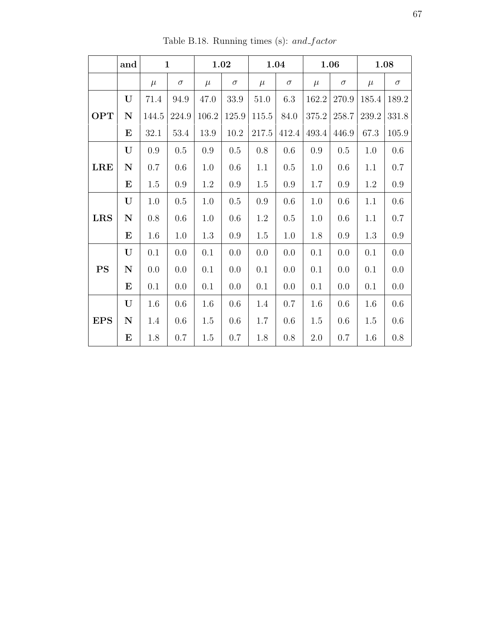|            | and         |         | $\mathbf{1}$ |         | 1.02     |         | 1.04     |           | 1.06     |       | 1.08     |
|------------|-------------|---------|--------------|---------|----------|---------|----------|-----------|----------|-------|----------|
|            |             | $\mu$   | $\sigma$     | $\mu$   | $\sigma$ | $\mu$   | $\sigma$ | $\mu$     | $\sigma$ | $\mu$ | $\sigma$ |
|            | U           | 71.4    | 94.9         | 47.0    | 33.9     | 51.0    | 6.3      | 162.2     | 270.9    | 185.4 | 189.2    |
| <b>OPT</b> | ${\bf N}$   | 144.5   | 224.9        | 106.2   | 125.9    | 115.5   | 84.0     | $375.2\,$ | 258.7    | 239.2 | 331.8    |
|            | $\bf E$     | 32.1    | 53.4         | 13.9    | 10.2     | 217.5   | 412.4    | 493.4     | 446.9    | 67.3  | 105.9    |
|            | U           | 0.9     | 0.5          | 0.9     | 0.5      | 0.8     | 0.6      | 0.9       | 0.5      | 1.0   | 0.6      |
| <b>LRE</b> | ${\bf N}$   | 0.7     | 0.6          | 1.0     | 0.6      | 1.1     | 0.5      | 1.0       | 0.6      | 1.1   | 0.7      |
|            | ${\bf E}$   | 1.5     | 0.9          | 1.2     | $0.9\,$  | 1.5     | 0.9      | 1.7       | $0.9\,$  | 1.2   | $0.9\,$  |
|            | $\mathbf U$ | 1.0     | $0.5\,$      | 1.0     | $0.5\,$  | $0.9\,$ | 0.6      | 1.0       | 0.6      | 1.1   | 0.6      |
| <b>LRS</b> | ${\bf N}$   | $0.8\,$ | $0.6\,$      | 1.0     | $0.6\,$  | $1.2\,$ | 0.5      | 1.0       | 0.6      | 1.1   | 0.7      |
|            | $\bf E$     | 1.6     | 1.0          | 1.3     | 0.9      | 1.5     | 1.0      | 1.8       | 0.9      | 1.3   | 0.9      |
|            | U           | 0.1     | 0.0          | 0.1     | 0.0      | 0.0     | 0.0      | 0.1       | 0.0      | 0.1   | 0.0      |
| <b>PS</b>  | ${\bf N}$   | 0.0     | 0.0          | 0.1     | 0.0      | 0.1     | 0.0      | 0.1       | 0.0      | 0.1   | 0.0      |
|            | ${\bf E}$   | 0.1     | 0.0          | 0.1     | 0.0      | 0.1     | 0.0      | 0.1       | 0.0      | 0.1   | 0.0      |
|            | $\mathbf U$ | 1.6     | 0.6          | 1.6     | $0.6\,$  | 1.4     | 0.7      | 1.6       | 0.6      | 1.6   | $0.6\,$  |
| <b>EPS</b> | ${\bf N}$   | 1.4     | 0.6          | $1.5\,$ | 0.6      | 1.7     | 0.6      | 1.5       | 0.6      | 1.5   | $0.6\,$  |
|            | ${\bf E}$   | 1.8     | 0.7          | $1.5\,$ | 0.7      | 1.8     | 0.8      | 2.0       | 0.7      | 1.6   | $0.8\,$  |

Table B.18. Running times (s):  $and\_factor$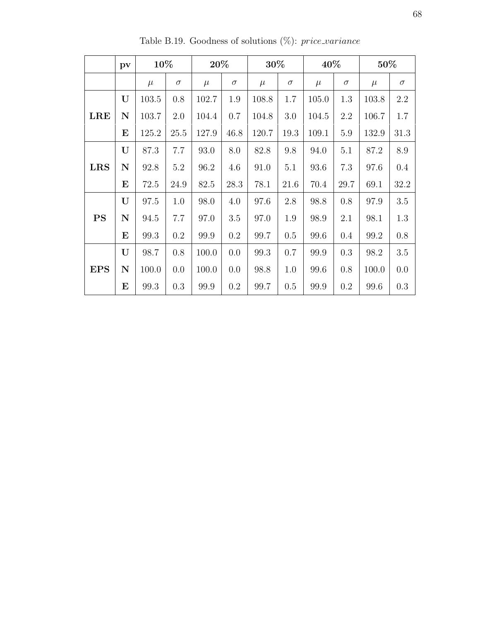|            | pv          | 10%   |          | 20%   |          | 30%   |          | 40%   |          | 50%      |            |
|------------|-------------|-------|----------|-------|----------|-------|----------|-------|----------|----------|------------|
|            |             | $\mu$ | $\sigma$ | $\mu$ | $\sigma$ | $\mu$ | $\sigma$ | $\mu$ | $\sigma$ | $\mu$    | $\sigma$   |
|            | U           | 103.5 | 0.8      | 102.7 | 1.9      | 108.8 | 1.7      | 105.0 | 1.3      | 103.8    | 2.2        |
| <b>LRE</b> | N           | 103.7 | 2.0      | 104.4 | 0.7      | 104.8 | 3.0      | 104.5 | 2.2      | 106.7    | 1.7        |
|            | $\bf E$     | 125.2 | 25.5     | 127.9 | 46.8     | 120.7 | 19.3     | 109.1 | 5.9      | 132.9    | 31.3       |
|            | U           | 87.3  | 7.7      | 93.0  | 8.0      | 82.8  | 9.8      | 94.0  | 5.1      | $87.2\,$ | $\ \, 8.9$ |
| <b>LRS</b> | $\mathbf N$ | 92.8  | $5.2\,$  | 96.2  | 4.6      | 91.0  | 5.1      | 93.6  | 7.3      | 97.6     | $0.4\,$    |
|            | E           | 72.5  | 24.9     | 82.5  | 28.3     | 78.1  | 21.6     | 70.4  | 29.7     | 69.1     | 32.2       |
|            | U           | 97.5  | 1.0      | 98.0  | 4.0      | 97.6  | 2.8      | 98.8  | 0.8      | 97.9     | $3.5\,$    |
| <b>PS</b>  | N           | 94.5  | 7.7      | 97.0  | $3.5\,$  | 97.0  | 1.9      | 98.9  | 2.1      | 98.1     | 1.3        |
|            | E           | 99.3  | 0.2      | 99.9  | 0.2      | 99.7  | 0.5      | 99.6  | 0.4      | 99.2     | 0.8        |
|            | U           | 98.7  | 0.8      | 100.0 | 0.0      | 99.3  | 0.7      | 99.9  | 0.3      | 98.2     | 3.5        |
| <b>EPS</b> | $\mathbf N$ | 100.0 | 0.0      | 100.0 | 0.0      | 98.8  | 1.0      | 99.6  | 0.8      | 100.0    | 0.0        |
|            | $\bf E$     | 99.3  | 0.3      | 99.9  | 0.2      | 99.7  | 0.5      | 99.9  | 0.2      | 99.6     | 0.3        |

Table B.19. Goodness of solutions  $(\%)$ : price\_variance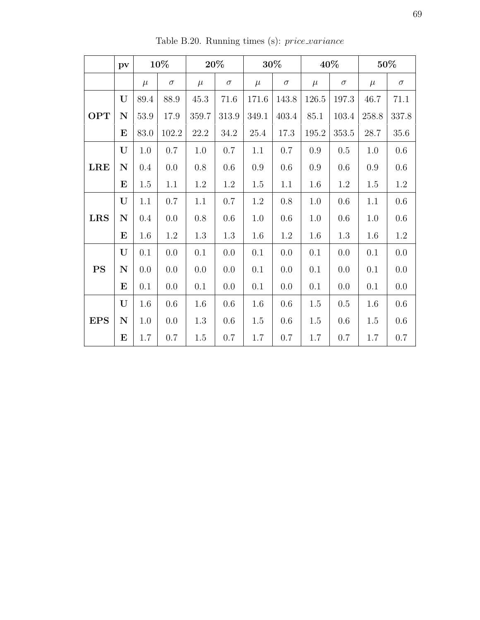|            | $\mathbf{p}\mathbf{v}$ |         | 10%      |         | $20\%$   |         | 30%      |           | 40%      |         | 50%      |
|------------|------------------------|---------|----------|---------|----------|---------|----------|-----------|----------|---------|----------|
|            |                        | $\mu$   | $\sigma$ | $\mu$   | $\sigma$ | $\mu$   | $\sigma$ | $\mu$     | $\sigma$ | $\mu$   | $\sigma$ |
|            | $\mathbf U$            | 89.4    | 88.9     | 45.3    | 71.6     | 171.6   | 143.8    | 126.5     | 197.3    | 46.7    | 71.1     |
| <b>OPT</b> | $\mathbf N$            | 53.9    | 17.9     | 359.7   | 313.9    | 349.1   | 403.4    | 85.1      | 103.4    | 258.8   | 337.8    |
|            | $\bf{E}$               | 83.0    | 102.2    | 22.2    | 34.2     | 25.4    | 17.3     | $195.2\,$ | 353.5    | 28.7    | 35.6     |
|            | U                      | 1.0     | 0.7      | 1.0     | 0.7      | 1.1     | 0.7      | 0.9       | 0.5      | 1.0     | 0.6      |
| <b>LRE</b> | ${\bf N}$              | 0.4     | 0.0      | 0.8     | 0.6      | 0.9     | $0.6\,$  | $0.9\,$   | 0.6      | $0.9\,$ | $0.6\,$  |
|            | $\bf E$                | 1.5     | 1.1      | 1.2     | 1.2      | $1.5\,$ | 1.1      | 1.6       | 1.2      | $1.5\,$ | $1.2\,$  |
|            | U                      | 1.1     | $0.7\,$  | 1.1     | 0.7      | 1.2     | 0.8      | 1.0       | 0.6      | 1.1     | 0.6      |
| <b>LRS</b> | ${\bf N}$              | $0.4\,$ | 0.0      | 0.8     | 0.6      | 1.0     | 0.6      | 1.0       | 0.6      | 1.0     | 0.6      |
|            | $\bf E$                | 1.6     | 1.2      | 1.3     | 1.3      | 1.6     | 1.2      | 1.6       | 1.3      | 1.6     | 1.2      |
|            | U                      | 0.1     | 0.0      | 0.1     | 0.0      | 0.1     | 0.0      | 0.1       | 0.0      | 0.1     | 0.0      |
| PS         | ${\bf N}$              | 0.0     | 0.0      | 0.0     | 0.0      | 0.1     | 0.0      | 0.1       | 0.0      | 0.1     | 0.0      |
|            | $\bf E$                | 0.1     | 0.0      | 0.1     | 0.0      | 0.1     | 0.0      | 0.1       | 0.0      | 0.1     | 0.0      |
|            | $\mathbf U$            | $1.6\,$ | 0.6      | $1.6\,$ | 0.6      | 1.6     | 0.6      | $1.5\,$   | 0.5      | 1.6     | $0.6\,$  |
| <b>EPS</b> | ${\bf N}$              | 1.0     | 0.0      | 1.3     | 0.6      | $1.5\,$ | 0.6      | 1.5       | 0.6      | 1.5     | 0.6      |
|            | $\bf{E}$               | 1.7     | 0.7      | 1.5     | 0.7      | 1.7     | 0.7      | 1.7       | 0.7      | 1.7     | 0.7      |

Table B.20. Running times (s):  $price\_variance$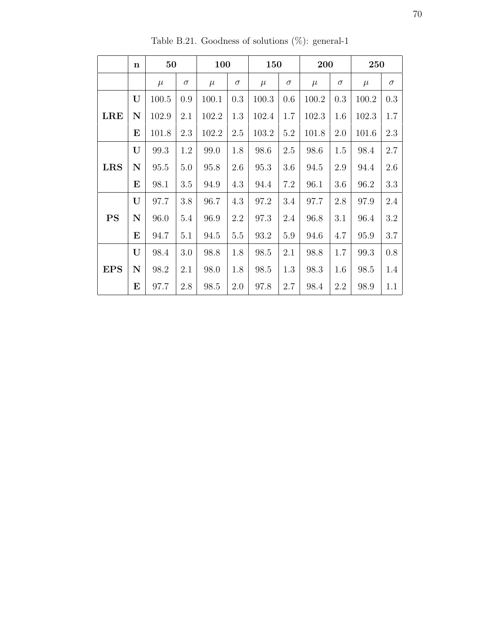|            | $\mathbf n$ | 50    |          | 100   |          | 150   |          | 200   |          | 250   |          |
|------------|-------------|-------|----------|-------|----------|-------|----------|-------|----------|-------|----------|
|            |             | $\mu$ | $\sigma$ | $\mu$ | $\sigma$ | $\mu$ | $\sigma$ | $\mu$ | $\sigma$ | $\mu$ | $\sigma$ |
|            | U           | 100.5 | 0.9      | 100.1 | 0.3      | 100.3 | 0.6      | 100.2 | 0.3      | 100.2 | 0.3      |
| <b>LRE</b> | N           | 102.9 | 2.1      | 102.2 | 1.3      | 102.4 | 1.7      | 102.3 | 1.6      | 102.3 | 1.7      |
|            | $\bf E$     | 101.8 | 2.3      | 102.2 | 2.5      | 103.2 | 5.2      | 101.8 | 2.0      | 101.6 | 2.3      |
|            | U           | 99.3  | 1.2      | 99.0  | 1.8      | 98.6  | 2.5      | 98.6  | 1.5      | 98.4  | 2.7      |
| <b>LRS</b> | ${\bf N}$   | 95.5  | 5.0      | 95.8  | 2.6      | 95.3  | 3.6      | 94.5  | $2.9\,$  | 94.4  | 2.6      |
|            | E           | 98.1  | 3.5      | 94.9  | 4.3      | 94.4  | 7.2      | 96.1  | 3.6      | 96.2  | 3.3      |
|            | U           | 97.7  | 3.8      | 96.7  | 4.3      | 97.2  | 3.4      | 97.7  | 2.8      | 97.9  | 2.4      |
| <b>PS</b>  | ${\bf N}$   | 96.0  | 5.4      | 96.9  | 2.2      | 97.3  | 2.4      | 96.8  | 3.1      | 96.4  | 3.2      |
|            | $\bf E$     | 94.7  | 5.1      | 94.5  | 5.5      | 93.2  | 5.9      | 94.6  | 4.7      | 95.9  | 3.7      |
|            | U           | 98.4  | 3.0      | 98.8  | 1.8      | 98.5  | 2.1      | 98.8  | 1.7      | 99.3  | 0.8      |
| <b>EPS</b> | $\mathbf N$ | 98.2  | 2.1      | 98.0  | 1.8      | 98.5  | 1.3      | 98.3  | 1.6      | 98.5  | 1.4      |
|            | $\bf E$     | 97.7  | 2.8      | 98.5  | 2.0      | 97.8  | 2.7      | 98.4  | $2.2\,$  | 98.9  | 1.1      |

Table B.21. Goodness of solutions  $(\%)$ : general-1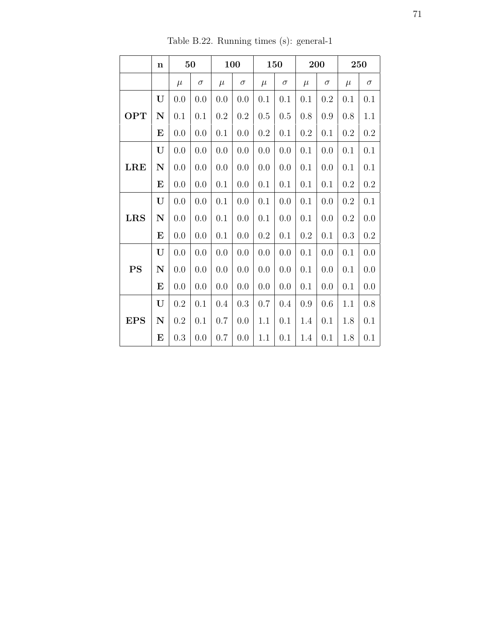|            | $\mathbf n$ |           | 50       |         | 100      | 150     |          |           | 200      | 250     |           |
|------------|-------------|-----------|----------|---------|----------|---------|----------|-----------|----------|---------|-----------|
|            |             | $\mu$     | $\sigma$ | $\mu$   | $\sigma$ | $\mu$   | $\sigma$ | $\mu$     | $\sigma$ | $\mu$   | $\sigma$  |
|            | U           | 0.0       | 0.0      | 0.0     | 0.0      | 0.1     | 0.1      | 0.1       | 0.2      | 0.1     | 0.1       |
| <b>OPT</b> | ${\bf N}$   | 0.1       | 0.1      | $0.2\,$ | $0.2\,$  | 0.5     | 0.5      | $0.8\,$   | 0.9      | 0.8     | $1.1\,$   |
|            | E           | 0.0       | 0.0      | 0.1     | 0.0      | 0.2     | 0.1      | $\rm 0.2$ | 0.1      | 0.2     | $0.2\,$   |
|            | U           | 0.0       | 0.0      | 0.0     | 0.0      | 0.0     | 0.0      | 0.1       | 0.0      | 0.1     | 0.1       |
| LRE        | ${\bf N}$   | 0.0       | 0.0      | 0.0     | 0.0      | 0.0     | 0.0      | 0.1       | 0.0      | 0.1     | 0.1       |
|            | ${\bf E}$   | 0.0       | 0.0      | 0.1     | 0.0      | 0.1     | 0.1      | 0.1       | 0.1      | 0.2     | $\rm 0.2$ |
|            | U           | 0.0       | 0.0      | 0.1     | 0.0      | 0.1     | 0.0      | 0.1       | 0.0      | 0.2     | 0.1       |
| <b>LRS</b> | ${\bf N}$   | 0.0       | 0.0      | 0.1     | 0.0      | 0.1     | 0.0      | 0.1       | 0.0      | $0.2\,$ | 0.0       |
|            | $\bf E$     | 0.0       | 0.0      | 0.1     | 0.0      | $0.2\,$ | 0.1      | $\rm 0.2$ | 0.1      | 0.3     | $\rm 0.2$ |
|            | U           | 0.0       | 0.0      | 0.0     | 0.0      | 0.0     | 0.0      | 0.1       | 0.0      | 0.1     | 0.0       |
| <b>PS</b>  | ${\bf N}$   | 0.0       | 0.0      | 0.0     | 0.0      | 0.0     | 0.0      | 0.1       | 0.0      | 0.1     | 0.0       |
|            | E           | 0.0       | 0.0      | 0.0     | 0.0      | 0.0     | 0.0      | 0.1       | 0.0      | $0.1\,$ | 0.0       |
|            | U           | $\rm 0.2$ | 0.1      | 0.4     | 0.3      | 0.7     | 0.4      | $0.9\,$   | 0.6      | 1.1     | $0.8\,$   |
| <b>EPS</b> | ${\bf N}$   | $0.2\,$   | 0.1      | 0.7     | 0.0      | 1.1     | 0.1      | 1.4       | 0.1      | 1.8     | 0.1       |
|            | E           | 0.3       | 0.0      | 0.7     | 0.0      | 1.1     | 0.1      | 1.4       | 0.1      | 1.8     | 0.1       |

Table B.22. Running times (s): general-1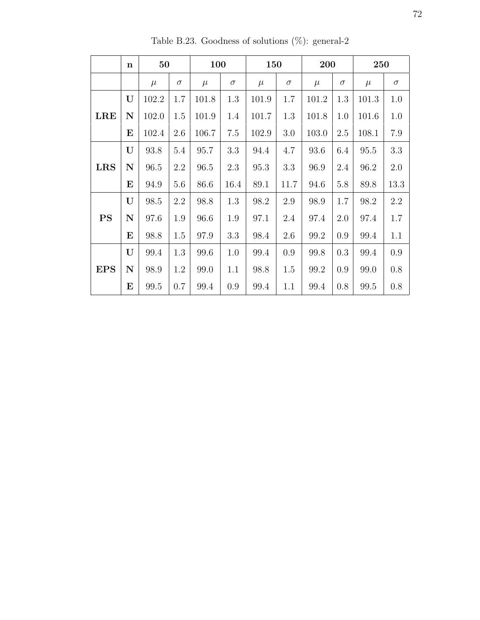|            | $\mathbf n$ | 50       |          | 100   |          | 150   |          | 200       |          | 250   |          |
|------------|-------------|----------|----------|-------|----------|-------|----------|-----------|----------|-------|----------|
|            |             | $\mu$    | $\sigma$ | $\mu$ | $\sigma$ | $\mu$ | $\sigma$ | $\mu$     | $\sigma$ | $\mu$ | $\sigma$ |
|            | U           | 102.2    | 1.7      | 101.8 | $1.3\,$  | 101.9 | 1.7      | $101.2\,$ | 1.3      | 101.3 | 1.0      |
| <b>LRE</b> | N           | 102.0    | 1.5      | 101.9 | 1.4      | 101.7 | 1.3      | 101.8     | 1.0      | 101.6 | 1.0      |
|            | $\bf E$     | 102.4    | 2.6      | 106.7 | 7.5      | 102.9 | 3.0      | 103.0     | 2.5      | 108.1 | 7.9      |
| <b>LRS</b> | U           | 93.8     | 5.4      | 95.7  | 3.3      | 94.4  | 4.7      | 93.6      | 6.4      | 95.5  | 3.3      |
|            | N           | $96.5\,$ | 2.2      | 96.5  | 2.3      | 95.3  | 3.3      | 96.9      | 2.4      | 96.2  | $2.0\,$  |
|            | $\bf E$     | 94.9     | 5.6      | 86.6  | 16.4     | 89.1  | 11.7     | 94.6      | 5.8      | 89.8  | 13.3     |
|            | U           | 98.5     | 2.2      | 98.8  | 1.3      | 98.2  | 2.9      | 98.9      | 1.7      | 98.2  | $2.2\,$  |
| <b>PS</b>  | N           | 97.6     | 1.9      | 96.6  | 1.9      | 97.1  | 2.4      | 97.4      | 2.0      | 97.4  | 1.7      |
|            | $\bf E$     | 98.8     | 1.5      | 97.9  | 3.3      | 98.4  | 2.6      | 99.2      | 0.9      | 99.4  | 1.1      |
| <b>EPS</b> | U           | 99.4     | 1.3      | 99.6  | 1.0      | 99.4  | 0.9      | 99.8      | 0.3      | 99.4  | 0.9      |
|            | N           | 98.9     | 1.2      | 99.0  | 1.1      | 98.8  | 1.5      | 99.2      | 0.9      | 99.0  | $0.8\,$  |
|            | $\bf{E}$    | 99.5     | 0.7      | 99.4  | 0.9      | 99.4  | 1.1      | 99.4      | 0.8      | 99.5  | 0.8      |

Table B.23. Goodness of solutions (%): general-2  $\,$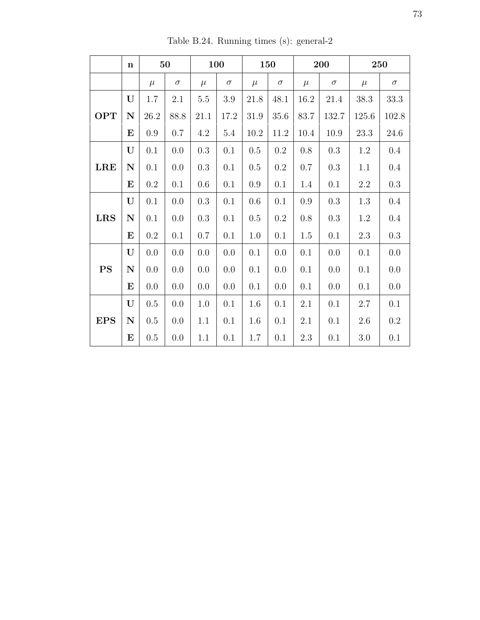|            | $\mathbf n$ | 50      |          | 100     |          | 150   |          | 200     |          | 250     |           |
|------------|-------------|---------|----------|---------|----------|-------|----------|---------|----------|---------|-----------|
|            |             | $\mu$   | $\sigma$ | $\mu$   | $\sigma$ | $\mu$ | $\sigma$ | $\mu$   | $\sigma$ | $\mu$   | $\sigma$  |
|            | U           | $1.7\,$ | 2.1      | $5.5\,$ | $3.9\,$  | 21.8  | 48.1     | 16.2    | 21.4     | 38.3    | 33.3      |
| <b>OPT</b> | $\mathbf N$ | 26.2    | 88.8     | 21.1    | 17.2     | 31.9  | 35.6     | 83.7    | 132.7    | 125.6   | 102.8     |
|            | $\bf E$     | 0.9     | 0.7      | 4.2     | 5.4      | 10.2  | 11.2     | 10.4    | 10.9     | 23.3    | 24.6      |
|            | U           | 0.1     | 0.0      | 0.3     | 0.1      | 0.5   | 0.2      | 0.8     | 0.3      | 1.2     | 0.4       |
| <b>LRE</b> | $\mathbf N$ | 0.1     | 0.0      | 0.3     | 0.1      | 0.5   | $0.2\,$  | 0.7     | 0.3      | $1.1\,$ | 0.4       |
|            | $\bf E$     | 0.2     | 0.1      | 0.6     | 0.1      | 0.9   | 0.1      | 1.4     | 0.1      | $2.2\,$ | $0.3\,$   |
|            | U           | 0.1     | 0.0      | 0.3     | 0.1      | 0.6   | 0.1      | 0.9     | 0.3      | 1.3     | 0.4       |
| <b>LRS</b> | $\mathbf N$ | 0.1     | 0.0      | 0.3     | 0.1      | 0.5   | 0.2      | 0.8     | 0.3      | 1.2     | 0.4       |
|            | ${\bf E}$   | 0.2     | 0.1      | 0.7     | 0.1      | 1.0   | 0.1      | 1.5     | 0.1      | 2.3     | $0.3\,$   |
|            | U           | 0.0     | 0.0      | 0.0     | 0.0      | 0.1   | 0.0      | $0.1\,$ | 0.0      | 0.1     | 0.0       |
| PS         | $\mathbf N$ | 0.0     | 0.0      | 0.0     | 0.0      | 0.1   | 0.0      | 0.1     | 0.0      | 0.1     | 0.0       |
|            | $\bf E$     | 0.0     | 0.0      | 0.0     | 0.0      | 0.1   | 0.0      | 0.1     | 0.0      | 0.1     | 0.0       |
| <b>EPS</b> | U           | 0.5     | 0.0      | 1.0     | 0.1      | 1.6   | 0.1      | 2.1     | 0.1      | $2.7\,$ | 0.1       |
|            | $\mathbf N$ | 0.5     | 0.0      | 1.1     | 0.1      | 1.6   | 0.1      | 2.1     | 0.1      | 2.6     | $\rm 0.2$ |
|            | E           | 0.5     | 0.0      | 1.1     | 0.1      | 1.7   | 0.1      | 2.3     | 0.1      | 3.0     | 0.1       |

Table B.24. Running times (s): general-2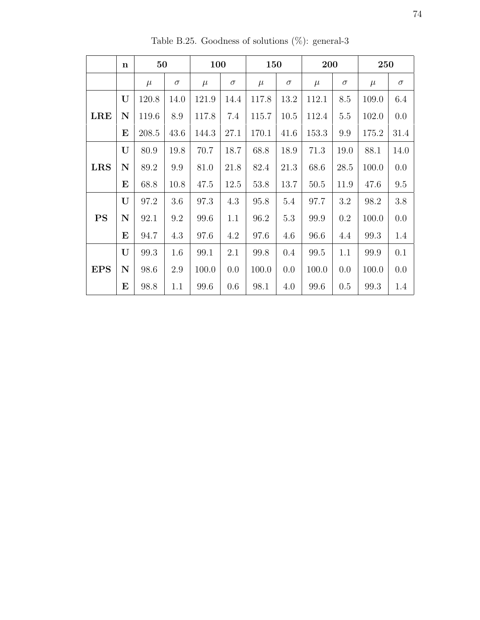|            | n           | 50    |          |       | 100      |       | 150      |       | 200      |       | 250      |  |
|------------|-------------|-------|----------|-------|----------|-------|----------|-------|----------|-------|----------|--|
|            |             | $\mu$ | $\sigma$ | $\mu$ | $\sigma$ | $\mu$ | $\sigma$ | $\mu$ | $\sigma$ | $\mu$ | $\sigma$ |  |
| <b>LRE</b> | U           | 120.8 | 14.0     | 121.9 | 14.4     | 117.8 | 13.2     | 112.1 | 8.5      | 109.0 | 6.4      |  |
|            | $\mathbf N$ | 119.6 | 8.9      | 117.8 | 7.4      | 115.7 | 10.5     | 112.4 | 5.5      | 102.0 | 0.0      |  |
|            | E           | 208.5 | 43.6     | 144.3 | 27.1     | 170.1 | 41.6     | 153.3 | 9.9      | 175.2 | 31.4     |  |
| <b>LRS</b> | U           | 80.9  | 19.8     | 70.7  | 18.7     | 68.8  | 18.9     | 71.3  | 19.0     | 88.1  | 14.0     |  |
|            | $\mathbf N$ | 89.2  | 9.9      | 81.0  | 21.8     | 82.4  | 21.3     | 68.6  | 28.5     | 100.0 | 0.0      |  |
|            | E           | 68.8  | 10.8     | 47.5  | 12.5     | 53.8  | 13.7     | 50.5  | 11.9     | 47.6  | 9.5      |  |
|            | U           | 97.2  | 3.6      | 97.3  | 4.3      | 95.8  | 5.4      | 97.7  | 3.2      | 98.2  | $3.8\,$  |  |
| <b>PS</b>  | $\mathbf N$ | 92.1  | 9.2      | 99.6  | 1.1      | 96.2  | 5.3      | 99.9  | 0.2      | 100.0 | 0.0      |  |
|            | E           | 94.7  | 4.3      | 97.6  | 4.2      | 97.6  | 4.6      | 96.6  | 4.4      | 99.3  | 1.4      |  |
| <b>EPS</b> | U           | 99.3  | 1.6      | 99.1  | 2.1      | 99.8  | 0.4      | 99.5  | 1.1      | 99.9  | 0.1      |  |
|            | $\mathbf N$ | 98.6  | 2.9      | 100.0 | 0.0      | 100.0 | 0.0      | 100.0 | 0.0      | 100.0 | 0.0      |  |
|            | E           | 98.8  | 1.1      | 99.6  | 0.6      | 98.1  | 4.0      | 99.6  | 0.5      | 99.3  | 1.4      |  |

Table B.25. Goodness of solutions  $(\%)$ : general-3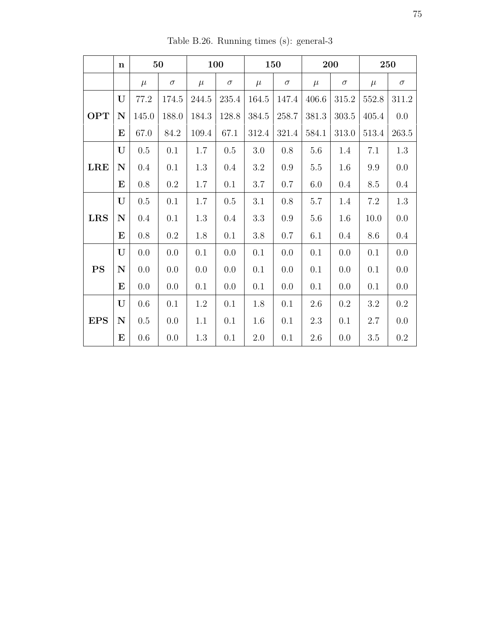|            | $\mathbf n$ | 50      |          |       | <b>100</b><br><b>150</b> |         | 200      |         | 250       |         |           |
|------------|-------------|---------|----------|-------|--------------------------|---------|----------|---------|-----------|---------|-----------|
|            |             | $\mu$   | $\sigma$ | $\mu$ | $\sigma$                 | $\mu$   | $\sigma$ | $\mu$   | $\sigma$  | $\mu$   | $\sigma$  |
|            | U           | 77.2    | 174.5    | 244.5 | $235.4\,$                | 164.5   | 147.4    | 406.6   | 315.2     | 552.8   | $311.2\,$ |
| <b>OPT</b> | $\mathbf N$ | 145.0   | 188.0    | 184.3 | 128.8                    | 384.5   | 258.7    | 381.3   | $303.5\,$ | 405.4   | 0.0       |
|            | E           | 67.0    | 84.2     | 109.4 | $67.1\,$                 | 312.4   | 321.4    | 584.1   | 313.0     | 513.4   | 263.5     |
|            | U           | 0.5     | 0.1      | 1.7   | 0.5                      | 3.0     | 0.8      | 5.6     | 1.4       | 7.1     | 1.3       |
| <b>LRE</b> | ${\bf N}$   | $0.4\,$ | 0.1      | 1.3   | 0.4                      | $3.2\,$ | 0.9      | $5.5\,$ | 1.6       | 9.9     | $0.0\,$   |
|            | $\bf{E}$    | 0.8     | $0.2\,$  | 1.7   | 0.1                      | $3.7\,$ | 0.7      | 6.0     | $0.4\,$   | 8.5     | 0.4       |
| <b>LRS</b> | U           | $0.5\,$ | 0.1      | 1.7   | $0.5\,$                  | $3.1\,$ | $0.8\,$  | $5.7\,$ | 1.4       | $7.2\,$ | $1.3\,$   |
|            | $\mathbf N$ | $0.4\,$ | 0.1      | 1.3   | $0.4\,$                  | 3.3     | 0.9      | 5.6     | 1.6       | 10.0    | 0.0       |
|            | $\bf{E}$    | 0.8     | $0.2\,$  | 1.8   | 0.1                      | $3.8\,$ | 0.7      | 6.1     | $0.4\,$   | 8.6     | 0.4       |
|            | U           | 0.0     | 0.0      | 0.1   | 0.0                      | 0.1     | 0.0      | $0.1\,$ | 0.0       | 0.1     | 0.0       |
| <b>PS</b>  | ${\bf N}$   | 0.0     | 0.0      | 0.0   | 0.0                      | 0.1     | 0.0      | 0.1     | 0.0       | 0.1     | $0.0\,$   |
|            | $\bf E$     | 0.0     | 0.0      | 0.1   | 0.0                      | 0.1     | 0.0      | 0.1     | 0.0       | 0.1     | 0.0       |
| <b>EPS</b> | U           | 0.6     | 0.1      | 1.2   | 0.1                      | 1.8     | 0.1      | 2.6     | $0.2\,$   | 3.2     | 0.2       |
|            | ${\bf N}$   | 0.5     | 0.0      | 1.1   | 0.1                      | 1.6     | 0.1      | 2.3     | 0.1       | 2.7     | 0.0       |
|            | E           | 0.6     | 0.0      | 1.3   | 0.1                      | 2.0     | 0.1      | $2.6\,$ | 0.0       | $3.5\,$ | $0.2\,$   |

Table B.26. Running times (s): general-3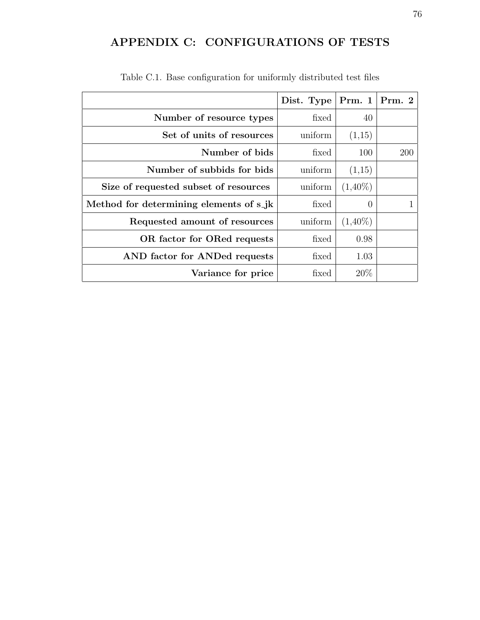## APPENDIX C: CONFIGURATIONS OF TESTS

|                                         | Dist. Type | Prm. $1 \vert Prm. 2$ |     |
|-----------------------------------------|------------|-----------------------|-----|
| Number of resource types                | fixed      | 40                    |     |
| Set of units of resources               | uniform    | (1,15)                |     |
| Number of bids                          | fixed      | 100                   | 200 |
| Number of subbids for bids              | uniform    | (1,15)                |     |
| Size of requested subset of resources   | uniform    | $(1,40\%)$            |     |
| Method for determining elements of s_jk | fixed      | $\theta$              |     |
| Requested amount of resources           | uniform    | $(1,40\%)$            |     |
| OR factor for ORed requests             | fixed      | 0.98                  |     |
| AND factor for ANDed requests           | fixed      | 1.03                  |     |
| Variance for price                      | fixed      | 20\%                  |     |

Table C.1. Base configuration for uniformly distributed test files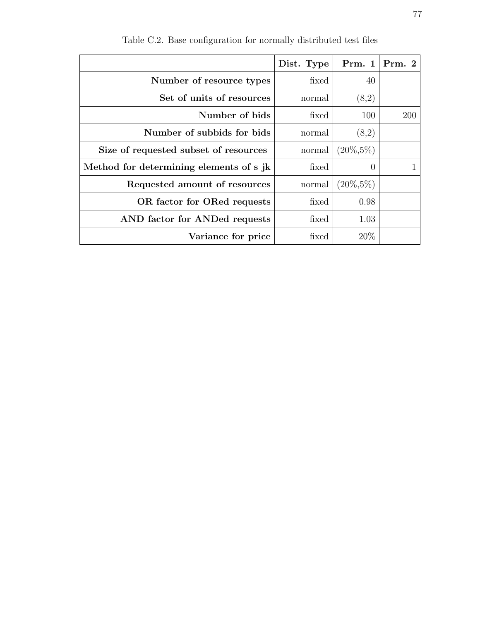|                                         | Dist. Type |                  | Prm. $1 \mid Prm. 2$ |
|-----------------------------------------|------------|------------------|----------------------|
| Number of resource types                | fixed      | 40               |                      |
| Set of units of resources               | normal     | (8,2)            |                      |
| Number of bids                          | fixed      | 100              | 200                  |
| Number of subbids for bids              | normal     | (8,2)            |                      |
| Size of requested subset of resources   | normal     | $(20\%, 5\%)$    |                      |
| Method for determining elements of s_jk | fixed      | $\left( \right)$ |                      |
| Requested amount of resources           | normal     | $(20\%, 5\%)$    |                      |
| OR factor for ORed requests             | fixed      | 0.98             |                      |
| AND factor for ANDed requests           | fixed      | 1.03             |                      |
| Variance for price                      | fixed      | 20%              |                      |

Table C.2. Base configuration for normally distributed test files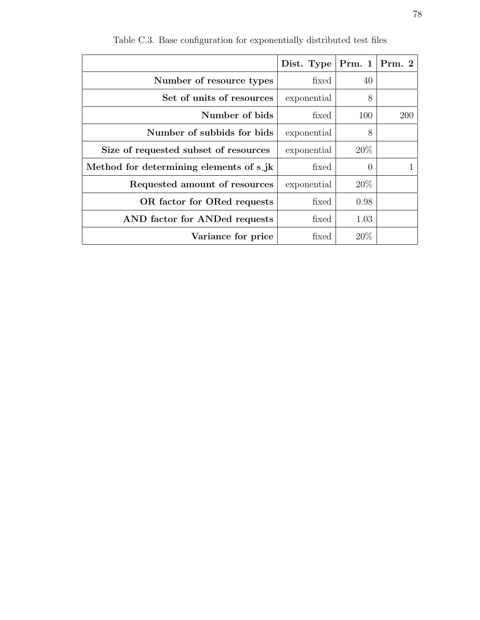|                                         | Dist. Type  | Prm. 1   Prm. 2 |     |
|-----------------------------------------|-------------|-----------------|-----|
| Number of resource types                | fixed       | 40              |     |
| Set of units of resources               | exponential | 8               |     |
| Number of bids                          | fixed       | 100             | 200 |
| Number of subbids for bids              | exponential | 8               |     |
| Size of requested subset of resources   | exponential | 20\%            |     |
| Method for determining elements of s_jk | fixed       | $\theta$        |     |
| Requested amount of resources           | exponential | $20\%$          |     |
| OR factor for ORed requests             | fixed       | 0.98            |     |
| AND factor for ANDed requests           | fixed       | 1.03            |     |
| Variance for price                      | fixed       | 20\%            |     |

Table C.3. Base configuration for exponentially distributed test files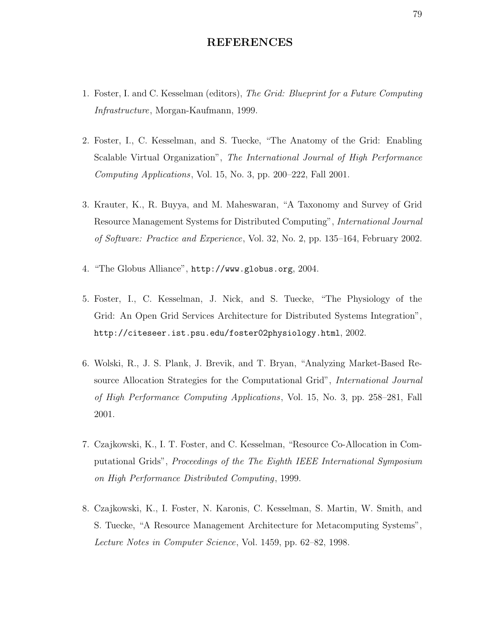## REFERENCES

- 1. Foster, I. and C. Kesselman (editors), The Grid: Blueprint for a Future Computing Infrastructure, Morgan-Kaufmann, 1999.
- 2. Foster, I., C. Kesselman, and S. Tuecke, "The Anatomy of the Grid: Enabling Scalable Virtual Organization", The International Journal of High Performance Computing Applications, Vol. 15, No. 3, pp. 200–222, Fall 2001.
- 3. Krauter, K., R. Buyya, and M. Maheswaran, "A Taxonomy and Survey of Grid Resource Management Systems for Distributed Computing", International Journal of Software: Practice and Experience, Vol. 32, No. 2, pp. 135–164, February 2002.
- 4. "The Globus Alliance", http://www.globus.org, 2004.
- 5. Foster, I., C. Kesselman, J. Nick, and S. Tuecke, "The Physiology of the Grid: An Open Grid Services Architecture for Distributed Systems Integration", http://citeseer.ist.psu.edu/foster02physiology.html, 2002.
- 6. Wolski, R., J. S. Plank, J. Brevik, and T. Bryan, "Analyzing Market-Based Resource Allocation Strategies for the Computational Grid", International Journal of High Performance Computing Applications, Vol. 15, No. 3, pp. 258–281, Fall 2001.
- 7. Czajkowski, K., I. T. Foster, and C. Kesselman, "Resource Co-Allocation in Computational Grids", Proceedings of the The Eighth IEEE International Symposium on High Performance Distributed Computing, 1999.
- 8. Czajkowski, K., I. Foster, N. Karonis, C. Kesselman, S. Martin, W. Smith, and S. Tuecke, "A Resource Management Architecture for Metacomputing Systems", Lecture Notes in Computer Science, Vol. 1459, pp. 62–82, 1998.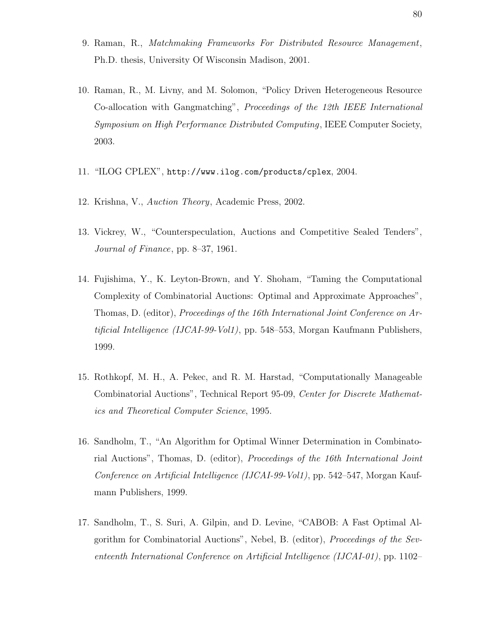- 9. Raman, R., Matchmaking Frameworks For Distributed Resource Management, Ph.D. thesis, University Of Wisconsin Madison, 2001.
- 10. Raman, R., M. Livny, and M. Solomon, "Policy Driven Heterogeneous Resource Co-allocation with Gangmatching", Proceedings of the 12th IEEE International Symposium on High Performance Distributed Computing, IEEE Computer Society, 2003.
- 11. "ILOG CPLEX", http://www.ilog.com/products/cplex, 2004.
- 12. Krishna, V., Auction Theory, Academic Press, 2002.
- 13. Vickrey, W., "Counterspeculation, Auctions and Competitive Sealed Tenders", Journal of Finance, pp. 8–37, 1961.
- 14. Fujishima, Y., K. Leyton-Brown, and Y. Shoham, "Taming the Computational Complexity of Combinatorial Auctions: Optimal and Approximate Approaches", Thomas, D. (editor), Proceedings of the 16th International Joint Conference on Artificial Intelligence (IJCAI-99-Vol1), pp. 548-553, Morgan Kaufmann Publishers, 1999.
- 15. Rothkopf, M. H., A. Pekec, and R. M. Harstad, "Computationally Manageable Combinatorial Auctions", Technical Report 95-09, Center for Discrete Mathematics and Theoretical Computer Science, 1995.
- 16. Sandholm, T., "An Algorithm for Optimal Winner Determination in Combinatorial Auctions", Thomas, D. (editor), Proceedings of the 16th International Joint Conference on Artificial Intelligence (IJCAI-99-Vol1), pp. 542–547, Morgan Kaufmann Publishers, 1999.
- 17. Sandholm, T., S. Suri, A. Gilpin, and D. Levine, "CABOB: A Fast Optimal Algorithm for Combinatorial Auctions", Nebel, B. (editor), Proceedings of the Seventeenth International Conference on Artificial Intelligence (IJCAI-01), pp. 1102–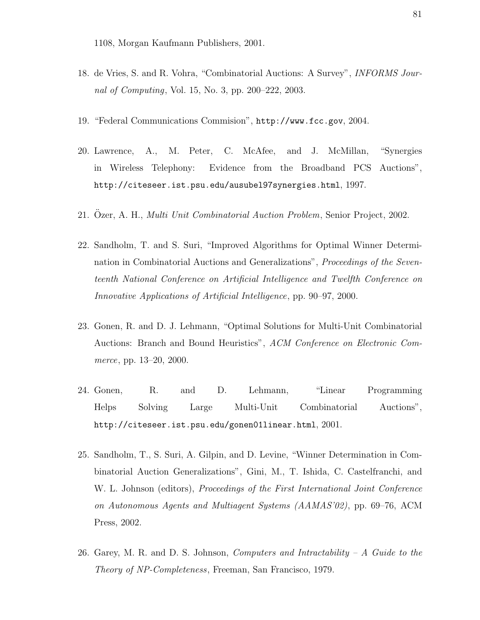1108, Morgan Kaufmann Publishers, 2001.

- 18. de Vries, S. and R. Vohra, "Combinatorial Auctions: A Survey", INFORMS Journal of Computing, Vol. 15, No. 3, pp. 200–222, 2003.
- 19. "Federal Communications Commision", http://www.fcc.gov, 2004.
- 20. Lawrence, A., M. Peter, C. McAfee, and J. McMillan, "Synergies in Wireless Telephony: Evidence from the Broadband PCS Auctions", http://citeseer.ist.psu.edu/ausubel97synergies.html, 1997.
- 21. Özer, A. H., *Multi Unit Combinatorial Auction Problem*, Senior Project, 2002.
- 22. Sandholm, T. and S. Suri, "Improved Algorithms for Optimal Winner Determination in Combinatorial Auctions and Generalizations", Proceedings of the Seventeenth National Conference on Artificial Intelligence and Twelfth Conference on Innovative Applications of Artificial Intelligence, pp. 90–97, 2000.
- 23. Gonen, R. and D. J. Lehmann, "Optimal Solutions for Multi-Unit Combinatorial Auctions: Branch and Bound Heuristics", ACM Conference on Electronic Commerce, pp. 13–20, 2000.
- 24. Gonen, R. and D. Lehmann, "Linear Programming Helps Solving Large Multi-Unit Combinatorial Auctions", http://citeseer.ist.psu.edu/gonen01linear.html, 2001.
- 25. Sandholm, T., S. Suri, A. Gilpin, and D. Levine, "Winner Determination in Combinatorial Auction Generalizations", Gini, M., T. Ishida, C. Castelfranchi, and W. L. Johnson (editors), *Proceedings of the First International Joint Conference* on Autonomous Agents and Multiagent Systems (AAMAS'02), pp. 69–76, ACM Press, 2002.
- 26. Garey, M. R. and D. S. Johnson, *Computers and Intractability A Guide to the* Theory of NP-Completeness, Freeman, San Francisco, 1979.